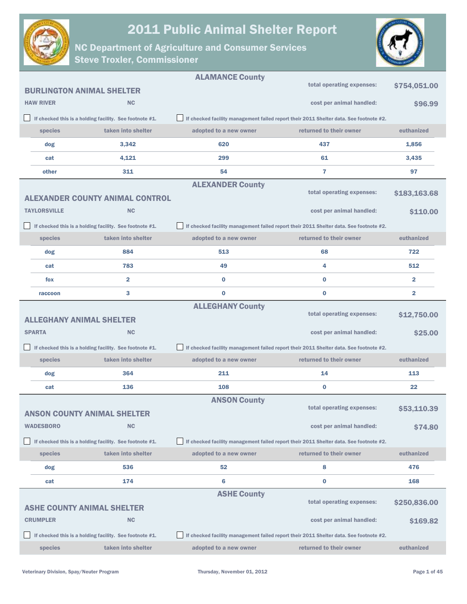



|                                 |                                                         | <b>ALAMANCE County</b>  |                                                                                        |                         |
|---------------------------------|---------------------------------------------------------|-------------------------|----------------------------------------------------------------------------------------|-------------------------|
|                                 | <b>BURLINGTON ANIMAL SHELTER</b>                        |                         | total operating expenses:                                                              | \$754,051.00            |
| <b>HAW RIVER</b>                | <b>NC</b>                                               |                         | cost per animal handled:                                                               | \$96.99                 |
|                                 | If checked this is a holding facility. See footnote #1. |                         | If checked facility management failed report their 2011 Shelter data. See footnote #2. |                         |
| species                         | taken into shelter                                      | adopted to a new owner  | returned to their owner                                                                | euthanized              |
| dog                             | 3,342                                                   | 620                     | 437                                                                                    | 1,856                   |
| cat                             | 4,121                                                   | 299                     | 61                                                                                     | 3,435                   |
| other                           | 311                                                     | 54                      | 7                                                                                      | 97                      |
|                                 |                                                         | <b>ALEXANDER County</b> |                                                                                        |                         |
|                                 | <b>ALEXANDER COUNTY ANIMAL CONTROL</b>                  |                         | total operating expenses:                                                              | \$183,163.68            |
| <b>TAYLORSVILLE</b>             | <b>NC</b>                                               |                         | cost per animal handled:                                                               | \$110.00                |
|                                 | If checked this is a holding facility. See footnote #1. |                         | If checked facility management failed report their 2011 Shelter data. See footnote #2. |                         |
| species                         | taken into shelter                                      | adopted to a new owner  | returned to their owner                                                                | euthanized              |
| dog                             | 884                                                     | 513                     | 68                                                                                     | 722                     |
| cat                             | 783                                                     | 49                      | 4                                                                                      | 512                     |
| fox                             | $\overline{\mathbf{2}}$                                 | 0                       | $\bf{0}$                                                                               | $\overline{\mathbf{2}}$ |
| raccoon                         | 3                                                       | $\bf{0}$                | $\bf{0}$                                                                               | $\overline{\mathbf{2}}$ |
|                                 |                                                         | <b>ALLEGHANY County</b> | total operating expenses:                                                              | \$12,750.00             |
| <b>ALLEGHANY ANIMAL SHELTER</b> |                                                         |                         |                                                                                        |                         |
| <b>SPARTA</b>                   | <b>NC</b>                                               |                         | cost per animal handled:                                                               | \$25.00                 |
|                                 | If checked this is a holding facility. See footnote #1. |                         | If checked facility management failed report their 2011 Shelter data. See footnote #2. |                         |
| species                         | taken into shelter                                      | adopted to a new owner  | returned to their owner                                                                | euthanized              |
| dog                             | 364                                                     | 211                     | 14                                                                                     | 113                     |
| cat                             | 136                                                     | 108                     | $\bf{0}$                                                                               | 22                      |
|                                 |                                                         | <b>ANSON County</b>     | total operating expenses:                                                              | \$53,110.39             |
|                                 | <b>ANSON COUNTY ANIMAL SHELTER</b>                      |                         |                                                                                        |                         |
| <b>WADESBORO</b>                | NC                                                      |                         | cost per animal handled:                                                               | \$74.80                 |
|                                 | If checked this is a holding facility. See footnote #1. |                         | If checked facility management failed report their 2011 Shelter data. See footnote #2. |                         |
| species                         | taken into shelter                                      | adopted to a new owner  | returned to their owner                                                                | euthanized              |
| dog                             | 536                                                     | 52                      | 8                                                                                      | 476                     |
| cat                             | 174                                                     | 6                       | $\bf{0}$                                                                               | 168                     |
|                                 |                                                         | <b>ASHE County</b>      | total operating expenses:                                                              | \$250,836.00            |
|                                 | <b>ASHE COUNTY ANIMAL SHELTER</b>                       |                         |                                                                                        |                         |
| <b>CRUMPLER</b>                 | <b>NC</b>                                               |                         | cost per animal handled:                                                               | \$169.82                |
|                                 | If checked this is a holding facility. See footnote #1. |                         | If checked facility management failed report their 2011 Shelter data. See footnote #2. |                         |
| species                         | taken into shelter                                      | adopted to a new owner  | returned to their owner                                                                | euthanized              |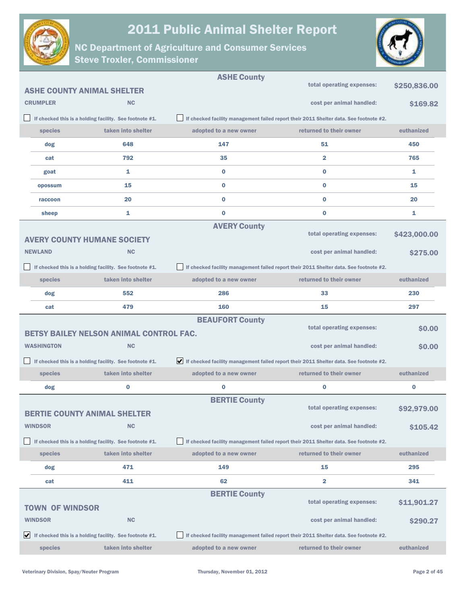



|                        |                                   |                                                            | <b>ASHE County</b>                                                                        | total operating expenses:                                                              |              |  |
|------------------------|-----------------------------------|------------------------------------------------------------|-------------------------------------------------------------------------------------------|----------------------------------------------------------------------------------------|--------------|--|
|                        | <b>ASHE COUNTY ANIMAL SHELTER</b> |                                                            |                                                                                           |                                                                                        | \$250,836.00 |  |
|                        | <b>CRUMPLER</b>                   | <b>NC</b>                                                  |                                                                                           | cost per animal handled:                                                               | \$169.82     |  |
|                        |                                   | If checked this is a holding facility. See footnote #1.    |                                                                                           | If checked facility management failed report their 2011 Shelter data. See footnote #2. |              |  |
|                        | species                           | taken into shelter                                         | adopted to a new owner                                                                    | returned to their owner                                                                | euthanized   |  |
|                        | dog                               | 648                                                        | 147                                                                                       | 51                                                                                     | 450          |  |
|                        | cat                               | 792                                                        | 35                                                                                        | $\overline{2}$                                                                         | 765          |  |
|                        | goat                              | 1                                                          | $\bf{0}$                                                                                  | $\bf{0}$                                                                               | 1            |  |
|                        | opossum                           | 15                                                         | $\bf{0}$                                                                                  | $\bf{0}$                                                                               | 15           |  |
|                        | raccoon                           | 20                                                         | $\bf{0}$                                                                                  | $\bf{0}$                                                                               | 20           |  |
|                        | sheep                             | 1                                                          | $\bf{0}$                                                                                  | $\bf{0}$                                                                               | 1            |  |
|                        |                                   |                                                            | <b>AVERY County</b>                                                                       | total operating expenses:                                                              |              |  |
|                        |                                   | <b>AVERY COUNTY HUMANE SOCIETY</b>                         |                                                                                           |                                                                                        | \$423,000.00 |  |
|                        | <b>NEWLAND</b>                    | <b>NC</b>                                                  |                                                                                           | cost per animal handled:                                                               | \$275,00     |  |
|                        |                                   | If checked this is a holding facility. See footnote #1.    |                                                                                           | If checked facility management failed report their 2011 Shelter data. See footnote #2. |              |  |
|                        | species                           | taken into shelter                                         | adopted to a new owner                                                                    | returned to their owner                                                                | euthanized   |  |
|                        | dog                               | 552                                                        | 286                                                                                       | 33                                                                                     | 230          |  |
|                        | cat                               | 479                                                        | 160                                                                                       | 15                                                                                     | 297          |  |
| <b>BEAUFORT County</b> |                                   |                                                            |                                                                                           |                                                                                        |              |  |
|                        |                                   |                                                            |                                                                                           |                                                                                        |              |  |
|                        |                                   | <b>BETSY BAILEY NELSON ANIMAL CONTROL FAC.</b>             |                                                                                           | total operating expenses:                                                              | \$0.00       |  |
|                        | <b>WASHINGTON</b>                 | <b>NC</b>                                                  |                                                                                           | cost per animal handled:                                                               | \$0.00       |  |
|                        |                                   | If checked this is a holding facility. See footnote #1.    | If checked facility management failed report their 2011 Shelter data. See footnote $#2$ . |                                                                                        |              |  |
|                        | species                           | taken into shelter                                         | adopted to a new owner                                                                    | returned to their owner                                                                | euthanized   |  |
|                        | dog                               | $\bf{0}$                                                   | $\bf{0}$                                                                                  | $\bf{0}$                                                                               | $\bf{0}$     |  |
|                        |                                   |                                                            | <b>BERTIE County</b>                                                                      |                                                                                        |              |  |
|                        |                                   | <b>BERTIE COUNTY ANIMAL SHELTER</b>                        |                                                                                           | total operating expenses:                                                              | \$92,979.00  |  |
|                        | <b>WINDSOR</b>                    | <b>NC</b>                                                  |                                                                                           | cost per animal handled:                                                               | \$105.42     |  |
|                        |                                   | If checked this is a holding facility. See footnote #1.    |                                                                                           | If checked facility management failed report their 2011 Shelter data. See footnote #2. |              |  |
|                        | species                           | taken into shelter                                         | adopted to a new owner                                                                    | returned to their owner                                                                | euthanized   |  |
|                        | dog                               | 471                                                        | 149                                                                                       | 15                                                                                     | 295          |  |
|                        | cat                               | 411                                                        | 62                                                                                        | $\overline{\mathbf{2}}$                                                                | 341          |  |
|                        |                                   |                                                            | <b>BERTIE County</b>                                                                      |                                                                                        |              |  |
|                        | <b>TOWN OF WINDSOR</b>            |                                                            |                                                                                           | total operating expenses:                                                              | \$11,901.27  |  |
|                        | <b>WINDSOR</b>                    | <b>NC</b>                                                  |                                                                                           | cost per animal handled:                                                               | \$290.27     |  |
|                        |                                   | If checked this is a holding facility. See footnote $#1$ . |                                                                                           | If checked facility management failed report their 2011 Shelter data. See footnote #2. |              |  |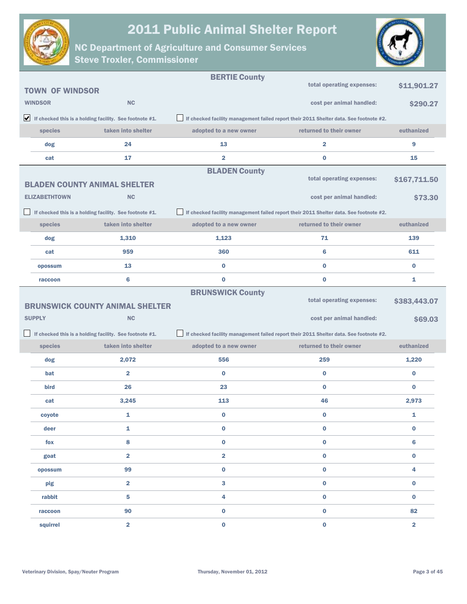



|                        |                                                                               | <b>BERTIE County</b>    |                                                                                        |                         |
|------------------------|-------------------------------------------------------------------------------|-------------------------|----------------------------------------------------------------------------------------|-------------------------|
| <b>TOWN OF WINDSOR</b> |                                                                               |                         | total operating expenses:                                                              | \$11,901.27             |
| <b>WINDSOR</b>         | <b>NC</b>                                                                     |                         | cost per animal handled:                                                               | \$290.27                |
|                        | $\blacktriangleright$ If checked this is a holding facility. See footnote #1. |                         | If checked facility management failed report their 2011 Shelter data. See footnote #2. |                         |
| species                | taken into shelter                                                            | adopted to a new owner  | returned to their owner                                                                | euthanized              |
| dog                    | 24                                                                            | 13                      | 2                                                                                      | 9                       |
| cat                    | 17                                                                            | $\overline{\mathbf{2}}$ | 0                                                                                      | 15                      |
|                        |                                                                               | <b>BLADEN County</b>    | total operating expenses:                                                              |                         |
|                        | <b>BLADEN COUNTY ANIMAL SHELTER</b>                                           |                         |                                                                                        | \$167,711.50            |
| <b>ELIZABETHTOWN</b>   | <b>NC</b>                                                                     |                         | cost per animal handled:                                                               | \$73.30                 |
|                        | If checked this is a holding facility. See footnote #1.                       |                         | If checked facility management failed report their 2011 Shelter data. See footnote #2. |                         |
| species                | taken into shelter                                                            | adopted to a new owner  | returned to their owner                                                                | euthanized              |
| dog                    | 1,310                                                                         | 1,123                   | 71                                                                                     | 139                     |
| cat                    | 959                                                                           | 360                     | 6                                                                                      | 611                     |
| opossum                | 13                                                                            | $\bf{0}$                | $\bf{0}$                                                                               | $\bf{0}$                |
| raccoon                | 6                                                                             | $\bf{0}$                | 0                                                                                      | 1                       |
|                        |                                                                               | <b>BRUNSWICK County</b> | total operating expenses:                                                              |                         |
|                        | <b>BRUNSWICK COUNTY ANIMAL SHELTER</b>                                        |                         |                                                                                        | \$383,443.07            |
| <b>SUPPLY</b>          | <b>NC</b>                                                                     |                         | cost per animal handled:                                                               | \$69.03                 |
| - 1                    | If checked this is a holding facility. See footnote #1.                       |                         | If checked facility management failed report their 2011 Shelter data. See footnote #2. |                         |
| species                | taken into shelter                                                            | adopted to a new owner  | returned to their owner                                                                | euthanized              |
| dog                    | 2,072                                                                         | 556                     | 259                                                                                    | 1,220                   |
| bat                    | $\overline{\mathbf{2}}$                                                       | 0                       | $\bf{0}$                                                                               | $\bf{0}$                |
| bird                   | 26                                                                            | 23                      | 0                                                                                      | $\bf{0}$                |
| cat                    | 3,245                                                                         | 113                     | 46                                                                                     | 2,973                   |
| coyote                 | 1                                                                             | $\bf{0}$                | 0                                                                                      | 1                       |
| deer                   | 1                                                                             | $\bf{0}$                | 0                                                                                      | $\pmb{0}$               |
| fox                    | 8                                                                             | 0                       | 0                                                                                      | $6\phantom{1}6$         |
| goat                   | $\overline{\mathbf{2}}$                                                       | $\overline{\mathbf{2}}$ | $\bf{0}$                                                                               | $\pmb{0}$               |
| opossum                | 99                                                                            | $\pmb{0}$               | 0                                                                                      | 4                       |
| pig                    | $\overline{\mathbf{2}}$                                                       | 3                       | $\bf{0}$                                                                               | $\bf{0}$                |
| rabbit                 | 5                                                                             | 4                       | 0                                                                                      | $\bf{0}$                |
| raccoon                | 90                                                                            | $\pmb{0}$               | $\bf{0}$                                                                               | 82                      |
| squirrel               | $\overline{\mathbf{2}}$                                                       | $\pmb{0}$               | $\mathbf{0}$                                                                           | $\overline{\mathbf{2}}$ |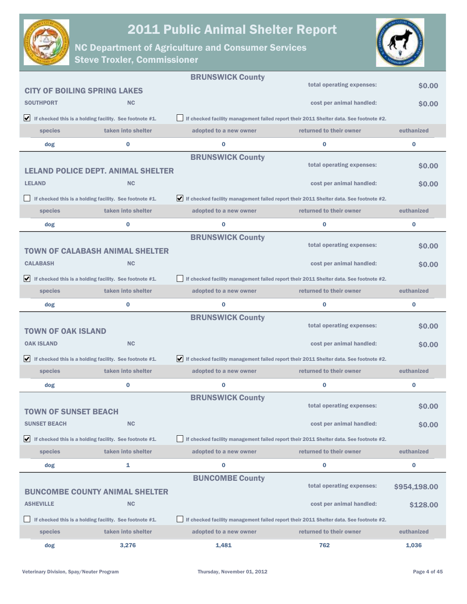



|                                                                               |                                                         | <b>BRUNSWICK County</b> |                                                                                                              |              |
|-------------------------------------------------------------------------------|---------------------------------------------------------|-------------------------|--------------------------------------------------------------------------------------------------------------|--------------|
| <b>CITY OF BOILING SPRING LAKES</b>                                           |                                                         |                         | total operating expenses:                                                                                    | \$0.00       |
| <b>SOUTHPORT</b>                                                              | <b>NC</b>                                               |                         | cost per animal handled:                                                                                     | \$0.00       |
| $\bigvee$ If checked this is a holding facility. See footnote #1.             |                                                         |                         | If checked facility management failed report their 2011 Shelter data. See footnote #2.                       |              |
| species                                                                       | taken into shelter                                      | adopted to a new owner  | returned to their owner                                                                                      | euthanized   |
| dog                                                                           | 0                                                       | $\bf{0}$                | $\bf{0}$                                                                                                     | 0            |
|                                                                               |                                                         | <b>BRUNSWICK County</b> |                                                                                                              |              |
|                                                                               | <b>LELAND POLICE DEPT. ANIMAL SHELTER</b>               |                         | total operating expenses:                                                                                    | \$0.00       |
| <b>LELAND</b>                                                                 | <b>NC</b>                                               |                         | cost per animal handled:                                                                                     | \$0.00       |
|                                                                               | If checked this is a holding facility. See footnote #1. |                         | $\blacktriangleright$ If checked facility management failed report their 2011 Shelter data. See footnote #2. |              |
| species                                                                       | taken into shelter                                      | adopted to a new owner  | returned to their owner                                                                                      | euthanized   |
| dog                                                                           | 0                                                       | $\bf{0}$                | $\bf{0}$                                                                                                     | $\bf{0}$     |
|                                                                               |                                                         | <b>BRUNSWICK County</b> |                                                                                                              |              |
|                                                                               | <b>TOWN OF CALABASH ANIMAL SHELTER</b>                  |                         | total operating expenses:                                                                                    | \$0.00       |
| <b>CALABASH</b>                                                               | <b>NC</b>                                               |                         | cost per animal handled:                                                                                     | \$0.00       |
| $\blacktriangleright$ If checked this is a holding facility. See footnote #1. |                                                         |                         | If checked facility management failed report their 2011 Shelter data. See footnote #2.                       |              |
| species                                                                       | taken into shelter                                      | adopted to a new owner  | returned to their owner                                                                                      | euthanized   |
| dog                                                                           | 0                                                       | $\bf{0}$                | $\bf{0}$                                                                                                     | 0            |
|                                                                               |                                                         | <b>BRUNSWICK County</b> | total operating expenses:                                                                                    | \$0.00       |
| <b>TOWN OF OAK ISLAND</b>                                                     |                                                         |                         |                                                                                                              |              |
| <b>OAK ISLAND</b>                                                             | <b>NC</b>                                               |                         | cost per animal handled:                                                                                     | \$0.00       |
| $\blacktriangleright$ If checked this is a holding facility. See footnote #1. |                                                         |                         | If checked facility management failed report their 2011 Shelter data. See footnote #2.                       |              |
| species                                                                       | taken into shelter                                      | adopted to a new owner  | returned to their owner                                                                                      | euthanized   |
| dog                                                                           | 0                                                       | $\bf{0}$                | $\bf{0}$                                                                                                     | 0            |
|                                                                               |                                                         | <b>BRUNSWICK County</b> | total operating expenses:                                                                                    | <b>SO.00</b> |
| TOWN OF SUNSET BEACH                                                          |                                                         |                         |                                                                                                              |              |
| <b>SUNSET BEACH</b>                                                           | <b>NC</b>                                               |                         | cost per animal handled:                                                                                     | \$0.00       |
| $\blacktriangleright$ If checked this is a holding facility. See footnote #1. |                                                         |                         | If checked facility management failed report their 2011 Shelter data. See footnote #2.                       |              |
| species                                                                       | taken into shelter                                      | adopted to a new owner  | returned to their owner                                                                                      | euthanized   |
| dog                                                                           | 1                                                       | $\bf{0}$                | 0                                                                                                            | 0            |
|                                                                               |                                                         | <b>BUNCOMBE County</b>  | total operating expenses:                                                                                    | \$954,198.00 |
|                                                                               | <b>BUNCOMBE COUNTY ANIMAL SHELTER</b>                   |                         |                                                                                                              |              |
| <b>ASHEVILLE</b>                                                              | <b>NC</b>                                               |                         | cost per animal handled:                                                                                     | \$128.00     |
|                                                                               | If checked this is a holding facility. See footnote #1. |                         | If checked facility management failed report their 2011 Shelter data. See footnote #2.                       |              |
| species                                                                       | taken into shelter                                      | adopted to a new owner  | returned to their owner                                                                                      | euthanized   |
| dog                                                                           | 3,276                                                   | 1,481                   | 762                                                                                                          | 1,036        |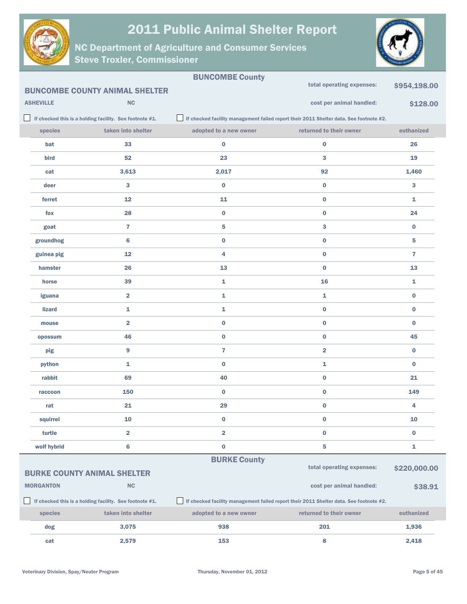



|                  |                                                         | <b>BUNCOMBE County</b> |                                                                                        |                |
|------------------|---------------------------------------------------------|------------------------|----------------------------------------------------------------------------------------|----------------|
|                  | <b>BUNCOMBE COUNTY ANIMAL SHELTER</b>                   |                        | total operating expenses:                                                              | \$954,198.00   |
| <b>ASHEVILLE</b> | <b>NC</b>                                               |                        | cost per animal handled:                                                               | \$128.00       |
|                  | If checked this is a holding facility. See footnote #1. |                        | If checked facility management failed report their 2011 Shelter data. See footnote #2. |                |
| species          | taken into shelter                                      | adopted to a new owner | returned to their owner                                                                | euthanized     |
| bat              | 33                                                      | $\bf{0}$               | $\bf{0}$                                                                               | 26             |
| bird             | 52                                                      | 23                     | 3                                                                                      | 19             |
| cat              | 3,613                                                   | 2,017                  | 92                                                                                     | 1,460          |
| deer             | 3                                                       | $\bf{0}$               | $\bf{0}$                                                                               | 3              |
| ferret           | 12                                                      | 11                     | $\bf{0}$                                                                               | $\mathbf{1}$   |
| fox              | 28                                                      | $\bf{0}$               | $\bf{0}$                                                                               | 24             |
| goat             | $\overline{7}$                                          | 5                      | 3                                                                                      | $\bf{0}$       |
| groundhog        | 6                                                       | $\bf{0}$               | $\bf{0}$                                                                               | 5              |
| guinea pig       | 12                                                      | 4                      | $\bf{0}$                                                                               | $\overline{7}$ |
| hamster          | 26                                                      | 13                     | $\bf{0}$                                                                               | 13             |
| horse            | 39                                                      | 1                      | 16                                                                                     | 1              |
| iguana           | $\overline{2}$                                          | 1                      | 1                                                                                      | $\bf{0}$       |
| <b>lizard</b>    | $\mathbf{1}$                                            | 1                      | $\bf{0}$                                                                               | $\bf{0}$       |
| mouse            | $\overline{2}$                                          | $\bf{0}$               | $\bf{0}$                                                                               | $\bf{0}$       |
| opossum          | 46                                                      | $\bf{0}$               | $\bf{0}$                                                                               | 45             |
| pig              | $\overline{9}$                                          | $\overline{7}$         | $\overline{\mathbf{2}}$                                                                | $\bf{0}$       |
| python           | 1                                                       | 0                      | $\mathbf{1}$                                                                           | $\bf{0}$       |
| rabbit           | 69                                                      | 40                     | $\bf{0}$                                                                               | 21             |
| raccoon          | 150                                                     | $\bf{0}$               | $\bf{0}$                                                                               | 149            |
| rat              | 21                                                      | 29                     | $\bf{0}$                                                                               | 4              |
| squirrel         | 10                                                      | $\pmb{0}$              | $\pmb{0}$                                                                              | 10             |
| turtle           | $\overline{2}$                                          | 2                      | $\bf{0}$                                                                               | $\bf{0}$       |
| wolf hybrid      | $\bf 6$                                                 | $\bf{0}$               | ${\bf 5}$                                                                              | 1              |
|                  |                                                         | <b>BURKE County</b>    | total operating expenses:                                                              |                |
|                  | <b>BURKE COUNTY ANIMAL SHELTER</b>                      |                        |                                                                                        | \$220,000.00   |
| <b>MORGANTON</b> | NC                                                      |                        | cost per animal handled:                                                               | \$38.91        |
|                  | If checked this is a holding facility. See footnote #1. |                        | If checked facility management failed report their 2011 Shelter data. See footnote #2. |                |
| species          | taken into shelter                                      | adopted to a new owner | returned to their owner                                                                | euthanized     |
| dog              | 3,075                                                   | 938                    | 201                                                                                    | 1,936          |
| cat              | 2,579                                                   | 153                    | 8                                                                                      | 2,418          |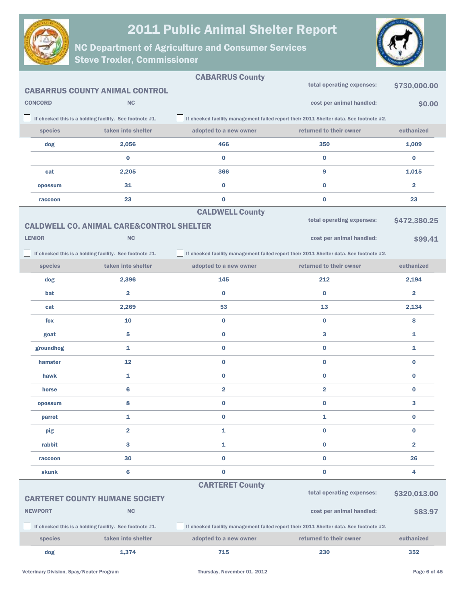



|                |                                                         | <b>CABARRUS County</b>  |                                                                                        |                         |
|----------------|---------------------------------------------------------|-------------------------|----------------------------------------------------------------------------------------|-------------------------|
|                | <b>CABARRUS COUNTY ANIMAL CONTROL</b>                   |                         | total operating expenses:                                                              | \$730,000.00            |
| <b>CONCORD</b> | <b>NC</b>                                               |                         | cost per animal handled:                                                               | \$0.00                  |
|                | If checked this is a holding facility. See footnote #1. |                         | If checked facility management failed report their 2011 Shelter data. See footnote #2. |                         |
| species        | taken into shelter                                      | adopted to a new owner  | returned to their owner                                                                | euthanized              |
| dog            | 2,056                                                   | 466                     | 350                                                                                    | 1,009                   |
|                | $\bf{0}$                                                | $\bf{0}$                | $\bf{0}$                                                                               | $\bf{0}$                |
| cat            | 2,205                                                   | 366                     | 9                                                                                      | 1,015                   |
| opossum        | 31                                                      | $\bf{0}$                | $\bf{0}$                                                                               | $\overline{\mathbf{2}}$ |
| raccoon        | 23                                                      | $\bf{0}$                | $\bf{0}$                                                                               | 23                      |
|                |                                                         | <b>CALDWELL County</b>  |                                                                                        |                         |
|                | <b>CALDWELL CO. ANIMAL CARE&amp;CONTROL SHELTER</b>     |                         | total operating expenses:                                                              | \$472,380.25            |
| <b>LENIOR</b>  | NC                                                      |                         | cost per animal handled:                                                               | \$99.41                 |
|                | If checked this is a holding facility. See footnote #1. |                         | If checked facility management failed report their 2011 Shelter data. See footnote #2. |                         |
| species        | taken into shelter                                      | adopted to a new owner  | returned to their owner                                                                | euthanized              |
| dog            | 2,396                                                   | 145                     | 212                                                                                    | 2,194                   |
| bat            | $\overline{\mathbf{2}}$                                 | $\bf{0}$                | $\bf{0}$                                                                               | $\overline{\mathbf{2}}$ |
| cat            | 2,269                                                   | 53                      | 13                                                                                     | 2,134                   |
| fox            | 10                                                      | $\bf{0}$                | $\bf{0}$                                                                               | 8                       |
| goat           | 5                                                       | $\bf{0}$                | 3                                                                                      | 1                       |
| groundhog      | $\mathbf{1}$                                            | $\bf{0}$                | $\bf{0}$                                                                               | 1                       |
| hamster        | 12                                                      | $\bf{0}$                | $\bf{0}$                                                                               | $\bf{0}$                |
| hawk           | 1                                                       | $\bf{0}$                | $\bf{0}$                                                                               | $\bf{0}$                |
| horse          | 6                                                       | $\overline{\mathbf{2}}$ | $\overline{\mathbf{2}}$                                                                | $\bf{0}$                |
| opossum        | 8                                                       | $\bf{0}$                | $\bf{0}$                                                                               | 3                       |
| parrot         | 1                                                       | 0                       | 1                                                                                      | 0                       |
| pig            | $\overline{\mathbf{2}}$                                 | $\mathbf{1}$            | $\bf{0}$                                                                               | $\bf{0}$                |
| rabbit         | 3                                                       | $\mathbf{1}$            | $\bf{0}$                                                                               | $\overline{\mathbf{2}}$ |
| raccoon        | 30                                                      | $\bf{0}$                | $\pmb{0}$                                                                              | 26                      |
| skunk          | 6                                                       | $\bf{0}$                | $\pmb{0}$                                                                              | 4                       |
|                |                                                         | <b>CARTERET County</b>  |                                                                                        |                         |
|                | <b>CARTERET COUNTY HUMANE SOCIETY</b>                   |                         | total operating expenses:                                                              | \$320,013.00            |
| <b>NEWPORT</b> | NC                                                      |                         | cost per animal handled:                                                               | \$83.97                 |
|                | If checked this is a holding facility. See footnote #1. |                         | If checked facility management failed report their 2011 Shelter data. See footnote #2. |                         |
| species        | taken into shelter                                      | adopted to a new owner  | returned to their owner                                                                | euthanized              |
| dog            | 1,374                                                   | 715                     | 230                                                                                    | 352                     |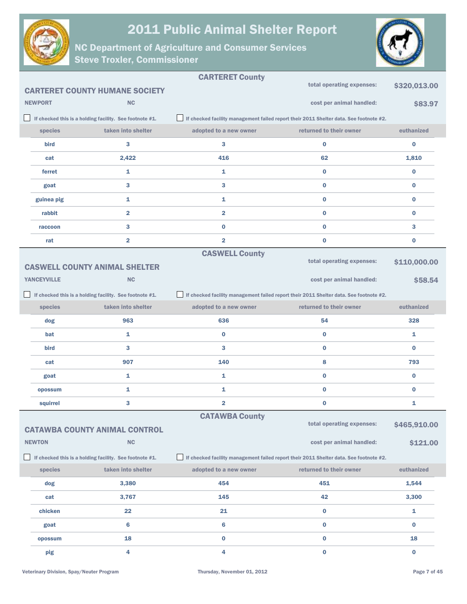



|                    |                                                         | <b>CARTERET County</b>  |                                                                                        |              |
|--------------------|---------------------------------------------------------|-------------------------|----------------------------------------------------------------------------------------|--------------|
|                    | <b>CARTERET COUNTY HUMANE SOCIETY</b>                   |                         | total operating expenses:                                                              | \$320,013.00 |
| <b>NEWPORT</b>     | <b>NC</b>                                               |                         | cost per animal handled:                                                               | \$83.97      |
|                    | If checked this is a holding facility. See footnote #1. |                         | If checked facility management failed report their 2011 Shelter data. See footnote #2. |              |
| species            | taken into shelter                                      | adopted to a new owner  | returned to their owner                                                                | euthanized   |
| bird               | 3                                                       | 3                       | $\bf{0}$                                                                               | $\bf{0}$     |
| cat                | 2,422                                                   | 416                     | 62                                                                                     | 1,810        |
| ferret             | 1                                                       | 1                       | $\bf{0}$                                                                               | $\bf{0}$     |
| goat               | 3                                                       | 3                       | $\bf{0}$                                                                               | $\bf{0}$     |
| guinea pig         | 1                                                       | 1                       | $\bf{0}$                                                                               | $\bf{0}$     |
| rabbit             | $\overline{\mathbf{2}}$                                 | $\overline{\mathbf{2}}$ | $\bf{0}$                                                                               | $\bf{0}$     |
| raccoon            | 3                                                       | $\bf{0}$                | $\bf{0}$                                                                               | 3            |
| rat                | $\overline{\mathbf{2}}$                                 | $\overline{2}$          | $\bf{0}$                                                                               | $\bf{0}$     |
|                    |                                                         | <b>CASWELL County</b>   |                                                                                        |              |
|                    | <b>CASWELL COUNTY ANIMAL SHELTER</b>                    |                         | total operating expenses:                                                              | \$110,000.00 |
| <b>YANCEYVILLE</b> | <b>NC</b>                                               |                         | cost per animal handled:                                                               | \$58.54      |
|                    | If checked this is a holding facility. See footnote #1. |                         | If checked facility management failed report their 2011 Shelter data. See footnote #2. |              |
| species            | taken into shelter                                      | adopted to a new owner  | returned to their owner                                                                | euthanized   |
| dog                | 963                                                     | 636                     | 54                                                                                     | 328          |
| bat                | 1                                                       | $\bf{0}$                | $\bf{0}$                                                                               | 1            |
| bird               | 3                                                       | 3                       | $\bf{0}$                                                                               | $\bf{0}$     |
| cat                | 907                                                     | 140                     | 8                                                                                      | 793          |
| goat               | 1                                                       | 1                       | $\bf{0}$                                                                               | $\bf{0}$     |
| opossum            | 1                                                       | 1                       | $\bf{0}$                                                                               | $\bf{0}$     |
| squirrel           | 3                                                       | 2                       | $\bf{0}$                                                                               | 1            |
|                    |                                                         | <b>CATAWBA County</b>   | total operating expenses:                                                              |              |
|                    | <b>CATAWBA COUNTY ANIMAL CONTROL</b>                    |                         |                                                                                        | \$465,910.00 |
| <b>NEWTON</b>      | <b>NC</b>                                               |                         | cost per animal handled:                                                               | \$121.00     |
|                    | If checked this is a holding facility. See footnote #1. |                         | If checked facility management failed report their 2011 Shelter data. See footnote #2. |              |
| species            | taken into shelter                                      | adopted to a new owner  | returned to their owner                                                                | euthanized   |
| dog                | 3,380                                                   | 454                     | 451                                                                                    | 1,544        |
| cat                | 3,767                                                   | 145                     | 42                                                                                     | 3,300        |
| chicken            | 22                                                      | 21                      | $\bf{0}$                                                                               | 1            |
| goat               | 6                                                       | $6\phantom{1}$          | $\bf{0}$                                                                               | $\bf{0}$     |
| opossum            | 18                                                      | $\pmb{0}$               | $\bf{0}$                                                                               | 18           |
| pig                | 4                                                       | 4                       | $\mathbf 0$                                                                            | $\bf{0}$     |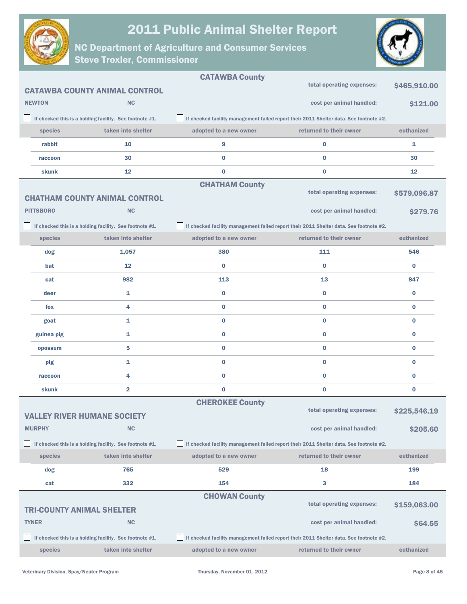



|                  |                                                         | <b>CATAWBA County</b>  |                                                                                        |              |
|------------------|---------------------------------------------------------|------------------------|----------------------------------------------------------------------------------------|--------------|
|                  | <b>CATAWBA COUNTY ANIMAL CONTROL</b>                    |                        | total operating expenses:                                                              | \$465,910.00 |
| <b>NEWTON</b>    | <b>NC</b>                                               |                        | cost per animal handled:                                                               | \$121.00     |
|                  | If checked this is a holding facility. See footnote #1. |                        | If checked facility management failed report their 2011 Shelter data. See footnote #2. |              |
| species          | taken into shelter                                      | adopted to a new owner | returned to their owner                                                                | euthanized   |
| rabbit           | 10                                                      | 9                      | $\bf{0}$                                                                               | 1            |
| raccoon          | 30                                                      | $\bf{0}$               | $\bf{0}$                                                                               | 30           |
| skunk            | 12                                                      | 0                      | $\bf{0}$                                                                               | 12           |
|                  |                                                         | <b>CHATHAM County</b>  |                                                                                        |              |
|                  | <b>CHATHAM COUNTY ANIMAL CONTROL</b>                    |                        | total operating expenses:                                                              | \$579,096.87 |
| <b>PITTSBORO</b> | NC                                                      |                        | cost per animal handled:                                                               | \$279.76     |
|                  | If checked this is a holding facility. See footnote #1. |                        | If checked facility management failed report their 2011 Shelter data. See footnote #2. |              |
| species          | taken into shelter                                      | adopted to a new owner | returned to their owner                                                                | euthanized   |
| dog              | 1,057                                                   | 380                    | 111                                                                                    | 546          |
| bat              | 12                                                      | $\bf{0}$               | $\bf{0}$                                                                               | $\bf{0}$     |
| cat              | 982                                                     | 113                    | 13                                                                                     | 847          |
| deer             | $\mathbf{1}$                                            | $\bf{0}$               | $\bf{0}$                                                                               | $\bf{0}$     |
| fox              | 4                                                       | 0                      | $\bf{0}$                                                                               | $\bf{0}$     |
| goat             | 1                                                       | $\bf{0}$               | $\bf{0}$                                                                               | $\bf{0}$     |
| guinea pig       | 1                                                       | 0                      | $\bf{0}$                                                                               | $\bf{0}$     |
| opossum          | 5                                                       | 0                      | $\bf{0}$                                                                               | $\bf{0}$     |
| pig              | 1                                                       | 0                      | 0                                                                                      | 0            |
| raccoon          | 4                                                       | $\bf{0}$               | $\bf{0}$                                                                               | $\bf{0}$     |
| skunk            | $\overline{\mathbf{2}}$                                 | 0                      | 0                                                                                      | $\bf{0}$     |
|                  |                                                         | <b>CHEROKEE County</b> |                                                                                        |              |
|                  | <b>VALLEY RIVER HUMANE SOCIETY</b>                      |                        | total operating expenses:                                                              | \$225,546.19 |
| <b>MURPHY</b>    | <b>NC</b>                                               |                        | cost per animal handled:                                                               | \$205.60     |
|                  | If checked this is a holding facility. See footnote #1. |                        | If checked facility management failed report their 2011 Shelter data. See footnote #2. |              |
| species          | taken into shelter                                      | adopted to a new owner | returned to their owner                                                                | euthanized   |
| dog              | 765                                                     | 529                    | 18                                                                                     | 199          |
| cat              | 332                                                     | 154                    | 3                                                                                      | 184          |
|                  |                                                         | <b>CHOWAN County</b>   | total operating expenses:                                                              |              |
|                  | <b>TRI-COUNTY ANIMAL SHELTER</b>                        |                        |                                                                                        | \$159,063.00 |
| <b>TYNER</b>     | <b>NC</b>                                               |                        | cost per animal handled:                                                               | \$64.55      |
|                  | If checked this is a holding facility. See footnote #1. |                        | If checked facility management failed report their 2011 Shelter data. See footnote #2. |              |
| species          | taken into shelter                                      | adopted to a new owner | returned to their owner                                                                | euthanized   |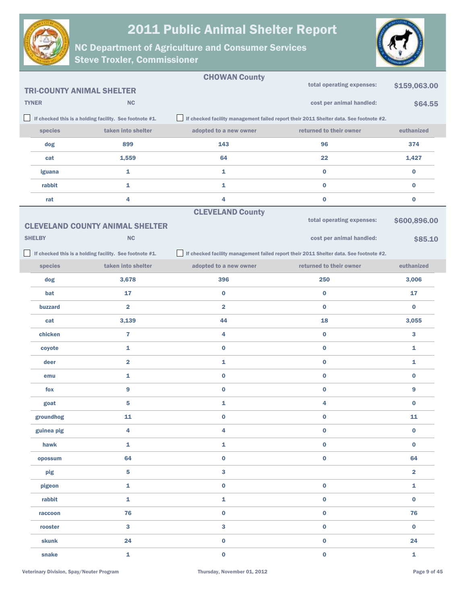



|               |                                                         | <b>CHOWAN County</b>    |                                                                                        |                         |
|---------------|---------------------------------------------------------|-------------------------|----------------------------------------------------------------------------------------|-------------------------|
|               | <b>TRI-COUNTY ANIMAL SHELTER</b>                        |                         | total operating expenses:                                                              | \$159,063.00            |
| <b>TYNER</b>  | NC                                                      |                         | cost per animal handled:                                                               | \$64.55                 |
|               | If checked this is a holding facility. See footnote #1. |                         | If checked facility management failed report their 2011 Shelter data. See footnote #2. |                         |
| species       | taken into shelter                                      | adopted to a new owner  | returned to their owner                                                                | euthanized              |
| dog           | 899                                                     | 143                     | 96                                                                                     | 374                     |
| cat           | 1,559                                                   | 64                      | 22                                                                                     | 1,427                   |
| iguana        | 1                                                       | 1                       | $\bf{0}$                                                                               | $\bf{0}$                |
| rabbit        | 1                                                       | 1                       | $\bf{0}$                                                                               | $\bf{0}$                |
| rat           | 4                                                       | 4                       | $\bf{0}$                                                                               | $\bf{0}$                |
|               |                                                         | <b>CLEVELAND County</b> |                                                                                        |                         |
|               | <b>CLEVELAND COUNTY ANIMAL SHELTER</b>                  |                         | total operating expenses:                                                              | \$600,896.00            |
| <b>SHELBY</b> | NC                                                      |                         | cost per animal handled:                                                               | \$85.10                 |
|               | If checked this is a holding facility. See footnote #1. |                         | If checked facility management failed report their 2011 Shelter data. See footnote #2. |                         |
| species       | taken into shelter                                      | adopted to a new owner  | returned to their owner                                                                | euthanized              |
| dog           | 3,678                                                   | 396                     | 250                                                                                    | 3,006                   |
| bat           | 17                                                      | $\bf{0}$                | $\bf{0}$                                                                               | 17                      |
| buzzard       | $\overline{\mathbf{2}}$                                 | $\overline{\mathbf{2}}$ | $\bf{0}$                                                                               | $\bf{0}$                |
| cat           | 3,139                                                   | 44                      | 18                                                                                     | 3,055                   |
| chicken       | $\overline{7}$                                          | 4                       | $\bf{0}$                                                                               | 3                       |
| coyote        | 1                                                       | $\bf{0}$                | $\bf{0}$                                                                               | 1                       |
| deer          | $\overline{\mathbf{2}}$                                 | 1                       | $\bf{0}$                                                                               | 1                       |
| emu           | 1                                                       | $\bf{0}$                | $\bf{0}$                                                                               | $\bf{0}$                |
| fox           | 9                                                       | $\bf{0}$                | $\bf{0}$                                                                               | 9                       |
| goat          | 5                                                       | 1                       | 4                                                                                      | $\bf{0}$                |
| groundhog     | 11                                                      | 0                       | 0                                                                                      | 11                      |
| guinea pig    | 4                                                       | 4                       | $\mathbf 0$                                                                            | $\mathbf 0$             |
| hawk          | $\mathbf{1}$                                            | 1                       | $\mathbf 0$                                                                            | $\mathbf 0$             |
| opossum       | 64                                                      | $\mathbf 0$             | $\pmb{0}$                                                                              | 64                      |
| pig           | $\overline{\mathbf{5}}$                                 | 3                       |                                                                                        | $\overline{\mathbf{2}}$ |
| pigeon        | $\mathbf{1}$                                            | 0                       | $\pmb{0}$                                                                              | $\mathbf{1}$            |
| rabbit        | $\mathbf{1}$                                            | 1                       | $\pmb{0}$                                                                              | $\mathbf 0$             |
| raccoon       | 76                                                      | $\mathbf 0$             | $\pmb{0}$                                                                              | 76                      |
| rooster       | $\overline{\mathbf{3}}$                                 | 3                       | $\pmb{0}$                                                                              | $\bf{0}$                |
| skunk         | 24                                                      | 0                       | $\mathbf 0$                                                                            | 24                      |
| snake         | $\mathbf 1$                                             | $\mathbf 0$             | $\mathbf 0$                                                                            | $\mathbf{1}$            |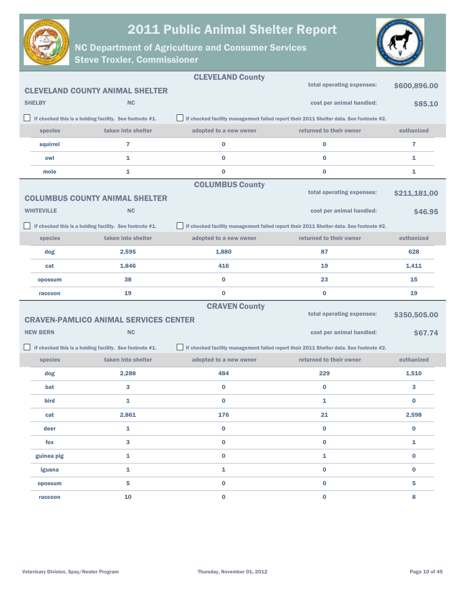



|                   |                                                         | <b>CLEVELAND County</b>                                                                |                                                                                        |                         |
|-------------------|---------------------------------------------------------|----------------------------------------------------------------------------------------|----------------------------------------------------------------------------------------|-------------------------|
|                   | <b>CLEVELAND COUNTY ANIMAL SHELTER</b>                  |                                                                                        | total operating expenses:                                                              | \$600,896.00            |
| <b>SHELBY</b>     | <b>NC</b>                                               |                                                                                        | cost per animal handled:                                                               | \$85.10                 |
|                   | If checked this is a holding facility. See footnote #1. |                                                                                        | If checked facility management failed report their 2011 Shelter data. See footnote #2. |                         |
| species           | taken into shelter                                      | adopted to a new owner                                                                 | returned to their owner                                                                | euthanized              |
| squirrel          | 7                                                       | 0                                                                                      | $\bf{0}$                                                                               | 7                       |
| owl               | 1                                                       | $\bf{0}$                                                                               | $\bf{0}$                                                                               | 1                       |
| mole              | 1                                                       | $\bf{0}$                                                                               | $\bf{0}$                                                                               | 1                       |
|                   |                                                         | <b>COLUMBUS County</b>                                                                 |                                                                                        |                         |
|                   | <b>COLUMBUS COUNTY ANIMAL SHELTER</b>                   |                                                                                        | total operating expenses:                                                              | \$211,181.00            |
| <b>WHITEVILLE</b> | <b>NC</b>                                               |                                                                                        | cost per animal handled:                                                               | \$46.95                 |
|                   | If checked this is a holding facility. See footnote #1. | If checked facility management failed report their 2011 Shelter data. See footnote #2. |                                                                                        |                         |
| species           | taken into shelter                                      | adopted to a new owner                                                                 | returned to their owner                                                                | euthanized              |
| dog               | 2,595                                                   | 1,880                                                                                  | 87                                                                                     | 628                     |
| cat               | 1,846                                                   | 416                                                                                    | 19                                                                                     | 1,411                   |
| opossum           | 38                                                      | $\bf{0}$                                                                               | 23                                                                                     | 15                      |
|                   |                                                         |                                                                                        |                                                                                        |                         |
| raccoon           | 19                                                      | $\bf{0}$                                                                               | $\bf{0}$                                                                               | 19                      |
|                   |                                                         | <b>CRAVEN County</b>                                                                   |                                                                                        |                         |
|                   | <b>CRAVEN-PAMLICO ANIMAL SERVICES CENTER</b>            |                                                                                        | total operating expenses:                                                              | \$350,505.00            |
| <b>NEW BERN</b>   | <b>NC</b>                                               |                                                                                        | cost per animal handled:                                                               | \$67.74                 |
|                   | If checked this is a holding facility. See footnote #1. |                                                                                        | If checked facility management failed report their 2011 Shelter data. See footnote #2. |                         |
| species           | taken into shelter                                      | adopted to a new owner                                                                 | returned to their owner                                                                | euthanized              |
| dog               | 2,288                                                   | 484                                                                                    | 229                                                                                    | 1,510                   |
| bat               | 3                                                       | 0                                                                                      | $\bf{0}$                                                                               | 3                       |
| bird              | 1                                                       | $\bf{0}$                                                                               | 1                                                                                      | $\bf{0}$                |
| cat               | 2,861                                                   | 176                                                                                    | 21                                                                                     | 2,598                   |
| deer              | 1                                                       | $\pmb{0}$                                                                              | $\mathbf 0$                                                                            | $\pmb{0}$               |
| fox               | 3                                                       | $\pmb{0}$                                                                              | $\mathbf 0$                                                                            | 1                       |
| guinea pig        | 1                                                       | $\pmb{0}$                                                                              | $\mathbf 1$                                                                            | $\pmb{0}$               |
| iguana            | 1                                                       | 1                                                                                      | $\mathbf 0$                                                                            | $\bf{0}$                |
| opossum           | 5                                                       | $\mathbf 0$                                                                            | $\pmb{0}$                                                                              | $\overline{\mathbf{5}}$ |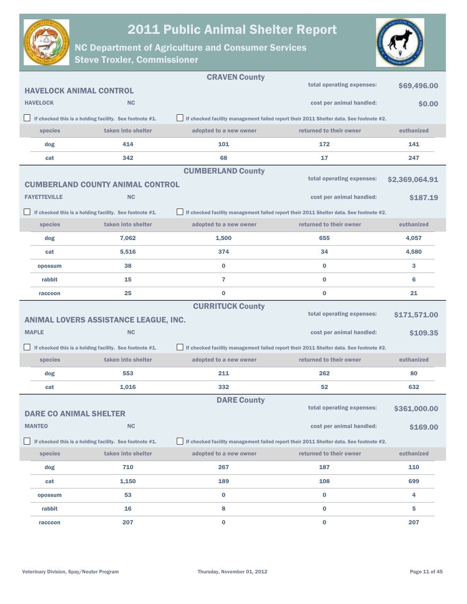



|                                |                                                         | <b>CRAVEN County</b>     |                                                                                        |                |
|--------------------------------|---------------------------------------------------------|--------------------------|----------------------------------------------------------------------------------------|----------------|
| <b>HAVELOCK ANIMAL CONTROL</b> |                                                         |                          | total operating expenses:                                                              | \$69,496.00    |
| <b>HAVELOCK</b>                | <b>NC</b>                                               |                          | cost per animal handled:                                                               | \$0.00         |
|                                | If checked this is a holding facility. See footnote #1. |                          | If checked facility management failed report their 2011 Shelter data. See footnote #2. |                |
| species                        | taken into shelter                                      | adopted to a new owner   | returned to their owner                                                                | euthanized     |
| dog                            | 414                                                     | 101                      | 172                                                                                    | 141            |
| cat                            | 342                                                     | 68                       | 17                                                                                     | 247            |
|                                |                                                         | <b>CUMBERLAND County</b> |                                                                                        |                |
|                                | <b>CUMBERLAND COUNTY ANIMAL CONTROL</b>                 |                          | total operating expenses:                                                              | \$2,369,064.91 |
| <b>FAYETTEVILLE</b>            | <b>NC</b>                                               |                          | cost per animal handled:                                                               | \$187.19       |
|                                | If checked this is a holding facility. See footnote #1. |                          | If checked facility management failed report their 2011 Shelter data. See footnote #2. |                |
| species                        | taken into shelter                                      | adopted to a new owner   | returned to their owner                                                                | euthanized     |
| dog                            | 7,062                                                   | 1,500                    | 655                                                                                    | 4,057          |
| cat                            | 5,516                                                   | 374                      | 34                                                                                     | 4,580          |
| opossum                        | 38                                                      | $\bf{0}$                 | $\bf{0}$                                                                               | 3              |
| rabbit                         | 15                                                      | $\overline{7}$           | $\bf{0}$                                                                               | 6              |
| raccoon                        | 25                                                      | $\bf{0}$                 | $\bf{0}$                                                                               | 21             |
|                                |                                                         | <b>CURRITUCK County</b>  |                                                                                        |                |
|                                | ANIMAL LOVERS ASSISTANCE LEAGUE, INC.                   |                          | total operating expenses:                                                              | \$171,571.00   |
| <b>MAPLE</b>                   | <b>NC</b>                                               |                          | cost per animal handled:                                                               | \$109.35       |
|                                | If checked this is a holding facility. See footnote #1. |                          | If checked facility management failed report their 2011 Shelter data. See footnote #2. |                |
| species                        | taken into shelter                                      | adopted to a new owner   | returned to their owner                                                                | euthanized     |
| dog                            | 553                                                     | 211                      | 262                                                                                    | 80             |
| cat                            | 1,016                                                   | 332                      | 52                                                                                     | 632            |
|                                |                                                         | <b>DARE County</b>       |                                                                                        |                |
| <b>DARE CO ANIMAL SHELTER</b>  |                                                         |                          | total operating expenses:                                                              | \$361,000.00   |
| <b>MANTEO</b>                  | <b>NC</b>                                               |                          | cost per animal handled:                                                               | \$169.00       |
|                                | If checked this is a holding facility. See footnote #1. |                          | If checked facility management failed report their 2011 Shelter data. See footnote #2. |                |
| species                        | taken into shelter                                      | adopted to a new owner   | returned to their owner                                                                | euthanized     |
| dog                            | 710                                                     | 267                      | 187                                                                                    | 110            |
| cat                            | 1,150                                                   | 189                      | 108                                                                                    | 699            |
| opossum                        | 53                                                      | $\bf{0}$                 | 0                                                                                      | 4              |
| rabbit                         | 16                                                      | 8                        | $\bf{0}$                                                                               | 5              |
| raccoon                        | 207                                                     | $\mathbf 0$              | $\bf{0}$                                                                               | 207            |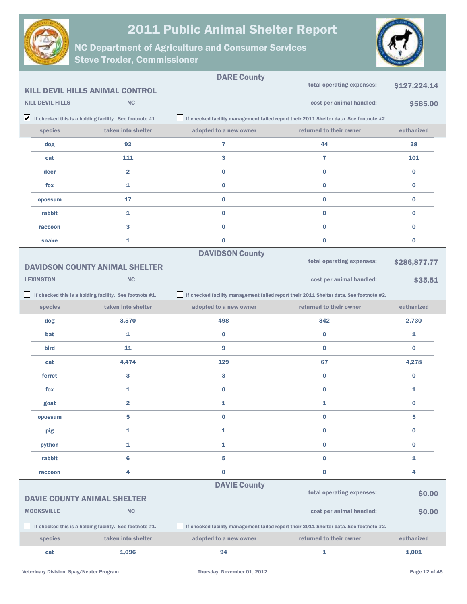



|                         |                                                                               | <b>DARE County</b>     |                                                                                        |              |
|-------------------------|-------------------------------------------------------------------------------|------------------------|----------------------------------------------------------------------------------------|--------------|
|                         | <b>KILL DEVIL HILLS ANIMAL CONTROL</b>                                        |                        | total operating expenses:                                                              | \$127,224.14 |
| <b>KILL DEVIL HILLS</b> | <b>NC</b>                                                                     |                        | cost per animal handled:                                                               | \$565.00     |
|                         | $\blacktriangleright$ If checked this is a holding facility. See footnote #1. |                        | If checked facility management failed report their 2011 Shelter data. See footnote #2. |              |
| species                 | taken into shelter                                                            | adopted to a new owner | returned to their owner                                                                | euthanized   |
| dog                     | 92                                                                            | 7                      | 44                                                                                     | 38           |
| cat                     | 111                                                                           | 3                      | $\overline{7}$                                                                         | 101          |
| deer                    | $\overline{2}$                                                                | 0                      | $\bf{0}$                                                                               | $\bf{0}$     |
| fox                     | 1                                                                             | 0                      | $\bf{0}$                                                                               | $\bf{0}$     |
| opossum                 | 17                                                                            | 0                      | $\bf{0}$                                                                               | $\bf{0}$     |
| rabbit                  | 1                                                                             | 0                      | $\bf{0}$                                                                               | $\bf{0}$     |
| raccoon                 | 3                                                                             | $\bf{0}$               | $\bf{0}$                                                                               | $\bf{0}$     |
| snake                   | 1                                                                             | $\bf{0}$               | $\bf{0}$                                                                               | $\bf{0}$     |
|                         |                                                                               | <b>DAVIDSON County</b> |                                                                                        |              |
|                         | <b>DAVIDSON COUNTY ANIMAL SHELTER</b>                                         |                        | total operating expenses:                                                              | \$286,877.77 |
| <b>LEXINGTON</b>        | <b>NC</b>                                                                     |                        | cost per animal handled:                                                               | \$35.51      |
|                         | If checked this is a holding facility. See footnote #1.                       |                        | If checked facility management failed report their 2011 Shelter data. See footnote #2. |              |
| species                 | taken into shelter                                                            | adopted to a new owner | returned to their owner                                                                | euthanized   |
| dog                     | 3,570                                                                         | 498                    | 342                                                                                    | 2,730        |
| bat                     | 1                                                                             | 0                      | $\bf{0}$                                                                               | 1            |
| bird                    | 11                                                                            | 9                      | $\bf{0}$                                                                               | $\bf{0}$     |
| cat                     | 4,474                                                                         | 129                    | 67                                                                                     | 4,278        |
| ferret                  | 3                                                                             | 3                      | $\bf{0}$                                                                               | $\bf{0}$     |
| fox                     | 1                                                                             | $\bf{0}$               | 0                                                                                      | 1            |
| goat                    | $\overline{\mathbf{2}}$                                                       | 1                      | 1                                                                                      | $\bf{0}$     |
| opossum                 | 5                                                                             | 0                      | 0                                                                                      | 5            |
| pig                     | 1                                                                             | 1                      | $\bf{0}$                                                                               | $\bf{0}$     |
| python                  | 1                                                                             | 1                      | 0                                                                                      | $\bf{0}$     |
| rabbit                  | 6                                                                             | 5                      | 0                                                                                      | 1            |
| raccoon                 | 4                                                                             | $\bf{0}$               | 0                                                                                      | 4            |
|                         |                                                                               | <b>DAVIE County</b>    | total operating expenses:                                                              | \$0.00       |
|                         | <b>DAVIE COUNTY ANIMAL SHELTER</b>                                            |                        |                                                                                        |              |
| <b>MOCKSVILLE</b>       | <b>NC</b>                                                                     |                        | cost per animal handled:                                                               | \$0.00       |
|                         | If checked this is a holding facility. See footnote #1.                       |                        | If checked facility management failed report their 2011 Shelter data. See footnote #2. |              |
| species                 | taken into shelter                                                            | adopted to a new owner | returned to their owner                                                                | euthanized   |
| cat                     | 1,096                                                                         | 94                     | 1                                                                                      | 1,001        |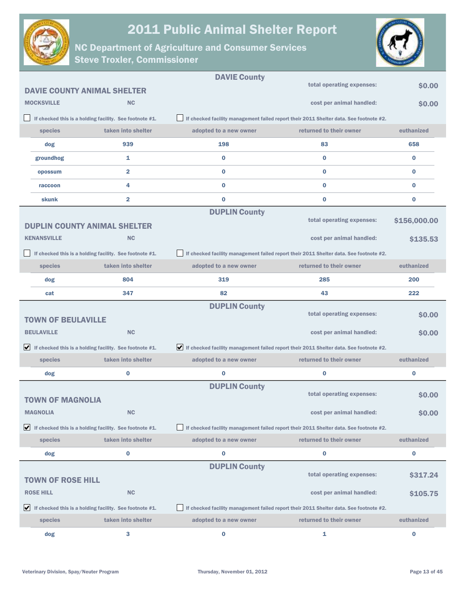



|                                     |                                                                               | <b>DAVIE County</b>    |                                                                                        |              |
|-------------------------------------|-------------------------------------------------------------------------------|------------------------|----------------------------------------------------------------------------------------|--------------|
| <b>DAVIE COUNTY ANIMAL SHELTER</b>  |                                                                               |                        | total operating expenses:                                                              | \$0.00       |
| <b>MOCKSVILLE</b>                   | <b>NC</b>                                                                     |                        | cost per animal handled:                                                               | \$0.00       |
|                                     | If checked this is a holding facility. See footnote #1.                       |                        | If checked facility management failed report their 2011 Shelter data. See footnote #2. |              |
| species                             | taken into shelter                                                            | adopted to a new owner | returned to their owner                                                                | euthanized   |
| dog                                 | 939                                                                           | 198                    | 83                                                                                     | 658          |
| groundhog                           | 1                                                                             | $\bf{0}$               | $\bf{0}$                                                                               | 0            |
| opossum                             | $\overline{\mathbf{2}}$                                                       | $\bf{0}$               | $\bf{0}$                                                                               | 0            |
| raccoon                             | 4                                                                             | $\bf{0}$               | $\bf{0}$                                                                               | 0            |
| skunk                               | $\overline{\mathbf{2}}$                                                       | $\bf{0}$               | $\bf{0}$                                                                               | 0            |
|                                     |                                                                               | <b>DUPLIN County</b>   |                                                                                        |              |
| <b>DUPLIN COUNTY ANIMAL SHELTER</b> |                                                                               |                        | total operating expenses:                                                              | \$156,000.00 |
| <b>KENANSVILLE</b>                  | <b>NC</b>                                                                     |                        | cost per animal handled:                                                               | \$135.53     |
|                                     | If checked this is a holding facility. See footnote #1.                       |                        | If checked facility management failed report their 2011 Shelter data. See footnote #2. |              |
| species                             | taken into shelter                                                            | adopted to a new owner | returned to their owner                                                                | euthanized   |
| dog                                 | 804                                                                           | 319                    | 285                                                                                    | 200          |
| cat                                 | 347                                                                           | 82                     | 43                                                                                     | 222          |
|                                     |                                                                               | <b>DUPLIN County</b>   | total operating expenses:                                                              |              |
| <b>TOWN OF BEULAVILLE</b>           |                                                                               |                        |                                                                                        | \$0.00       |
| <b>BEULAVILLE</b>                   | <b>NC</b>                                                                     |                        | cost per animal handled:                                                               | \$0.00       |
|                                     | $\blacktriangleright$ If checked this is a holding facility. See footnote #1. |                        | If checked facility management failed report their 2011 Shelter data. See footnote #2. |              |
| species                             | taken into shelter                                                            | adopted to a new owner | returned to their owner                                                                | euthanized   |
| dog                                 | $\bf{0}$                                                                      | 0                      | $\bf{0}$                                                                               | 0            |
|                                     |                                                                               | <b>DUPLIN County</b>   |                                                                                        |              |
| <b>TOWN OF MAGNOLIA</b>             |                                                                               |                        | total operating expenses:                                                              | \$0.00       |
| <b>MAGNOLIA</b>                     | <b>NC</b>                                                                     |                        | cost per animal handled:                                                               | \$0.00       |
|                                     | $\blacktriangleright$ If checked this is a holding facility. See footnote #1. |                        | If checked facility management failed report their 2011 Shelter data. See footnote #2. |              |
| species                             | taken into shelter                                                            | adopted to a new owner | returned to their owner                                                                | euthanized   |
| dog                                 | $\bf{0}$                                                                      | $\bf{0}$               | 0                                                                                      | 0            |
|                                     |                                                                               | <b>DUPLIN County</b>   |                                                                                        |              |
| <b>TOWN OF ROSE HILL</b>            |                                                                               |                        | total operating expenses:                                                              | \$317.24     |
| <b>ROSE HILL</b>                    | <b>NC</b>                                                                     |                        | cost per animal handled:                                                               | \$105.75     |
|                                     | $\blacktriangleright$ If checked this is a holding facility. See footnote #1. |                        | If checked facility management failed report their 2011 Shelter data. See footnote #2. |              |
| species                             | taken into shelter                                                            | adopted to a new owner | returned to their owner                                                                | euthanized   |
| dog                                 | 3                                                                             | 0                      | 1                                                                                      | $\bf{0}$     |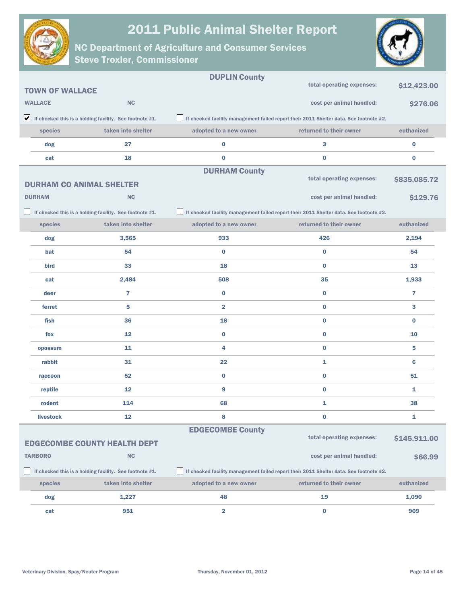



|                        |                                                                               | <b>DUPLIN County</b>    |                                                                                        |              |
|------------------------|-------------------------------------------------------------------------------|-------------------------|----------------------------------------------------------------------------------------|--------------|
| <b>TOWN OF WALLACE</b> |                                                                               |                         | total operating expenses:                                                              | \$12,423.00  |
| <b>WALLACE</b>         | <b>NC</b>                                                                     |                         | cost per animal handled:                                                               | \$276.06     |
|                        | $\blacktriangleright$ If checked this is a holding facility. See footnote #1. |                         | If checked facility management failed report their 2011 Shelter data. See footnote #2. |              |
| species                | taken into shelter                                                            | adopted to a new owner  | returned to their owner                                                                | euthanized   |
| dog                    | 27                                                                            | 0                       | 3                                                                                      | 0            |
| cat                    | 18                                                                            | $\bf{0}$                | $\bf{0}$                                                                               | $\bf{0}$     |
|                        |                                                                               | <b>DURHAM County</b>    | total operating expenses:                                                              |              |
|                        | <b>DURHAM CO ANIMAL SHELTER</b>                                               |                         |                                                                                        | \$835,085.72 |
| <b>DURHAM</b>          | <b>NC</b>                                                                     |                         | cost per animal handled:                                                               | \$129.76     |
|                        | If checked this is a holding facility. See footnote #1.                       |                         | If checked facility management failed report their 2011 Shelter data. See footnote #2. |              |
| species                | taken into shelter                                                            | adopted to a new owner  | returned to their owner                                                                | euthanized   |
| dog                    | 3,565                                                                         | 933                     | 426                                                                                    | 2,194        |
| bat                    | 54                                                                            | $\bf{0}$                | $\bf{0}$                                                                               | 54           |
| bird                   | 33                                                                            | 18                      | $\bf{0}$                                                                               | 13           |
| cat                    | 2,484                                                                         | 508                     | 35                                                                                     | 1,933        |
| deer                   | $\overline{7}$                                                                | $\bf{0}$                | $\bf{0}$                                                                               | 7            |
| ferret                 | 5                                                                             | $\overline{\mathbf{2}}$ | $\bf{0}$                                                                               | 3            |
| fish                   | 36                                                                            | 18                      | $\bf{0}$                                                                               | $\bf{0}$     |
| fox                    | 12                                                                            | $\bf{0}$                | $\bf{0}$                                                                               | 10           |
| opossum                | 11                                                                            | 4                       | $\bf{0}$                                                                               | 5            |
| rabbit                 | 31                                                                            | 22                      | 1                                                                                      | 6            |
| raccoon                | 52                                                                            | $\bf{0}$                | $\bf{0}$                                                                               | 51           |
| reptile                | 12                                                                            | 9                       | $\bf{0}$                                                                               | 1            |
| rodent                 | 114                                                                           | 68                      | 1                                                                                      | 38           |
| livestock              | 12                                                                            | 8                       | 0                                                                                      | 1            |
|                        |                                                                               | <b>EDGECOMBE County</b> |                                                                                        |              |
|                        | <b>EDGECOMBE COUNTY HEALTH DEPT</b>                                           |                         | total operating expenses:                                                              | \$145,911.00 |
| <b>TARBORO</b>         | NC                                                                            |                         | cost per animal handled:                                                               | \$66.99      |
|                        | If checked this is a holding facility. See footnote #1.                       |                         | If checked facility management failed report their 2011 Shelter data. See footnote #2. |              |
| species                | taken into shelter                                                            | adopted to a new owner  | returned to their owner                                                                | euthanized   |
| dog                    | 1,227                                                                         | 48                      | 19                                                                                     | 1,090        |
| cat                    | 951                                                                           | 2                       | 0                                                                                      | 909          |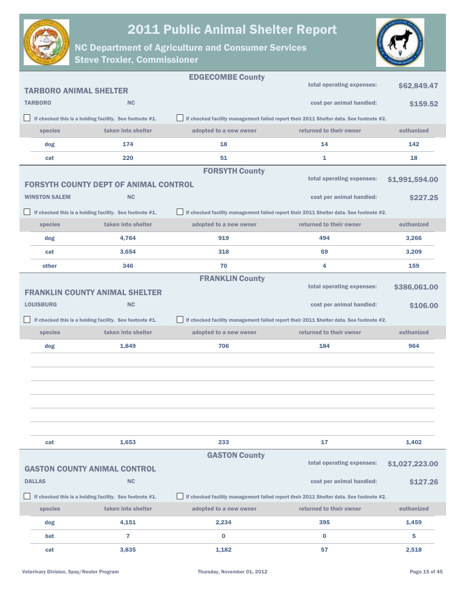



|                               |                                                         | <b>EDGECOMBE County</b>                                                                |                                                                                        |                 |
|-------------------------------|---------------------------------------------------------|----------------------------------------------------------------------------------------|----------------------------------------------------------------------------------------|-----------------|
| <b>TARBORO ANIMAL SHELTER</b> |                                                         |                                                                                        | total operating expenses:                                                              | \$62,849.47     |
| <b>TARBORO</b>                | <b>NC</b>                                               |                                                                                        | cost per animal handled:                                                               | \$159.52        |
|                               | If checked this is a holding facility. See footnote #1. |                                                                                        | If checked facility management failed report their 2011 Shelter data. See footnote #2. |                 |
| species                       | taken into shelter                                      | adopted to a new owner                                                                 | returned to their owner                                                                | euthanized      |
| dog                           | 174                                                     | 18                                                                                     | 14                                                                                     | 142             |
| cat                           | 220                                                     | 51                                                                                     | 1                                                                                      | 18              |
|                               |                                                         | <b>FORSYTH County</b>                                                                  |                                                                                        |                 |
|                               | <b>FORSYTH COUNTY DEPT OF ANIMAL CONTROL</b>            |                                                                                        | total operating expenses:                                                              | \$1,991,594.00  |
| <b>WINSTON SALEM</b>          | <b>NC</b>                                               |                                                                                        | cost per animal handled:                                                               | <b>\$227.25</b> |
|                               | If checked this is a holding facility. See footnote #1. |                                                                                        | If checked facility management failed report their 2011 Shelter data. See footnote #2. |                 |
| species                       | taken into shelter                                      | adopted to a new owner                                                                 | returned to their owner                                                                | euthanized      |
| dog                           | 4,764                                                   | 919                                                                                    | 494                                                                                    | 3,266           |
| cat                           | 3,654                                                   | 318                                                                                    | 69                                                                                     | 3,209           |
| other                         | 346                                                     | 70                                                                                     | 4                                                                                      | 159             |
|                               |                                                         | <b>FRANKLIN County</b>                                                                 |                                                                                        |                 |
|                               | <b>FRANKLIN COUNTY ANIMAL SHELTER</b>                   |                                                                                        | total operating expenses:                                                              | \$386,061.00    |
| <b>LOUISBURG</b>              | <b>NC</b>                                               |                                                                                        | cost per animal handled:                                                               | \$106.00        |
|                               | If checked this is a holding facility. See footnote #1. | If checked facility management failed report their 2011 Shelter data. See footnote #2. |                                                                                        |                 |
| species                       | taken into shelter                                      | adopted to a new owner                                                                 | returned to their owner                                                                | euthanized      |
| dog                           | 1,849                                                   | 706                                                                                    | 184                                                                                    | 964             |
|                               |                                                         |                                                                                        |                                                                                        |                 |
|                               |                                                         |                                                                                        |                                                                                        |                 |
|                               |                                                         |                                                                                        |                                                                                        |                 |
|                               |                                                         |                                                                                        |                                                                                        |                 |
|                               |                                                         |                                                                                        |                                                                                        |                 |
|                               |                                                         |                                                                                        |                                                                                        |                 |
| cat                           | 1,653                                                   | 233                                                                                    | 17                                                                                     | 1,402           |
|                               |                                                         | <b>GASTON County</b>                                                                   |                                                                                        |                 |
|                               | <b>GASTON COUNTY ANIMAL CONTROL</b>                     |                                                                                        | total operating expenses:                                                              | \$1,027,223.00  |
| <b>DALLAS</b>                 | <b>NC</b>                                               |                                                                                        | cost per animal handled:                                                               | \$127.26        |
|                               | If checked this is a holding facility. See footnote #1. | If checked facility management failed report their 2011 Shelter data. See footnote #2. |                                                                                        |                 |
| species                       | taken into shelter                                      | adopted to a new owner                                                                 | returned to their owner                                                                | euthanized      |
| dog                           | 4,151                                                   | 2,234                                                                                  | 395                                                                                    | 1,459           |
| bat                           | $\overline{7}$                                          | $\bf{0}$                                                                               | $\bf{0}$                                                                               | 5               |
| cat                           | 3,835                                                   | 1,182                                                                                  | 57                                                                                     | 2,518           |
|                               |                                                         |                                                                                        |                                                                                        |                 |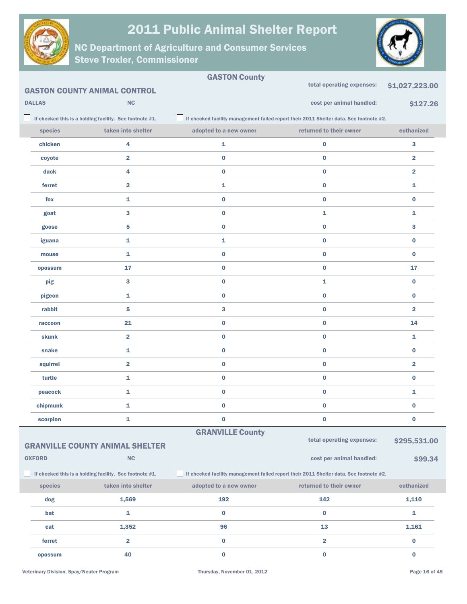



|               |                                                         | <b>GASTON County</b>    |                                                                                        |                         |
|---------------|---------------------------------------------------------|-------------------------|----------------------------------------------------------------------------------------|-------------------------|
|               | <b>GASTON COUNTY ANIMAL CONTROL</b>                     |                         | total operating expenses:                                                              | \$1,027,223.00          |
| <b>DALLAS</b> | <b>NC</b>                                               |                         | cost per animal handled:                                                               | \$127.26                |
|               | If checked this is a holding facility. See footnote #1. |                         | If checked facility management failed report their 2011 Shelter data. See footnote #2. |                         |
| species       | taken into shelter                                      | adopted to a new owner  | returned to their owner                                                                | euthanized              |
| chicken       | 4                                                       | 1                       | 0                                                                                      | 3                       |
| coyote        | 2                                                       | $\bf{0}$                | $\bf{0}$                                                                               | $\overline{\mathbf{2}}$ |
| duck          | 4                                                       | $\bf{0}$                | $\bf{0}$                                                                               | $\overline{\mathbf{2}}$ |
| ferret        | $\overline{\mathbf{2}}$                                 | 1                       | $\pmb{0}$                                                                              | 1                       |
| fox           | 1                                                       | $\bf{0}$                | $\bf{0}$                                                                               | $\bf{0}$                |
| goat          | 3                                                       | $\bf{0}$                | 1                                                                                      | 1                       |
| goose         | 5                                                       | $\bf{0}$                | $\bf{0}$                                                                               | 3                       |
| iguana        | 1                                                       | 1                       | $\bf{0}$                                                                               | $\bf{0}$                |
| mouse         | 1                                                       | $\bf{0}$                | $\bf{0}$                                                                               | $\bf{0}$                |
| opossum       | 17                                                      | $\bf{0}$                | $\bf{0}$                                                                               | 17                      |
| pig           | 3                                                       | $\bf{0}$                | 1                                                                                      | $\bf{0}$                |
| pigeon        | 1                                                       | $\bf{0}$                | $\bf{0}$                                                                               | $\bf{0}$                |
| rabbit        | 5                                                       | 3                       | $\bf{0}$                                                                               | $\overline{\mathbf{2}}$ |
| raccoon       | 21                                                      | $\bf{0}$                | $\bf{0}$                                                                               | 14                      |
| skunk         | $\overline{\mathbf{2}}$                                 | $\bf{0}$                | $\bf{0}$                                                                               | 1                       |
| snake         | 1                                                       | $\bf{0}$                | 0                                                                                      | $\bf{0}$                |
| squirrel      | $\overline{\mathbf{2}}$                                 | $\bf{0}$                | $\bf{0}$                                                                               | $\overline{\mathbf{2}}$ |
| turtle        | 1                                                       | $\bf{0}$                | $\bf{0}$                                                                               | 0                       |
| peacock       | 1                                                       | $\bf{0}$                | $\bf{0}$                                                                               | 1                       |
| chipmunk      | 1                                                       | $\bf{0}$                | $\bf{0}$                                                                               | $\bf{0}$                |
| scorpion      | 1                                                       | $\bf{0}$                | 0                                                                                      | 0                       |
|               |                                                         | <b>GRANVILLE County</b> |                                                                                        |                         |
|               | <b>GRANVILLE COUNTY ANIMAL SHELTER</b>                  |                         | total operating expenses:                                                              | \$295,531.00            |
| <b>OXFORD</b> | NC                                                      |                         | cost per animal handled:                                                               | \$99.34                 |
|               | If checked this is a holding facility. See footnote #1. |                         | If checked facility management failed report their 2011 Shelter data. See footnote #2. |                         |
| species       | taken into shelter                                      | adopted to a new owner  | returned to their owner                                                                | euthanized              |
| dog           | 1,569                                                   | 192                     | 142                                                                                    | 1,110                   |
| bat           | 1                                                       | $\bf{0}$                | $\bf{0}$                                                                               | 1                       |
| cat           | 1,352                                                   | 96                      | 13                                                                                     | 1,161                   |
| ferret        | $\overline{\mathbf{2}}$                                 | $\mathbf 0$             | $\overline{\mathbf{2}}$                                                                | 0                       |
| opossum       | 40                                                      | $\bf{0}$                | $\bf{0}$                                                                               | $\bf{0}$                |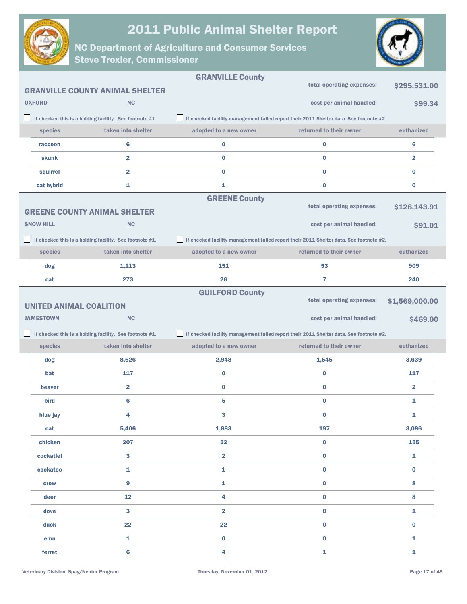



|                                                         |                                        | <b>GRANVILLE County</b> |                                                                                        |                         |
|---------------------------------------------------------|----------------------------------------|-------------------------|----------------------------------------------------------------------------------------|-------------------------|
|                                                         | <b>GRANVILLE COUNTY ANIMAL SHELTER</b> |                         | total operating expenses:                                                              | \$295,531.00            |
| <b>OXFORD</b>                                           | <b>NC</b>                              |                         | cost per animal handled:                                                               | \$99.34                 |
| If checked this is a holding facility. See footnote #1. |                                        |                         | If checked facility management failed report their 2011 Shelter data. See footnote #2. |                         |
| species                                                 | taken into shelter                     | adopted to a new owner  | returned to their owner                                                                | euthanized              |
| raccoon                                                 | 6                                      | 0                       | 0                                                                                      | 6                       |
| skunk                                                   | $\overline{\mathbf{2}}$                | 0                       | 0                                                                                      | $\overline{2}$          |
| squirrel                                                | $\overline{\mathbf{2}}$                | 0                       | 0                                                                                      | $\bf{0}$                |
| cat hybrid                                              | 1                                      | 1                       | 0                                                                                      | $\bf{0}$                |
|                                                         |                                        | <b>GREENE County</b>    |                                                                                        |                         |
| <b>GREENE COUNTY ANIMAL SHELTER</b>                     |                                        |                         | total operating expenses:                                                              | \$126,143.91            |
| <b>SNOW HILL</b>                                        | <b>NC</b>                              |                         | cost per animal handled:                                                               | \$91.01                 |
| If checked this is a holding facility. See footnote #1. |                                        |                         | If checked facility management failed report their 2011 Shelter data. See footnote #2. |                         |
| species                                                 | taken into shelter                     | adopted to a new owner  | returned to their owner                                                                | euthanized              |
| dog                                                     | 1,113                                  | 151                     | 53                                                                                     | 909                     |
| cat                                                     | 273                                    | 26                      | 7                                                                                      | 240                     |
|                                                         |                                        | <b>GUILFORD County</b>  |                                                                                        |                         |
| <b>UNITED ANIMAL COALITION</b>                          |                                        |                         | total operating expenses:                                                              | \$1,569,000.00          |
| <b>JAMESTOWN</b>                                        | <b>NC</b>                              |                         | cost per animal handled:                                                               | \$469.00                |
| If checked this is a holding facility. See footnote #1. |                                        |                         | If checked facility management failed report their 2011 Shelter data. See footnote #2. |                         |
| species                                                 | taken into shelter                     | adopted to a new owner  | returned to their owner                                                                | euthanized              |
| dog                                                     | 8,626                                  | 2,948                   | 1,545                                                                                  | 3,639                   |
| bat                                                     | 117                                    | 0                       | 0                                                                                      | 117                     |
| beaver                                                  | $\overline{\mathbf{2}}$                | 0                       | 0                                                                                      | $\overline{\mathbf{2}}$ |
| bird                                                    | 6                                      | 5                       | 0                                                                                      | 1                       |
| blue jay                                                | 4                                      | 3                       | 0                                                                                      | 1                       |
| cat                                                     | 5,406                                  | 1,883                   | 197                                                                                    | 3,086                   |
| chicken                                                 | 207                                    | 52                      | 0                                                                                      | 155                     |
| cockatiel                                               | $\mathbf{3}$                           | $\overline{\mathbf{2}}$ | $\pmb{0}$                                                                              | $\mathbf{1}$            |
| cockatoo                                                | 1                                      | 1                       | $\mathbf 0$                                                                            | $\bf{0}$                |
| <b>crow</b>                                             | 9                                      | 1                       | $\pmb{0}$                                                                              | 8                       |
| deer                                                    | 12                                     | 4                       | $\mathbf 0$                                                                            | 8                       |
| dove                                                    | $\mathbf{3}$                           | $\overline{\mathbf{2}}$ | $\pmb{0}$                                                                              | $\mathbf 1$             |
| duck                                                    | 22                                     | 22                      | $\pmb{0}$                                                                              | $\bf{0}$                |
| emu                                                     | 1                                      | 0                       | $\pmb{0}$                                                                              | $\mathbf 1$             |
|                                                         |                                        |                         |                                                                                        |                         |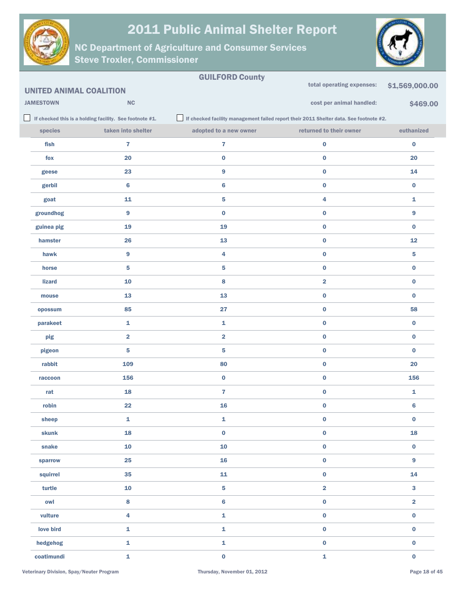



|                                |                                                         | <b>GUILFORD County</b>  | total operating expenses:                                                                     |                         |
|--------------------------------|---------------------------------------------------------|-------------------------|-----------------------------------------------------------------------------------------------|-------------------------|
| <b>UNITED ANIMAL COALITION</b> |                                                         |                         |                                                                                               | \$1,569,000.00          |
| <b>JAMESTOWN</b>               | NC                                                      |                         | cost per animal handled:                                                                      | \$469.00                |
|                                | If checked this is a holding facility. See footnote #1. |                         | $\Box$ If checked facility management failed report their 2011 Shelter data. See footnote #2. |                         |
| species                        | taken into shelter                                      | adopted to a new owner  | returned to their owner                                                                       | euthanized              |
| fish                           | $\overline{7}$                                          | $\overline{7}$          | $\bf{0}$                                                                                      | $\bf{0}$                |
| fox                            | 20                                                      | $\pmb{0}$               | $\pmb{0}$                                                                                     | 20                      |
| geese                          | 23                                                      | 9                       | $\bf{0}$                                                                                      | 14                      |
| gerbil                         | 6                                                       | 6                       | $\pmb{0}$                                                                                     | $\bf{0}$                |
| goat                           | 11                                                      | 5                       | 4                                                                                             | 1                       |
| groundhog                      | 9                                                       | $\pmb{0}$               | $\pmb{0}$                                                                                     | 9                       |
| guinea pig                     | 19                                                      | 19                      | $\bf{0}$                                                                                      | $\bf{0}$                |
| hamster                        | 26                                                      | 13                      | $\pmb{0}$                                                                                     | 12                      |
| hawk                           | 9                                                       | 4                       | $\bf{0}$                                                                                      | 5                       |
| horse                          | 5                                                       | 5                       | $\bf{0}$                                                                                      | 0                       |
| <b>lizard</b>                  | 10                                                      | 8                       | $\overline{2}$                                                                                | 0                       |
| mouse                          | 13                                                      | 13                      | $\pmb{0}$                                                                                     | 0                       |
| opossum                        | 85                                                      | 27                      | $\bf{0}$                                                                                      | 58                      |
| parakeet                       | 1                                                       | 1                       | $\pmb{0}$                                                                                     | 0                       |
| pig                            | $\overline{\mathbf{2}}$                                 | $\overline{\mathbf{2}}$ | $\bf{0}$                                                                                      | $\bf{0}$                |
| pigeon                         | 5                                                       | 5                       | $\pmb{0}$                                                                                     | 0                       |
| rabbit                         | 109                                                     | 80                      | $\bf{0}$                                                                                      | 20                      |
| raccoon                        | 156                                                     | 0                       | $\pmb{0}$                                                                                     | 156                     |
| rat                            | 18                                                      | 7                       | $\bf{0}$                                                                                      | 1                       |
| robin                          | 22                                                      | 16                      | $\pmb{0}$                                                                                     | 6                       |
| sheep                          | 1                                                       | 1                       | $\pmb{0}$                                                                                     | $\pmb{0}$               |
| skunk                          | 18                                                      | $\mathbf 0$             | $\pmb{0}$                                                                                     | 18                      |
| snake                          | ${\bf 10}$                                              | ${\bf 10}$              | $\pmb{0}$                                                                                     | $\pmb{0}$               |
| sparrow                        | 25                                                      | 16                      | $\pmb{0}$                                                                                     | 9                       |
| squirrel                       | 35                                                      | 11                      | $\pmb{0}$                                                                                     | 14                      |
| turtle                         | ${\bf 10}$                                              | 5                       | $\overline{\mathbf{2}}$                                                                       | 3                       |
| owl                            | 8                                                       | 6                       | $\pmb{0}$                                                                                     | $\overline{\mathbf{2}}$ |
| vulture                        | $\overline{\mathbf{4}}$                                 | 1                       | $\pmb{0}$                                                                                     | $\pmb{0}$               |
| love bird                      | $\mathbf 1$                                             | $\mathbf{1}$            | $\pmb{0}$                                                                                     | $\bf{0}$                |
| hedgehog                       | $\mathbf{1}$                                            | 1                       | $\pmb{0}$                                                                                     | $\bf{0}$                |
| coatimundi                     | $\mathbf{1}$                                            | $\bf{0}$                | $\mathbf 1$                                                                                   | $\bf{0}$                |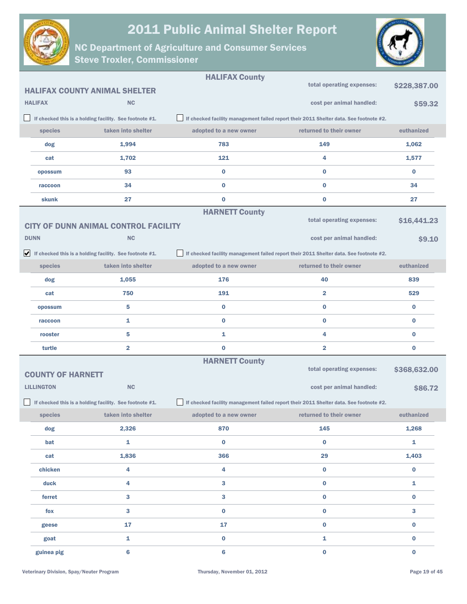



|                          |                                                                               | <b>HALIFAX County</b>  |                                                                                        |              |
|--------------------------|-------------------------------------------------------------------------------|------------------------|----------------------------------------------------------------------------------------|--------------|
|                          | <b>HALIFAX COUNTY ANIMAL SHELTER</b>                                          |                        | total operating expenses:                                                              | \$228,387.00 |
| <b>HALIFAX</b>           | <b>NC</b>                                                                     |                        | cost per animal handled:                                                               | \$59.32      |
|                          | If checked this is a holding facility. See footnote #1.                       |                        | If checked facility management failed report their 2011 Shelter data. See footnote #2. |              |
| species                  | taken into shelter                                                            | adopted to a new owner | returned to their owner                                                                | euthanized   |
| dog                      | 1,994                                                                         | 783                    | 149                                                                                    | 1,062        |
| cat                      | 1,702                                                                         | 121                    | 4                                                                                      | 1,577        |
| opossum                  | 93                                                                            | 0                      | 0                                                                                      | $\bf{0}$     |
| raccoon                  | 34                                                                            | 0                      | $\bf{0}$                                                                               | 34           |
| skunk                    | 27                                                                            | $\bf{0}$               | $\bf{0}$                                                                               | 27           |
|                          | <b>CITY OF DUNN ANIMAL CONTROL FACILITY</b>                                   | <b>HARNETT County</b>  | total operating expenses:                                                              | \$16,441.23  |
| <b>DUNN</b>              | <b>NC</b>                                                                     |                        | cost per animal handled:                                                               | \$9.10       |
|                          | $\blacktriangleright$ If checked this is a holding facility. See footnote #1. |                        | If checked facility management failed report their 2011 Shelter data. See footnote #2. |              |
| species                  | taken into shelter                                                            | adopted to a new owner | returned to their owner                                                                | euthanized   |
| dog                      | 1,055                                                                         | 176                    | 40                                                                                     | 839          |
| cat                      | 750                                                                           | 191                    | $\overline{\mathbf{2}}$                                                                | 529          |
| opossum                  | 5                                                                             | 0                      | 0                                                                                      | $\bf{0}$     |
| raccoon                  | 1                                                                             | 0                      | 0                                                                                      | 0            |
| rooster                  | 5                                                                             | 1                      | 4                                                                                      | 0            |
| turtle                   | $\overline{\mathbf{2}}$                                                       | 0                      | $\overline{\mathbf{2}}$                                                                | 0            |
| <b>COUNTY OF HARNETT</b> |                                                                               | <b>HARNETT County</b>  | total operating expenses:                                                              | \$368,632.00 |
| <b>LILLINGTON</b>        | <b>NC</b>                                                                     |                        | cost per animal handled:                                                               | \$86.72      |
|                          | If checked this is a holding facility. See footnote #1.                       |                        | If checked facility management failed report their 2011 Shelter data. See footnote #2. |              |
| species                  | taken into shelter                                                            | adopted to a new owner | returned to their owner                                                                | euthanized   |
| dog                      | 2,326                                                                         | 870                    | 145                                                                                    | 1,268        |
| bat                      | $\mathbf{1}$                                                                  | $\bf{0}$               | $\bf{0}$                                                                               | $\mathbf{1}$ |
| cat                      | 1,836                                                                         | 366                    | 29                                                                                     | 1,403        |
| chicken                  | 4                                                                             | 4                      | 0                                                                                      | $\bf{0}$     |
| duck                     | 4                                                                             | 3                      | $\bf{0}$                                                                               | 1            |
| ferret                   | 3                                                                             | 3                      | 0                                                                                      | $\bf{0}$     |
| fox                      | $\mathbf{3}$                                                                  | $\bf{0}$               | $\bf{0}$                                                                               | 3            |
| geese                    | 17                                                                            | 17                     | 0                                                                                      | $\bf{0}$     |
| goat                     | $\mathbf{1}$                                                                  | 0                      | 1                                                                                      | $\pmb{0}$    |
| guinea pig               | $6\phantom{1}$                                                                | 6                      | $\bf{0}$                                                                               | $\mathbf 0$  |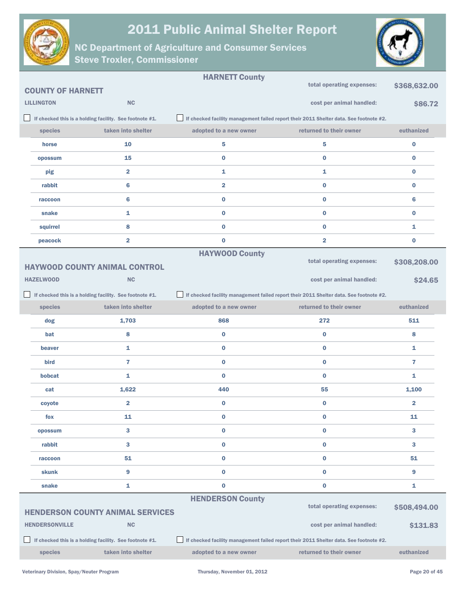



|                          |                                                         | <b>HARNETT County</b>   |                                                                                        |                         |
|--------------------------|---------------------------------------------------------|-------------------------|----------------------------------------------------------------------------------------|-------------------------|
| <b>COUNTY OF HARNETT</b> |                                                         |                         | total operating expenses:                                                              | \$368,632.00            |
| <b>LILLINGTON</b>        | <b>NC</b>                                               |                         | cost per animal handled:                                                               | \$86.72                 |
|                          | If checked this is a holding facility. See footnote #1. |                         | If checked facility management failed report their 2011 Shelter data. See footnote #2. |                         |
| species                  | taken into shelter                                      | adopted to a new owner  | returned to their owner                                                                | euthanized              |
| horse                    | 10                                                      | 5                       | 5                                                                                      | $\bf{0}$                |
| opossum                  | 15                                                      | $\bf{0}$                | $\bf{0}$                                                                               | $\bf{0}$                |
| pig                      | $\overline{\mathbf{2}}$                                 | 1                       | $\mathbf{1}$                                                                           | $\bf{0}$                |
| rabbit                   | 6                                                       | $\overline{\mathbf{2}}$ | $\bf{0}$                                                                               | $\bf{0}$                |
| raccoon                  | 6                                                       | $\bf{0}$                | $\bf{0}$                                                                               | 6                       |
| snake                    | 1                                                       | $\bf{0}$                | $\bf{0}$                                                                               | $\bf{0}$                |
| squirrel                 | 8                                                       | $\bf{0}$                | $\bf{0}$                                                                               | 1                       |
| peacock                  | $\overline{2}$                                          | $\bf{0}$                | $\overline{2}$                                                                         | $\bf{0}$                |
|                          |                                                         | <b>HAYWOOD County</b>   |                                                                                        |                         |
|                          | <b>HAYWOOD COUNTY ANIMAL CONTROL</b>                    |                         | total operating expenses:                                                              | \$308,208.00            |
| <b>HAZELWOOD</b>         | <b>NC</b>                                               |                         | cost per animal handled:                                                               | <b>\$24.65</b>          |
|                          | If checked this is a holding facility. See footnote #1. |                         | If checked facility management failed report their 2011 Shelter data. See footnote #2. |                         |
| species                  | taken into shelter                                      | adopted to a new owner  | returned to their owner                                                                | euthanized              |
|                          |                                                         |                         |                                                                                        |                         |
| dog                      | 1,703                                                   | 868                     | 272                                                                                    | 511                     |
| bat                      | 8                                                       | $\bf{0}$                | $\bf{0}$                                                                               | 8                       |
| beaver                   | 1                                                       | $\bf{0}$                | $\bf{0}$                                                                               | 1                       |
| bird                     | $\overline{7}$                                          | $\bf{0}$                | $\bf{0}$                                                                               | 7                       |
| bobcat                   | 1                                                       | $\bf{0}$                | $\bf{0}$                                                                               | 1                       |
| cat                      | 1,622                                                   | 440                     | 55                                                                                     | 1,100                   |
| coyote                   | $\overline{\mathbf{2}}$                                 | $\bf{0}$                | $\bf{0}$                                                                               | $\overline{\mathbf{2}}$ |
| fox                      | 11                                                      | $\bf{0}$                | 0                                                                                      | 11                      |
| opossum                  | 3                                                       | $\bf{0}$                | $\bf{0}$                                                                               | 3                       |
| rabbit                   | 3                                                       | $\bf{0}$                | $\bf{0}$                                                                               | 3                       |
| raccoon                  | 51                                                      | $\bf{0}$                | $\bf{0}$                                                                               | 51                      |
| <b>skunk</b>             | 9                                                       | $\bf{0}$                | $\bf{0}$                                                                               | 9                       |
| snake                    | 1                                                       | $\bf{0}$                | $\bf{0}$                                                                               | 1                       |
|                          |                                                         | <b>HENDERSON County</b> |                                                                                        |                         |
|                          | <b>HENDERSON COUNTY ANIMAL SERVICES</b>                 |                         | total operating expenses:                                                              | \$508,494.00            |
| <b>HENDERSONVILLE</b>    | NC                                                      |                         | cost per animal handled:                                                               | \$131.83                |
|                          | If checked this is a holding facility. See footnote #1. |                         | If checked facility management failed report their 2011 Shelter data. See footnote #2. |                         |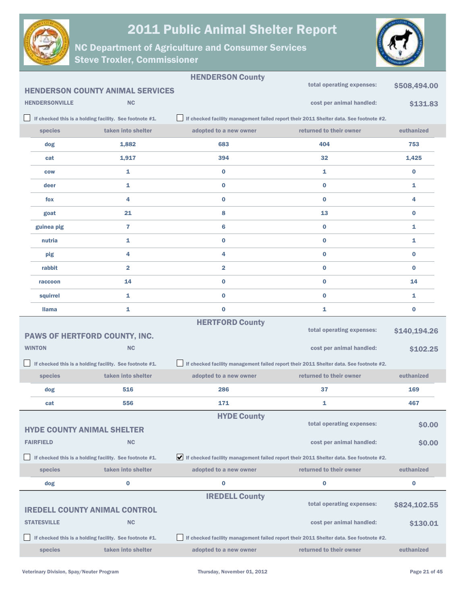



|                                   |                                                         | <b>HENDERSON County</b> |                                                                                        |              |
|-----------------------------------|---------------------------------------------------------|-------------------------|----------------------------------------------------------------------------------------|--------------|
|                                   | <b>HENDERSON COUNTY ANIMAL SERVICES</b>                 |                         | total operating expenses:                                                              | \$508,494.00 |
| <b>HENDERSONVILLE</b>             | <b>NC</b>                                               |                         | cost per animal handled:                                                               | \$131.83     |
|                                   | If checked this is a holding facility. See footnote #1. |                         | If checked facility management failed report their 2011 Shelter data. See footnote #2. |              |
| species                           | taken into shelter                                      | adopted to a new owner  | returned to their owner                                                                | euthanized   |
| dog                               | 1,882                                                   | 683                     | 404                                                                                    | 753          |
| cat                               | 1,917                                                   | 394                     | 32                                                                                     | 1,425        |
| <b>COW</b>                        | 1                                                       | 0                       | 1                                                                                      | 0            |
| deer                              | 1                                                       | 0                       | $\bf{0}$                                                                               | 1            |
| fox                               | 4                                                       | 0                       | $\bf{0}$                                                                               | 4            |
| goat                              | 21                                                      | 8                       | 13                                                                                     | 0            |
| guinea pig                        | 7                                                       | 6                       | $\bf{0}$                                                                               | 1            |
| nutria                            | 1                                                       | 0                       | 0                                                                                      | 1            |
| pig                               | 4                                                       | 4                       | $\bf{0}$                                                                               | $\bf{0}$     |
| rabbit                            | $\overline{\mathbf{2}}$                                 | $\overline{\mathbf{2}}$ | 0                                                                                      | $\bf{0}$     |
| raccoon                           | 14                                                      | $\bf{0}$                | $\bf{0}$                                                                               | 14           |
| squirrel                          | 1                                                       | 0                       | 0                                                                                      | 1            |
| <b>Ilama</b>                      | 1                                                       | $\bf{0}$                | 1                                                                                      | $\bf{0}$     |
|                                   |                                                         | <b>HERTFORD County</b>  |                                                                                        |              |
|                                   | PAWS OF HERTFORD COUNTY, INC.                           |                         | total operating expenses:                                                              | \$140,194.26 |
| <b>WINTON</b>                     | <b>NC</b>                                               |                         | cost per animal handled:                                                               | \$102.25     |
|                                   | If checked this is a holding facility. See footnote #1. |                         | If checked facility management failed report their 2011 Shelter data. See footnote #2. |              |
| species                           | taken into shelter                                      | adopted to a new owner  | returned to their owner                                                                | euthanized   |
| dog                               | 516                                                     | 286                     | 37                                                                                     | 169          |
| cat                               | 556                                                     | 171                     | 1                                                                                      | 467          |
|                                   |                                                         | <b>HYDE County</b>      | total operating expenses:                                                              |              |
| <b>HYDE COUNTY ANIMAL SHELTER</b> |                                                         |                         |                                                                                        | \$0.00       |
| <b>FAIRFIELD</b>                  | <b>NC</b>                                               |                         | cost per animal handled:                                                               | \$0.00       |
|                                   | If checked this is a holding facility. See footnote #1. |                         | If checked facility management failed report their 2011 Shelter data. See footnote #2. |              |
| species                           | taken into shelter                                      | adopted to a new owner  | returned to their owner                                                                | euthanized   |
| dog                               | $\bf{0}$                                                | $\bf{0}$                | $\bf{0}$                                                                               | 0            |
|                                   |                                                         | <b>IREDELL County</b>   | total operating expenses:                                                              | \$824,102.55 |
|                                   | <b>IREDELL COUNTY ANIMAL CONTROL</b>                    |                         |                                                                                        |              |
| <b>STATESVILLE</b>                | <b>NC</b>                                               |                         | cost per animal handled:                                                               | \$130.01     |
|                                   | If checked this is a holding facility. See footnote #1. |                         | If checked facility management failed report their 2011 Shelter data. See footnote #2. |              |
| species                           | taken into shelter                                      | adopted to a new owner  | returned to their owner                                                                | euthanized   |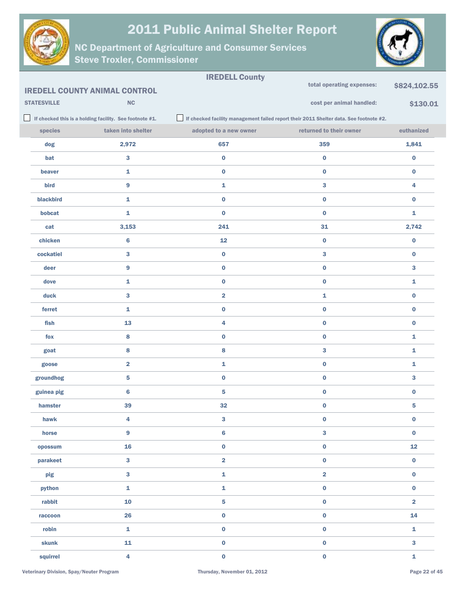



|                    |                                                         | <b>IREDELL County</b>   |                                                                                        |                         |
|--------------------|---------------------------------------------------------|-------------------------|----------------------------------------------------------------------------------------|-------------------------|
|                    | <b>IREDELL COUNTY ANIMAL CONTROL</b>                    |                         | total operating expenses:                                                              | \$824,102.55            |
| <b>STATESVILLE</b> | $\mathsf{NC}$                                           |                         | cost per animal handled:                                                               | \$130.01                |
|                    | If checked this is a holding facility. See footnote #1. |                         | If checked facility management failed report their 2011 Shelter data. See footnote #2. |                         |
| species            | taken into shelter                                      | adopted to a new owner  | returned to their owner                                                                | euthanized              |
| dog                | 2,972                                                   | 657                     | 359                                                                                    | 1,841                   |
| bat                | 3                                                       | $\mathbf 0$             | $\pmb{0}$                                                                              | $\bf{0}$                |
| beaver             | $\mathbf{1}$                                            | $\pmb{0}$               | $\pmb{0}$                                                                              | $\pmb{0}$               |
| bird               | 9                                                       | 1                       | 3                                                                                      | 4                       |
| blackbird          | $\mathbf{1}$                                            | $\pmb{0}$               | $\pmb{0}$                                                                              | $\bf{0}$                |
| bobcat             | $\mathbf 1$                                             | $\mathbf 0$             | $\pmb{0}$                                                                              | 1                       |
| cat                | 3,153                                                   | 241                     | 31                                                                                     | 2,742                   |
| chicken            | $\bf 6$                                                 | 12                      | $\bf{0}$                                                                               | $\pmb{0}$               |
| cockatiel          | 3                                                       | $\pmb{0}$               | $\bf{3}$                                                                               | $\bf{0}$                |
| deer               | 9                                                       | $\pmb{0}$               | $\pmb{0}$                                                                              | 3                       |
| dove               | $\mathbf{1}$                                            | $\pmb{0}$               | $\pmb{0}$                                                                              | 1                       |
| duck               | 3                                                       | $\overline{\mathbf{2}}$ | $\mathbf 1$                                                                            | $\pmb{0}$               |
| ferret             | $\mathbf 1$                                             | $\pmb{0}$               | $\pmb{0}$                                                                              | $\pmb{0}$               |
| fish               | 13                                                      | 4                       | $\pmb{0}$                                                                              | $\bf{0}$                |
| fox                | 8                                                       | $\pmb{0}$               | $\pmb{0}$                                                                              | $\mathbf 1$             |
| goat               | 8                                                       | 8                       | $\bf{3}$                                                                               | 1                       |
| goose              | $\overline{\mathbf{2}}$                                 | 1                       | $\pmb{0}$                                                                              | 1                       |
| groundhog          | 5                                                       | $\pmb{0}$               | $\pmb{0}$                                                                              | 3                       |
| guinea pig         | $\bf 6$                                                 | $\overline{\mathbf{5}}$ | $\pmb{0}$                                                                              | $\bf{0}$                |
| hamster            | 39                                                      | 32                      | $\pmb{0}$                                                                              | 5                       |
| hawk               | 4                                                       | 3                       | $\pmb{0}$                                                                              | $\bf{0}$                |
| horse              | $\overline{9}$                                          | $\bf 6$                 | $\overline{\mathbf{3}}$                                                                | $\mathbf 0$             |
| opossum            | 16                                                      | $\mathbf 0$             | $\pmb{0}$                                                                              | 12                      |
| parakeet           | $\overline{\mathbf{3}}$                                 | $\overline{\mathbf{2}}$ | $\pmb{0}$                                                                              | $\pmb{0}$               |
| pig                | $\overline{\mathbf{3}}$                                 | $\mathbf 1$             | $\overline{\mathbf{2}}$                                                                | $\pmb{0}$               |
| python             | $\mathbf 1$                                             | $\mathbf 1$             | $\pmb{0}$                                                                              | $\pmb{0}$               |
| rabbit             | 10                                                      | $\overline{\mathbf{5}}$ | $\pmb{0}$                                                                              | $\overline{\mathbf{2}}$ |
| raccoon            | 26                                                      | $\mathbf 0$             | $\pmb{0}$                                                                              | 14                      |
| robin              | $\mathbf 1$                                             | $\mathbf 0$             | $\pmb{0}$                                                                              | $\mathbf{1}$            |
| skunk              | 11                                                      | $\pmb{0}$               | $\pmb{0}$                                                                              | $\bf{3}$                |
| squirrel           | $\overline{4}$                                          | $\mathbf 0$             | $\pmb{0}$                                                                              | $\mathbf 1$             |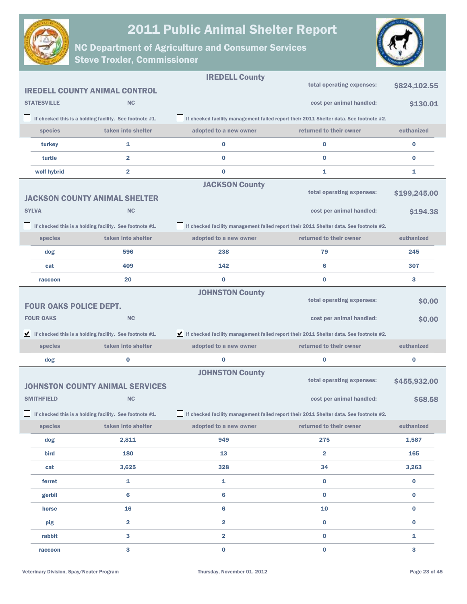



|                               |                                                                               | <b>IREDELL County</b>   |                                                                                        |              |
|-------------------------------|-------------------------------------------------------------------------------|-------------------------|----------------------------------------------------------------------------------------|--------------|
|                               | <b>IREDELL COUNTY ANIMAL CONTROL</b>                                          |                         | total operating expenses:                                                              | \$824,102.55 |
| <b>STATESVILLE</b>            | <b>NC</b>                                                                     |                         | cost per animal handled:                                                               | \$130.01     |
|                               | If checked this is a holding facility. See footnote #1.                       |                         | If checked facility management failed report their 2011 Shelter data. See footnote #2. |              |
| species                       | taken into shelter                                                            | adopted to a new owner  | returned to their owner                                                                | euthanized   |
| turkey                        | 1                                                                             | $\bf{0}$                | $\bf{0}$                                                                               | $\bf{0}$     |
| turtle                        | $\overline{\mathbf{2}}$                                                       | 0                       | $\bf{0}$                                                                               | $\bf{0}$     |
| wolf hybrid                   | $\overline{\mathbf{2}}$                                                       | $\bf{0}$                | 1                                                                                      | 1            |
|                               |                                                                               | <b>JACKSON County</b>   | total operating expenses:                                                              |              |
|                               | <b>JACKSON COUNTY ANIMAL SHELTER</b>                                          |                         |                                                                                        | \$199,245.00 |
| <b>SYLVA</b>                  | <b>NC</b>                                                                     |                         | cost per animal handled:                                                               | \$194.38     |
|                               | If checked this is a holding facility. See footnote #1.                       |                         | If checked facility management failed report their 2011 Shelter data. See footnote #2. |              |
| species                       | taken into shelter                                                            | adopted to a new owner  | returned to their owner                                                                | euthanized   |
| dog                           | 596                                                                           | 238                     | 79                                                                                     | 245          |
| cat                           | 409                                                                           | 142                     | $6\phantom{1}6$                                                                        | 307          |
| raccoon                       | 20                                                                            | 0                       | $\bf{0}$                                                                               | 3            |
| <b>FOUR OAKS POLICE DEPT.</b> |                                                                               | <b>JOHNSTON County</b>  | total operating expenses:                                                              | \$0.00       |
| <b>FOUR OAKS</b>              | <b>NC</b>                                                                     |                         | cost per animal handled:                                                               | \$0.00       |
|                               | $\blacktriangleright$ If checked this is a holding facility. See footnote #1. |                         | If checked facility management failed report their 2011 Shelter data. See footnote #2. |              |
| species                       | taken into shelter                                                            | adopted to a new owner  | returned to their owner                                                                | euthanized   |
| dog                           | $\bf{0}$                                                                      | $\bf{0}$                | $\bf{0}$                                                                               | $\bf{0}$     |
|                               |                                                                               | <b>JOHNSTON County</b>  |                                                                                        |              |
|                               | <b>JOHNSTON COUNTY ANIMAL SERVICES</b>                                        |                         | total operating expenses:                                                              | \$455,932.00 |
| <b>SMITHFIELD</b>             | <b>NC</b>                                                                     |                         | cost per animal handled:                                                               | \$68.58      |
|                               | If checked this is a holding facility. See footnote #1.                       |                         | If checked facility management failed report their 2011 Shelter data. See footnote #2. |              |
| species                       |                                                                               |                         |                                                                                        |              |
|                               | taken into shelter                                                            | adopted to a new owner  | returned to their owner                                                                | euthanized   |
| dog                           | 2,811                                                                         | 949                     | 275                                                                                    | 1,587        |
| bird                          | 180                                                                           | 13                      | $\overline{\mathbf{2}}$                                                                | 165          |
| cat                           | 3,625                                                                         | 328                     | 34                                                                                     | 3,263        |
| ferret                        | 1                                                                             | $\mathbf{1}$            | $\bf{0}$                                                                               | $\bf{0}$     |
| gerbil                        | 6                                                                             | 6                       | $\bf{0}$                                                                               | $\bf{0}$     |
| horse                         | 16                                                                            | 6                       | 10                                                                                     | $\bf{0}$     |
| pig                           | $\overline{\mathbf{2}}$                                                       | $\overline{\mathbf{2}}$ | $\bf{0}$                                                                               | $\bf{0}$     |
| rabbit                        | 3                                                                             | $\overline{\mathbf{2}}$ | $\bf{0}$                                                                               | 1            |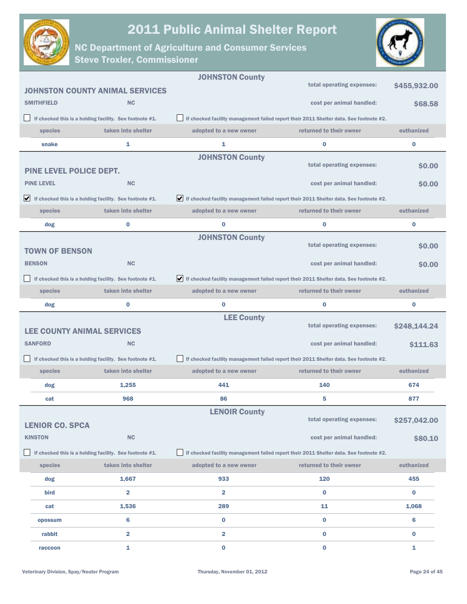

NC Department of Agriculture and Consumer Services

Steve Troxler, Commissioner



|                                   |                                                                               | <b>JOHNSTON County</b>                                                                                       |                                                                                        |              |
|-----------------------------------|-------------------------------------------------------------------------------|--------------------------------------------------------------------------------------------------------------|----------------------------------------------------------------------------------------|--------------|
|                                   | <b>JOHNSTON COUNTY ANIMAL SERVICES</b>                                        |                                                                                                              | total operating expenses:                                                              | \$455,932.00 |
| <b>SMITHFIELD</b>                 | <b>NC</b>                                                                     |                                                                                                              | cost per animal handled:                                                               | \$68.58      |
|                                   | If checked this is a holding facility. See footnote #1.                       |                                                                                                              | If checked facility management failed report their 2011 Shelter data. See footnote #2. |              |
| species                           | taken into shelter                                                            | adopted to a new owner                                                                                       | returned to their owner                                                                | euthanized   |
| snake                             | 1                                                                             | 1                                                                                                            | $\bf{0}$                                                                               | $\bf{0}$     |
|                                   |                                                                               | <b>JOHNSTON County</b>                                                                                       |                                                                                        |              |
| <b>PINE LEVEL POLICE DEPT.</b>    |                                                                               |                                                                                                              | total operating expenses:                                                              | \$0.00       |
| <b>PINE LEVEL</b>                 | <b>NC</b>                                                                     |                                                                                                              | cost per animal handled:                                                               | \$0.00       |
|                                   | $\blacktriangleright$ If checked this is a holding facility. See footnote #1. | $\blacktriangleright$ If checked facility management failed report their 2011 Shelter data. See footnote #2. |                                                                                        |              |
| species                           | taken into shelter                                                            | adopted to a new owner                                                                                       | returned to their owner                                                                | euthanized   |
| dog                               | $\bf{0}$                                                                      | 0                                                                                                            | $\bf{0}$                                                                               | $\bf{0}$     |
|                                   |                                                                               | <b>JOHNSTON County</b>                                                                                       |                                                                                        |              |
| <b>TOWN OF BENSON</b>             |                                                                               |                                                                                                              | total operating expenses:                                                              | \$0.00       |
| <b>BENSON</b>                     | <b>NC</b>                                                                     |                                                                                                              | cost per animal handled:                                                               | \$0.00       |
|                                   | If checked this is a holding facility. See footnote #1.                       | If checked facility management failed report their 2011 Shelter data. See footnote #2.                       |                                                                                        |              |
| species                           | taken into shelter                                                            | adopted to a new owner                                                                                       | returned to their owner                                                                | euthanized   |
| dog                               | 0                                                                             | 0                                                                                                            | $\bf{0}$                                                                               | $\bf{0}$     |
|                                   |                                                                               | <b>LEE County</b>                                                                                            | total operating expenses:                                                              |              |
| <b>LEE COUNTY ANIMAL SERVICES</b> |                                                                               |                                                                                                              |                                                                                        | \$248,144.24 |
| <b>SANFORD</b>                    | <b>NC</b>                                                                     |                                                                                                              | cost per animal handled:                                                               | \$111.63     |
|                                   |                                                                               |                                                                                                              |                                                                                        |              |
|                                   | If checked this is a holding facility. See footnote #1.                       |                                                                                                              | If checked facility management failed report their 2011 Shelter data. See footnote #2. |              |
| species                           | taken into shelter                                                            | adopted to a new owner                                                                                       | returned to their owner                                                                | euthanized   |
| dog                               | 1,255                                                                         | 441                                                                                                          | 140                                                                                    | 674          |
| cat                               | 968                                                                           | 86                                                                                                           | 5                                                                                      | 877          |
|                                   |                                                                               | <b>LENOIR County</b>                                                                                         |                                                                                        |              |
| <b>LENIOR CO. SPCA</b>            |                                                                               |                                                                                                              | total operating expenses:                                                              | \$257,042.00 |
| <b>KINSTON</b>                    | NC                                                                            |                                                                                                              | cost per animal handled:                                                               | \$80.10      |
|                                   | If checked this is a holding facility. See footnote #1.                       |                                                                                                              | If checked facility management failed report their 2011 Shelter data. See footnote #2. |              |
| species                           | taken into shelter                                                            | adopted to a new owner                                                                                       | returned to their owner                                                                | euthanized   |
| dog                               | 1,667                                                                         | 933                                                                                                          | 120                                                                                    | 455          |
| bird                              | $\overline{\mathbf{2}}$                                                       | $\overline{\mathbf{2}}$                                                                                      | $\bf{0}$                                                                               | $\bf{0}$     |
| cat                               | 1,536                                                                         | 289                                                                                                          | 11                                                                                     | 1,068        |
| opossum                           | 6                                                                             | $\bf{0}$                                                                                                     | $\bf{0}$                                                                               | 6            |
| rabbit                            | $\overline{\mathbf{2}}$                                                       | $\overline{\mathbf{2}}$                                                                                      | $\bf{0}$                                                                               | $\bf{0}$     |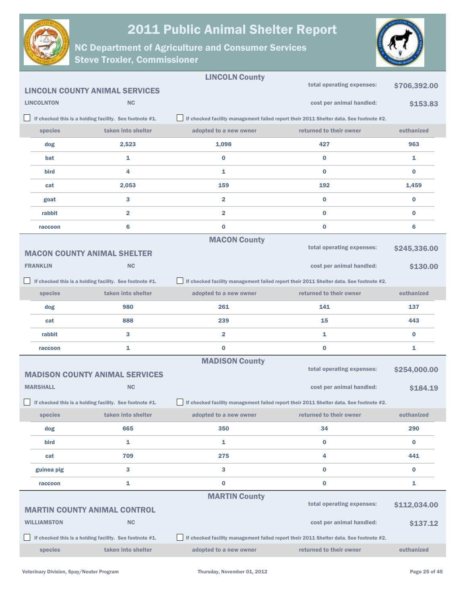



|                    |                                                         | <b>LINCOLN County</b>   |                                                                                        |              |
|--------------------|---------------------------------------------------------|-------------------------|----------------------------------------------------------------------------------------|--------------|
|                    | <b>LINCOLN COUNTY ANIMAL SERVICES</b>                   |                         | total operating expenses:                                                              | \$706,392.00 |
| <b>LINCOLNTON</b>  | <b>NC</b>                                               |                         | cost per animal handled:                                                               | \$153.83     |
|                    | If checked this is a holding facility. See footnote #1. |                         | If checked facility management failed report their 2011 Shelter data. See footnote #2. |              |
| species            | taken into shelter                                      | adopted to a new owner  | returned to their owner                                                                | euthanized   |
| dog                | 2,523                                                   | 1,098                   | 427                                                                                    | 963          |
| bat                | 1                                                       | 0                       | $\bf{0}$                                                                               | 1            |
| <b>bird</b>        | 4                                                       | 1                       | $\bf{0}$                                                                               | $\bf{0}$     |
| cat                | 2,053                                                   | 159                     | 192                                                                                    | 1,459        |
| goat               | 3                                                       | $\overline{\mathbf{2}}$ | $\bf{0}$                                                                               | $\bf{0}$     |
| rabbit             | $\overline{\mathbf{2}}$                                 | $\overline{\mathbf{2}}$ | $\bf{0}$                                                                               | $\bf{0}$     |
| raccoon            | 6                                                       | $\bf{0}$                | 0                                                                                      | 6            |
|                    |                                                         | <b>MACON County</b>     |                                                                                        |              |
|                    | <b>MACON COUNTY ANIMAL SHELTER</b>                      |                         | total operating expenses:                                                              | \$245,336.00 |
| <b>FRANKLIN</b>    | <b>NC</b>                                               |                         | cost per animal handled:                                                               | \$130.00     |
|                    | If checked this is a holding facility. See footnote #1. |                         | If checked facility management failed report their 2011 Shelter data. See footnote #2. |              |
| species            | taken into shelter                                      | adopted to a new owner  | returned to their owner                                                                | euthanized   |
| dog                | 980                                                     | 261                     | 141                                                                                    | 137          |
| cat                | 888                                                     | 239                     | 15                                                                                     | 443          |
| rabbit             | 3                                                       | $\overline{\mathbf{2}}$ | 1                                                                                      | $\bf{0}$     |
| raccoon            | 1                                                       | 0                       | 0                                                                                      | 1            |
|                    |                                                         | <b>MADISON County</b>   | total operating expenses:                                                              |              |
|                    | <b>MADISON COUNTY ANIMAL SERVICES</b>                   |                         |                                                                                        | \$254,000.00 |
| <b>MARSHALL</b>    | <b>NC</b>                                               |                         | cost per animal handled:                                                               | \$184.19     |
|                    | If checked this is a holding facility. See footnote #1. |                         | If checked facility management failed report their 2011 Shelter data. See footnote #2. |              |
| species            | taken into shelter                                      | adopted to a new owner  | returned to their owner                                                                | euthanized   |
| dog                | 665                                                     | 350                     | 34                                                                                     | 290          |
| bird               | 1                                                       | 1                       | $\bf{0}$                                                                               | $\bf{0}$     |
| cat                | 709                                                     | 275                     | 4                                                                                      | 441          |
| guinea pig         | $\mathbf{3}$                                            | 3                       | 0                                                                                      | $\bf{0}$     |
| raccoon            | $\mathbf{1}$                                            | 0                       | 0                                                                                      | 1            |
|                    |                                                         | <b>MARTIN County</b>    | total operating expenses:                                                              |              |
|                    | <b>MARTIN COUNTY ANIMAL CONTROL</b>                     |                         |                                                                                        | \$112,034.00 |
| <b>WILLIAMSTON</b> | <b>NC</b>                                               |                         | cost per animal handled:                                                               | \$137.12     |
|                    | If checked this is a holding facility. See footnote #1. |                         | If checked facility management failed report their 2011 Shelter data. See footnote #2. |              |
| species            | taken into shelter                                      | adopted to a new owner  | returned to their owner                                                                | euthanized   |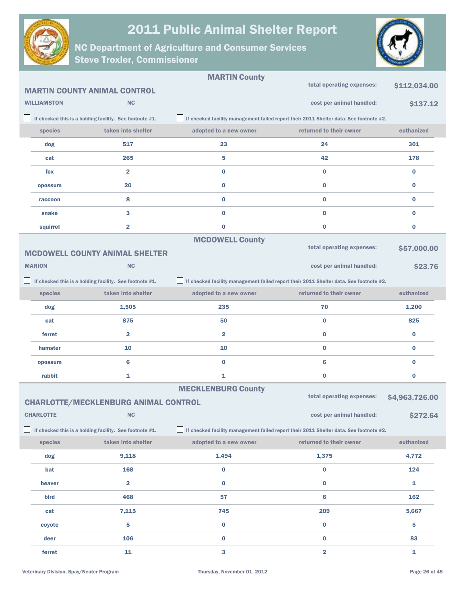



|                    |                                                         | <b>MARTIN County</b>      |                                                                                        |                |
|--------------------|---------------------------------------------------------|---------------------------|----------------------------------------------------------------------------------------|----------------|
|                    | <b>MARTIN COUNTY ANIMAL CONTROL</b>                     |                           | total operating expenses:                                                              | \$112,034.00   |
| <b>WILLIAMSTON</b> | <b>NC</b>                                               |                           | cost per animal handled:                                                               | \$137.12       |
|                    | If checked this is a holding facility. See footnote #1. |                           | If checked facility management failed report their 2011 Shelter data. See footnote #2. |                |
| species            | taken into shelter                                      | adopted to a new owner    | returned to their owner                                                                | euthanized     |
| dog                | 517                                                     | 23                        | 24                                                                                     | 301            |
| cat                | 265                                                     | 5                         | 42                                                                                     | 178            |
| fox                | $\overline{\mathbf{2}}$                                 | $\bf{0}$                  | $\bf{0}$                                                                               | $\bf{0}$       |
| opossum            | 20                                                      | $\bf{0}$                  | $\bf{0}$                                                                               | $\bf{0}$       |
| raccoon            | 8                                                       | $\bf{0}$                  | $\bf{0}$                                                                               | $\bf{0}$       |
| snake              | 3                                                       | $\bf{0}$                  | $\bf{0}$                                                                               | $\bf{0}$       |
| squirrel           | $\overline{\mathbf{2}}$                                 | $\bf{0}$                  | $\bf{0}$                                                                               | $\bf{0}$       |
|                    |                                                         | <b>MCDOWELL County</b>    |                                                                                        |                |
|                    | <b>MCDOWELL COUNTY ANIMAL SHELTER</b>                   |                           | total operating expenses:                                                              | \$57,000.00    |
| <b>MARION</b>      | <b>NC</b>                                               |                           | cost per animal handled:                                                               | \$23.76        |
|                    | If checked this is a holding facility. See footnote #1. |                           | If checked facility management failed report their 2011 Shelter data. See footnote #2. |                |
| species            | taken into shelter                                      | adopted to a new owner    | returned to their owner                                                                | euthanized     |
| dog                | 1,505                                                   | 235                       | 70                                                                                     | 1,200          |
| cat                | 875                                                     | 50                        | $\bf{0}$                                                                               | 825            |
| ferret             | $\overline{\mathbf{2}}$                                 | $\overline{\mathbf{2}}$   | $\bf{0}$                                                                               | $\bf{0}$       |
| hamster            | 10                                                      | 10                        | $\bf{0}$                                                                               | $\bf{0}$       |
| opossum            | 6                                                       | $\bf{0}$                  | $6\phantom{1}6$                                                                        | $\bf{0}$       |
| rabbit             | 1                                                       | 1                         | $\bf{0}$                                                                               | $\bf{0}$       |
|                    |                                                         | <b>MECKLENBURG County</b> | total operating expenses:                                                              |                |
|                    | <b>CHARLOTTE/MECKLENBURG ANIMAL CONTROL</b>             |                           |                                                                                        | \$4,963,726.00 |
| <b>CHARLOTTE</b>   | <b>NC</b>                                               |                           | cost per animal handled:                                                               | \$272.64       |
|                    | If checked this is a holding facility. See footnote #1. |                           | If checked facility management failed report their 2011 Shelter data. See footnote #2. |                |
| species            | taken into shelter                                      | adopted to a new owner    | returned to their owner                                                                | euthanized     |
| dog                | 9,118                                                   | 1,494                     | 1,375                                                                                  | 4,772          |
| bat                | 168                                                     | $\bf{0}$                  | $\bf{0}$                                                                               | 124            |
| beaver             | $\overline{\mathbf{2}}$                                 | $\mathbf 0$               | $\bf{0}$                                                                               | 1              |
| bird               | 468                                                     | 57                        | $6\phantom{1}6$                                                                        | 162            |
| cat                | 7,115                                                   | 745                       | 209                                                                                    | 5,667          |
| coyote             | 5                                                       | $\mathbf 0$               | $\pmb{0}$                                                                              | 5              |
| deer               | 106                                                     | $\bf{0}$                  | $\bf{0}$                                                                               | 83             |
| ferret             | 11                                                      | $\mathbf{3}$              | $\overline{\mathbf{2}}$                                                                | 1              |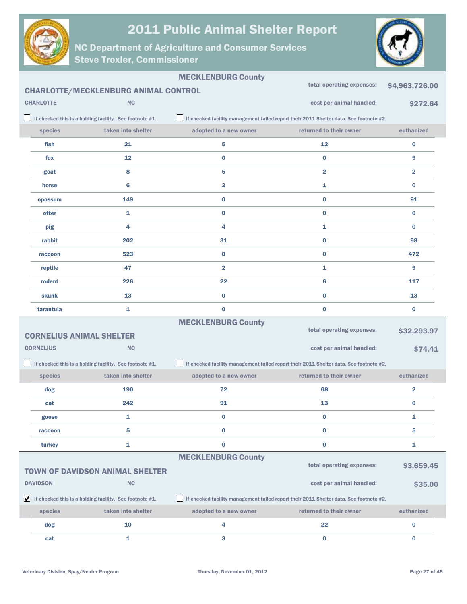



|                                                                          |                  |                                                                               | <b>MECKLENBURG County</b> |                                                                                        |                         |
|--------------------------------------------------------------------------|------------------|-------------------------------------------------------------------------------|---------------------------|----------------------------------------------------------------------------------------|-------------------------|
| total operating expenses:<br><b>CHARLOTTE/MECKLENBURG ANIMAL CONTROL</b> |                  |                                                                               |                           |                                                                                        | \$4,963,726.00          |
|                                                                          | <b>CHARLOTTE</b> | <b>NC</b>                                                                     |                           | cost per animal handled:                                                               | \$272.64                |
|                                                                          |                  | If checked this is a holding facility. See footnote #1.                       |                           | If checked facility management failed report their 2011 Shelter data. See footnote #2. |                         |
|                                                                          | species          | taken into shelter                                                            | adopted to a new owner    | returned to their owner                                                                | euthanized              |
|                                                                          | fish             | 21                                                                            | 5                         | 12                                                                                     | $\bf{0}$                |
|                                                                          | fox              | 12                                                                            | 0                         | $\bf{0}$                                                                               | 9                       |
|                                                                          | goat             | 8                                                                             | 5                         | $\overline{\mathbf{2}}$                                                                | $\overline{\mathbf{2}}$ |
|                                                                          | horse            | 6                                                                             | 2                         | 1                                                                                      | $\bf{0}$                |
|                                                                          | opossum          | 149                                                                           | 0                         | $\bf{0}$                                                                               | 91                      |
|                                                                          | otter            | 1                                                                             | 0                         | $\bf{0}$                                                                               | $\bf{0}$                |
|                                                                          | pig              | 4                                                                             | 4                         | 1                                                                                      | $\bf{0}$                |
|                                                                          | rabbit           | 202                                                                           | 31                        | $\bf{0}$                                                                               | 98                      |
|                                                                          | raccoon          | 523                                                                           | 0                         | $\bf{0}$                                                                               | 472                     |
|                                                                          | reptile          | 47                                                                            | $\overline{\mathbf{2}}$   | $\mathbf{1}$                                                                           | 9                       |
|                                                                          | rodent           | 226                                                                           | 22                        | 6                                                                                      | 117                     |
|                                                                          | skunk            | 13                                                                            | 0                         | $\bf{0}$                                                                               | 13                      |
|                                                                          | tarantula        | 1                                                                             | $\bf{0}$                  | $\bf{0}$                                                                               | $\bf{0}$                |
|                                                                          |                  |                                                                               | <b>MECKLENBURG County</b> |                                                                                        |                         |
|                                                                          |                  | <b>CORNELIUS ANIMAL SHELTER</b>                                               |                           | total operating expenses:                                                              | \$32,293.97             |
|                                                                          | <b>CORNELIUS</b> | <b>NC</b>                                                                     |                           | cost per animal handled:                                                               | \$74.41                 |
|                                                                          |                  | If checked this is a holding facility. See footnote #1.                       |                           | If checked facility management failed report their 2011 Shelter data. See footnote #2. |                         |
|                                                                          | species          | taken into shelter                                                            | adopted to a new owner    | returned to their owner                                                                | euthanized              |
|                                                                          | dog              | 190                                                                           | 72                        | 68                                                                                     | $\overline{\mathbf{2}}$ |
|                                                                          | cat              | 242                                                                           | 91                        | 13                                                                                     | $\bf{0}$                |
|                                                                          | goose            | 1                                                                             | 0                         | 0                                                                                      | 1                       |
|                                                                          | raccoon          | 5                                                                             | $\bf{0}$                  | $\bf{0}$                                                                               | 5                       |
|                                                                          | turkey           | 1                                                                             | $\bf{0}$                  | $\bf{0}$                                                                               | 1                       |
|                                                                          |                  |                                                                               | <b>MECKLENBURG County</b> | total operating expenses:                                                              |                         |
|                                                                          |                  | <b>TOWN OF DAVIDSON ANIMAL SHELTER</b>                                        |                           |                                                                                        | \$3,659.45              |
|                                                                          | <b>DAVIDSON</b>  | <b>NC</b>                                                                     |                           | cost per animal handled:                                                               | \$35.00                 |
|                                                                          |                  | $\blacktriangleright$ If checked this is a holding facility. See footnote #1. |                           | If checked facility management failed report their 2011 Shelter data. See footnote #2. |                         |
|                                                                          | species          | taken into shelter                                                            | adopted to a new owner    | returned to their owner                                                                | euthanized              |
|                                                                          | dog              | 10                                                                            | 4                         | 22                                                                                     | $\bf{0}$                |
|                                                                          | cat              | 1                                                                             | 3                         | $\bf{0}$                                                                               | $\bf{0}$                |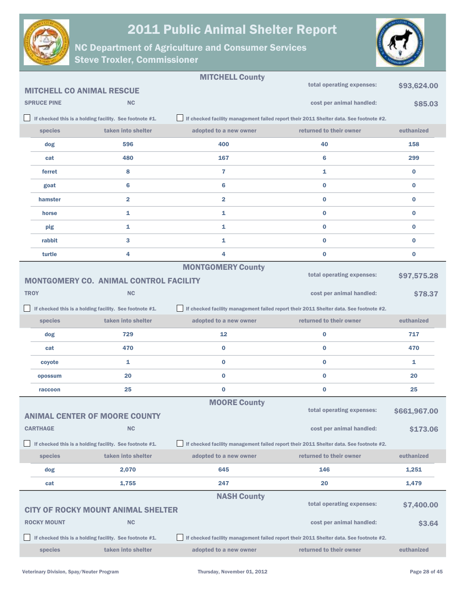



|                                  |                                                         | <b>MITCHELL County</b>                                                                 |                                                                                        |              |
|----------------------------------|---------------------------------------------------------|----------------------------------------------------------------------------------------|----------------------------------------------------------------------------------------|--------------|
| <b>MITCHELL CO ANIMAL RESCUE</b> |                                                         |                                                                                        | total operating expenses:                                                              | \$93,624.00  |
| <b>SPRUCE PINE</b>               | <b>NC</b>                                               |                                                                                        | cost per animal handled:                                                               | \$85.03      |
|                                  | If checked this is a holding facility. See footnote #1. | If checked facility management failed report their 2011 Shelter data. See footnote #2. |                                                                                        |              |
| species                          | taken into shelter                                      | adopted to a new owner                                                                 | returned to their owner                                                                | euthanized   |
| dog                              | 596                                                     | 400                                                                                    | 40                                                                                     | 158          |
| cat                              | 480                                                     | 167                                                                                    | 6                                                                                      | 299          |
| ferret                           | 8                                                       | 7                                                                                      | 1                                                                                      | $\bf{0}$     |
| goat                             | 6                                                       | 6                                                                                      | $\bf{0}$                                                                               | $\bf{0}$     |
| hamster                          | $\overline{\mathbf{2}}$                                 | $\overline{\mathbf{2}}$                                                                | $\bf{0}$                                                                               | $\bf{0}$     |
| horse                            | 1                                                       | 1                                                                                      | $\bf{0}$                                                                               | $\bf{0}$     |
| pig                              | 1                                                       | 1                                                                                      | $\bf{0}$                                                                               | $\bf{0}$     |
| rabbit                           | 3                                                       | 1                                                                                      | $\bf{0}$                                                                               | 0            |
| turtle                           | 4                                                       | 4                                                                                      | 0                                                                                      | 0            |
|                                  |                                                         | <b>MONTGOMERY County</b>                                                               | total operating expenses:                                                              |              |
|                                  | <b>MONTGOMERY CO. ANIMAL CONTROL FACILITY</b>           |                                                                                        |                                                                                        | \$97,575.28  |
| <b>TROY</b>                      | <b>NC</b>                                               |                                                                                        | cost per animal handled:                                                               | \$78.37      |
|                                  | If checked this is a holding facility. See footnote #1. | If checked facility management failed report their 2011 Shelter data. See footnote #2. |                                                                                        |              |
|                                  |                                                         |                                                                                        |                                                                                        |              |
| species                          | taken into shelter                                      | adopted to a new owner                                                                 | returned to their owner                                                                | euthanized   |
| dog                              | 729                                                     | 12                                                                                     | 0                                                                                      | 717          |
| cat                              | 470                                                     | 0                                                                                      | $\bf{0}$                                                                               | 470          |
| coyote                           | 1                                                       | 0                                                                                      | 0                                                                                      | 1            |
| opossum                          | 20                                                      | $\bf{0}$                                                                               | $\bf{0}$                                                                               | 20           |
| raccoon                          | 25                                                      | $\bf{0}$                                                                               | 0                                                                                      | 25           |
|                                  |                                                         | <b>MOORE County</b>                                                                    |                                                                                        |              |
|                                  | <b>ANIMAL CENTER OF MOORE COUNTY</b>                    |                                                                                        | total operating expenses:                                                              | \$661,967.00 |
| <b>CARTHAGE</b>                  | <b>NC</b>                                               |                                                                                        | cost per animal handled:                                                               | \$173,06     |
|                                  | If checked this is a holding facility. See footnote #1. | If checked facility management failed report their 2011 Shelter data. See footnote #2. |                                                                                        |              |
| species                          | taken into shelter                                      | adopted to a new owner                                                                 | returned to their owner                                                                | euthanized   |
| dog                              | 2,070                                                   | 645                                                                                    | 146                                                                                    | 1,251        |
| cat                              | 1,755                                                   | 247                                                                                    | 20                                                                                     | 1,479        |
|                                  |                                                         | <b>NASH County</b>                                                                     |                                                                                        |              |
|                                  | <b>CITY OF ROCKY MOUNT ANIMAL SHELTER</b>               |                                                                                        | total operating expenses:                                                              | \$7,400.00   |
| <b>ROCKY MOUNT</b>               | <b>NC</b>                                               |                                                                                        | cost per animal handled:                                                               | \$3.64       |
|                                  | If checked this is a holding facility. See footnote #1. |                                                                                        | If checked facility management failed report their 2011 Shelter data. See footnote #2. |              |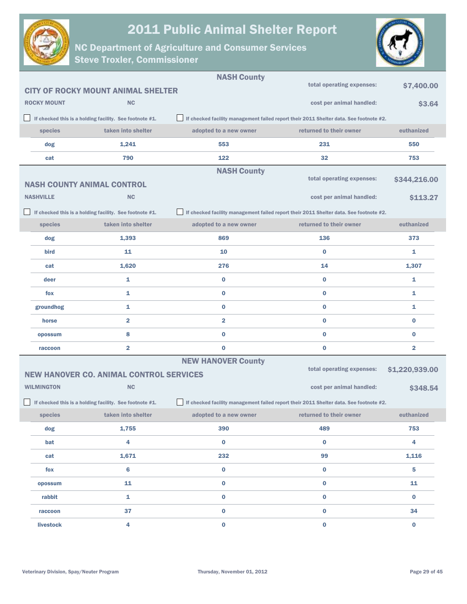

NC Department of Agriculture and Consumer Services

Steve Troxler, Commissioner



|                    |                                                         | <b>NASH County</b>        |                                                                                        |                         |
|--------------------|---------------------------------------------------------|---------------------------|----------------------------------------------------------------------------------------|-------------------------|
|                    | <b>CITY OF ROCKY MOUNT ANIMAL SHELTER</b>               |                           | total operating expenses:                                                              | \$7,400.00              |
| <b>ROCKY MOUNT</b> | <b>NC</b>                                               |                           | cost per animal handled:                                                               | \$3.64                  |
|                    | If checked this is a holding facility. See footnote #1. |                           | If checked facility management failed report their 2011 Shelter data. See footnote #2. |                         |
| species            | taken into shelter                                      | adopted to a new owner    | returned to their owner                                                                | euthanized              |
| dog                | 1,241                                                   | 553                       | 231                                                                                    | 550                     |
| cat                | 790                                                     | 122                       | 32                                                                                     | 753                     |
|                    |                                                         | <b>NASH County</b>        |                                                                                        |                         |
|                    | <b>NASH COUNTY ANIMAL CONTROL</b>                       |                           | total operating expenses:                                                              | \$344,216.00            |
| <b>NASHVILLE</b>   | <b>NC</b>                                               |                           | cost per animal handled:                                                               | \$113.27                |
|                    | If checked this is a holding facility. See footnote #1. |                           | If checked facility management failed report their 2011 Shelter data. See footnote #2. |                         |
| species            | taken into shelter                                      | adopted to a new owner    | returned to their owner                                                                | euthanized              |
| dog                | 1,393                                                   | 869                       | 136                                                                                    | 373                     |
| bird               | 11                                                      | 10                        | $\bf{0}$                                                                               | 1                       |
| cat                | 1,620                                                   | 276                       | 14                                                                                     | 1,307                   |
| deer               | 1                                                       | 0                         | $\bf{0}$                                                                               | 1                       |
| fox                | $\mathbf{1}$                                            | $\bf{0}$                  | $\bf{0}$                                                                               | 1                       |
| groundhog          | 1                                                       | 0                         | $\bf{0}$                                                                               | 1                       |
| horse              | $\overline{\mathbf{2}}$                                 | $\overline{\mathbf{2}}$   | $\bf{0}$                                                                               | $\bf{0}$                |
| opossum            | 8                                                       | $\bf{0}$                  | $\bf{0}$                                                                               | $\bf{0}$                |
| raccoon            | $\overline{\mathbf{2}}$                                 | 0                         | $\bf{0}$                                                                               | $\overline{\mathbf{2}}$ |
|                    |                                                         | <b>NEW HANOVER County</b> |                                                                                        |                         |
|                    | <b>NEW HANOVER CO. ANIMAL CONTROL SERVICES</b>          |                           | total operating expenses:                                                              | \$1,220,939.00          |
| <b>WILMINGTON</b>  | <b>NC</b>                                               |                           | cost per animal handled:                                                               | \$348.54                |
|                    | If checked this is a holding facility. See footnote #1. |                           | If checked facility management failed report their 2011 Shelter data. See footnote #2. |                         |
| species            | taken into shelter                                      | adopted to a new owner    | returned to their owner                                                                | euthanized              |
| dog                | 1,755                                                   | 390                       | 489                                                                                    | 753                     |
| bat                | 4                                                       | $\bf{0}$                  | $\bf{0}$                                                                               | 4                       |
| cat                | 1,671                                                   | 232                       | 99                                                                                     | 1,116                   |
| fox                | 6                                                       | 0                         | $\pmb{0}$                                                                              | 5                       |
| opossum            | 11                                                      | 0                         | $\pmb{0}$                                                                              | 11                      |
| rabbit             | 1                                                       | $\mathbf 0$               | $\pmb{0}$                                                                              | $\bf{0}$                |
| raccoon            | 37                                                      | 0                         | $\pmb{0}$                                                                              | 34                      |
| livestock          | 4                                                       | $\bf{0}$                  | $\mathbf 0$                                                                            | $\mathbf 0$             |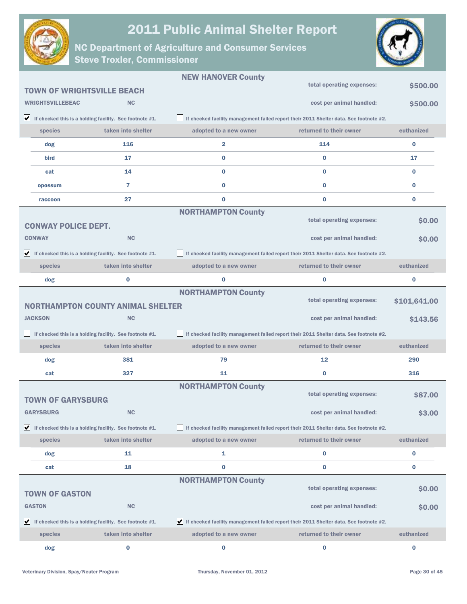



|   |                                   |                                                                               | <b>NEW HANOVER County</b> |                                                                                        |              |
|---|-----------------------------------|-------------------------------------------------------------------------------|---------------------------|----------------------------------------------------------------------------------------|--------------|
|   | <b>TOWN OF WRIGHTSVILLE BEACH</b> |                                                                               |                           | total operating expenses:                                                              | \$500,00     |
|   | <b>WRIGHTSVILLEBEAC</b>           | <b>NC</b>                                                                     |                           | cost per animal handled:                                                               | \$500.00     |
|   |                                   | $\blacktriangleright$ If checked this is a holding facility. See footnote #1. |                           | If checked facility management failed report their 2011 Shelter data. See footnote #2. |              |
|   | species                           | taken into shelter                                                            | adopted to a new owner    | returned to their owner                                                                | euthanized   |
|   | dog                               | 116                                                                           | 2                         | 114                                                                                    | $\bf{0}$     |
|   | bird                              | 17                                                                            | $\bf{0}$                  | $\bf{0}$                                                                               | 17           |
|   | cat                               | 14                                                                            | $\bf{0}$                  | $\bf{0}$                                                                               | $\bf{0}$     |
|   | opossum                           | 7                                                                             | $\bf{0}$                  | $\bf{0}$                                                                               | $\bf{0}$     |
|   | raccoon                           | 27                                                                            | $\bf{0}$                  | $\bf{0}$                                                                               | $\bf{0}$     |
|   |                                   |                                                                               | <b>NORTHAMPTON County</b> | total operating expenses:                                                              |              |
|   | <b>CONWAY POLICE DEPT.</b>        |                                                                               |                           |                                                                                        | \$0.00       |
|   | <b>CONWAY</b>                     | <b>NC</b>                                                                     |                           | cost per animal handled:                                                               | \$0.00       |
|   |                                   | $\blacktriangleright$ If checked this is a holding facility. See footnote #1. |                           | If checked facility management failed report their 2011 Shelter data. See footnote #2. |              |
|   | species                           | taken into shelter                                                            | adopted to a new owner    | returned to their owner                                                                | euthanized   |
|   | dog                               | 0                                                                             | $\bf{0}$                  | 0                                                                                      | $\bf{0}$     |
|   |                                   |                                                                               | <b>NORTHAMPTON County</b> | total operating expenses:                                                              | \$101,641.00 |
|   |                                   | <b>NORTHAMPTON COUNTY ANIMAL SHELTER</b>                                      |                           |                                                                                        |              |
|   | <b>JACKSON</b>                    | <b>NC</b>                                                                     |                           | cost per animal handled:                                                               | \$143.56     |
|   |                                   | If checked this is a holding facility. See footnote #1.                       |                           | If checked facility management failed report their 2011 Shelter data. See footnote #2. |              |
|   | species                           | taken into shelter                                                            | adopted to a new owner    | returned to their owner                                                                | euthanized   |
|   | dog                               | 381                                                                           | 79                        | 12                                                                                     | 290          |
|   | cat                               | 327                                                                           | 11                        | 0                                                                                      | 316          |
|   |                                   |                                                                               | <b>NORTHAMPTON County</b> | total operating expenses:                                                              | \$87.00      |
|   | <b>TOWN OF GARYSBURG</b>          |                                                                               |                           |                                                                                        |              |
|   | <b>GARYSBURG</b>                  | <b>NC</b>                                                                     |                           | cost per animal handled:                                                               | \$3.00       |
| ☑ |                                   | If checked this is a holding facility. See footnote #1.                       |                           | If checked facility management failed report their 2011 Shelter data. See footnote #2. |              |
|   | species                           | taken into shelter                                                            | adopted to a new owner    | returned to their owner                                                                | euthanized   |
|   | dog                               | 11                                                                            | 1                         | 0                                                                                      | 0            |
|   | cat                               | 18                                                                            | 0                         | 0                                                                                      | $\bf{0}$     |
|   |                                   |                                                                               | <b>NORTHAMPTON County</b> | total operating expenses:                                                              | \$0.00       |
|   | <b>TOWN OF GASTON</b>             |                                                                               |                           |                                                                                        |              |
|   | <b>GASTON</b>                     | <b>NC</b>                                                                     |                           | cost per animal handled:                                                               | \$0.00       |
|   |                                   | If checked this is a holding facility. See footnote $#1$ .                    |                           | If checked facility management failed report their 2011 Shelter data. See footnote #2. |              |
|   | species                           | taken into shelter                                                            | adopted to a new owner    | returned to their owner                                                                | euthanized   |
|   | dog                               | 0                                                                             | 0                         | 0                                                                                      | $\bf{0}$     |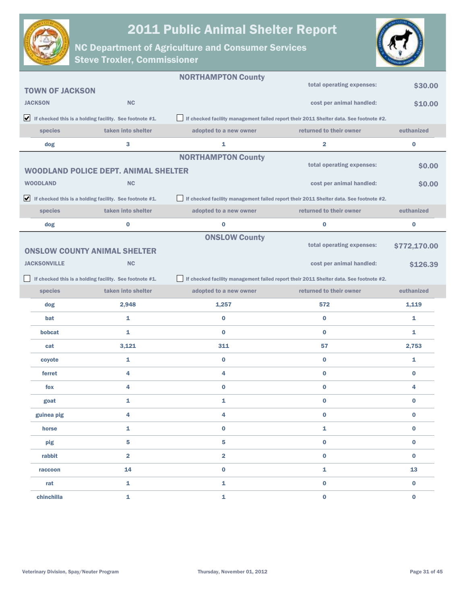



|                        |                                                                               | <b>NORTHAMPTON County</b> |                                                                                        |              |
|------------------------|-------------------------------------------------------------------------------|---------------------------|----------------------------------------------------------------------------------------|--------------|
| <b>TOWN OF JACKSON</b> |                                                                               |                           | total operating expenses:                                                              | \$30.00      |
| <b>JACKSON</b>         | <b>NC</b>                                                                     |                           | cost per animal handled:                                                               | \$10.00      |
|                        | $\blacktriangleright$ If checked this is a holding facility. See footnote #1. |                           | If checked facility management failed report their 2011 Shelter data. See footnote #2. |              |
| species                | taken into shelter                                                            | adopted to a new owner    | returned to their owner                                                                | euthanized   |
| dog                    | 3                                                                             | 1                         | $\overline{\mathbf{2}}$                                                                | $\bf{0}$     |
|                        |                                                                               | <b>NORTHAMPTON County</b> |                                                                                        |              |
|                        | <b>WOODLAND POLICE DEPT. ANIMAL SHELTER</b>                                   |                           | total operating expenses:                                                              | \$0.00       |
| <b>WOODLAND</b>        | <b>NC</b>                                                                     |                           | cost per animal handled:                                                               | \$0.00       |
|                        | $\blacktriangleright$ If checked this is a holding facility. See footnote #1. |                           | If checked facility management failed report their 2011 Shelter data. See footnote #2. |              |
| species                | taken into shelter                                                            | adopted to a new owner    | returned to their owner                                                                | euthanized   |
| dog                    | 0                                                                             | $\bf{0}$                  | $\bf{0}$                                                                               | $\bf{0}$     |
|                        |                                                                               | <b>ONSLOW County</b>      |                                                                                        |              |
|                        | <b>ONSLOW COUNTY ANIMAL SHELTER</b>                                           |                           | total operating expenses:                                                              | \$772,170.00 |
| <b>JACKSONVILLE</b>    | <b>NC</b>                                                                     |                           | cost per animal handled:                                                               | \$126.39     |
|                        | If checked this is a holding facility. See footnote #1.                       |                           | If checked facility management failed report their 2011 Shelter data. See footnote #2. |              |
| species                | taken into shelter                                                            | adopted to a new owner    | returned to their owner                                                                | euthanized   |
| dog                    | 2,948                                                                         | 1,257                     | 572                                                                                    | 1,119        |
| bat                    | 1                                                                             | $\bf{0}$                  | $\bf{0}$                                                                               | 1            |
| bobcat                 | 1                                                                             | $\bf{0}$                  | $\bf{0}$                                                                               | 1            |
| cat                    | 3,121                                                                         | 311                       | 57                                                                                     | 2,753        |
| coyote                 | 1                                                                             | 0                         | $\bf{0}$                                                                               | 1            |
| ferret                 | 4                                                                             | 4                         | $\bf{0}$                                                                               | $\bf{0}$     |
| fox                    | 4                                                                             | $\bf{0}$                  | $\bf{0}$                                                                               | 4            |
| goat                   | 1                                                                             | 1                         | $\bf{0}$                                                                               | $\bf{0}$     |
| guinea pig             | 4                                                                             | 4                         | 0                                                                                      | 0            |
| horse                  | $\mathbf{1}$                                                                  | $\mathbf 0$               | 1                                                                                      | $\bf{0}$     |
| pig                    | 5                                                                             | 5                         | $\bf{0}$                                                                               | $\bf{0}$     |
| rabbit                 | $\overline{\mathbf{2}}$                                                       | $\overline{2}$            | $\bf{0}$                                                                               | $\bf{0}$     |
| raccoon                | 14                                                                            | $\mathbf 0$               | $\mathbf{1}$                                                                           | 13           |
| rat                    | $\mathbf{1}$                                                                  | 1                         | $\bf{0}$                                                                               | $\bf{0}$     |
| chinchilla             | $\mathbf 1$                                                                   | $\mathbf{1}$              | $\mathbf 0$                                                                            | $\bf{0}$     |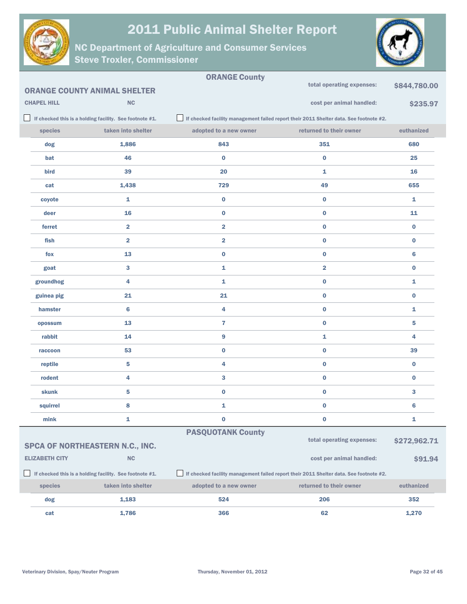



|                       |                                                         | <b>ORANGE County</b>     | total operating expenses:                                                              | \$844,780.00    |
|-----------------------|---------------------------------------------------------|--------------------------|----------------------------------------------------------------------------------------|-----------------|
|                       | <b>ORANGE COUNTY ANIMAL SHELTER</b>                     |                          |                                                                                        |                 |
| <b>CHAPEL HILL</b>    | <b>NC</b>                                               |                          | cost per animal handled:                                                               | \$235.97        |
|                       | If checked this is a holding facility. See footnote #1. |                          | If checked facility management failed report their 2011 Shelter data. See footnote #2. |                 |
| species               | taken into shelter                                      | adopted to a new owner   | returned to their owner                                                                | euthanized      |
| dog                   | 1,886                                                   | 843                      | 351                                                                                    | 680             |
| bat                   | 46                                                      | $\bf{0}$                 | $\bf{0}$                                                                               | 25              |
| bird                  | 39                                                      | 20                       | 1                                                                                      | 16              |
| cat                   | 1,438                                                   | 729                      | 49                                                                                     | 655             |
| coyote                | 1                                                       | $\bf{0}$                 | $\bf{0}$                                                                               | 1               |
| deer                  | 16                                                      | $\bf{0}$                 | $\bf{0}$                                                                               | 11              |
| ferret                | $\overline{\mathbf{2}}$                                 | $\overline{\mathbf{2}}$  | $\bf{0}$                                                                               | $\pmb{0}$       |
| fish                  | $\overline{\mathbf{2}}$                                 | $\overline{\mathbf{2}}$  | $\bf{0}$                                                                               | $\bf{0}$        |
| fox                   | 13                                                      | $\bf{0}$                 | $\bf{0}$                                                                               | $6\phantom{1}6$ |
| goat                  | 3                                                       | 1                        | $\overline{\mathbf{2}}$                                                                | $\bf{0}$        |
| groundhog             | 4                                                       | 1                        | $\bf{0}$                                                                               | 1               |
| guinea pig            | 21                                                      | 21                       | $\bf{0}$                                                                               | $\bf{0}$        |
| hamster               | 6                                                       | 4                        | $\bf{0}$                                                                               | 1               |
| opossum               | 13                                                      | $\overline{7}$           | $\bf{0}$                                                                               | 5               |
| rabbit                | 14                                                      | 9                        | 1                                                                                      | 4               |
| raccoon               | 53                                                      | $\bf{0}$                 | $\bf{0}$                                                                               | 39              |
| reptile               | 5                                                       | 4                        | $\bf{0}$                                                                               | $\bf{0}$        |
| rodent                | 4                                                       | 3                        | $\bf{0}$                                                                               | $\bf{0}$        |
| skunk                 | $\overline{\mathbf{5}}$                                 | $\bf{0}$                 | $\bf{0}$                                                                               | 3               |
| squirrel              | 8                                                       | 1                        | $\bf{0}$                                                                               | $6\phantom{1}6$ |
| mink                  | 1                                                       | 0                        | 0                                                                                      | 1               |
|                       |                                                         | <b>PASQUOTANK County</b> |                                                                                        |                 |
|                       | SPCA OF NORTHEASTERN N.C., INC.                         |                          | total operating expenses:                                                              | \$272,962.71    |
| <b>ELIZABETH CITY</b> | NC                                                      |                          | cost per animal handled:                                                               | \$91.94         |
|                       | If checked this is a holding facility. See footnote #1. |                          | If checked facility management failed report their 2011 Shelter data. See footnote #2. |                 |
| species               | taken into shelter                                      | adopted to a new owner   | returned to their owner                                                                | euthanized      |
| dog                   | 1,183                                                   | 524                      | 206                                                                                    | 352             |
| cat                   | 1,786                                                   | 366                      | 62                                                                                     | 1,270           |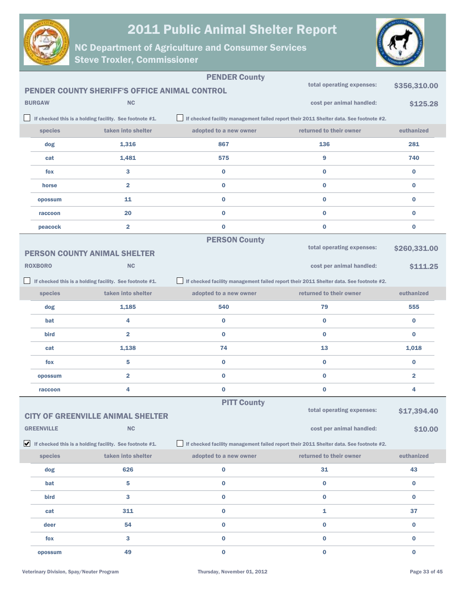



|                   |                                                                               | <b>PENDER County</b>   |                                                                                        |                         |
|-------------------|-------------------------------------------------------------------------------|------------------------|----------------------------------------------------------------------------------------|-------------------------|
|                   | PENDER COUNTY SHERIFF'S OFFICE ANIMAL CONTROL                                 |                        | total operating expenses:                                                              | \$356,310.00            |
| <b>BURGAW</b>     | <b>NC</b>                                                                     |                        | cost per animal handled:                                                               | \$125.28                |
|                   | If checked this is a holding facility. See footnote #1.                       |                        | If checked facility management failed report their 2011 Shelter data. See footnote #2. |                         |
| species           | taken into shelter                                                            | adopted to a new owner | returned to their owner                                                                | euthanized              |
| dog               | 1,316                                                                         | 867                    | 136                                                                                    | 281                     |
| cat               | 1,481                                                                         | 575                    | 9                                                                                      | 740                     |
| fox               | 3                                                                             | $\bf{0}$               | $\bf{0}$                                                                               | $\bf{0}$                |
| horse             | 2                                                                             | $\bf{0}$               | $\bf{0}$                                                                               | $\bf{0}$                |
| opossum           | 11                                                                            | $\bf{0}$               | $\bf{0}$                                                                               | $\bf{0}$                |
| raccoon           | 20                                                                            | $\bf{0}$               | $\bf{0}$                                                                               | $\bf{0}$                |
| peacock           | $\overline{\mathbf{2}}$                                                       | $\bf{0}$               | $\bf{0}$                                                                               | $\bf{0}$                |
|                   |                                                                               | <b>PERSON County</b>   |                                                                                        |                         |
|                   | <b>PERSON COUNTY ANIMAL SHELTER</b>                                           |                        | total operating expenses:                                                              | \$260,331.00            |
| <b>ROXBORO</b>    | NC                                                                            |                        | cost per animal handled:                                                               | \$111.25                |
|                   | If checked this is a holding facility. See footnote #1.                       |                        | If checked facility management failed report their 2011 Shelter data. See footnote #2. |                         |
| species           | taken into shelter                                                            | adopted to a new owner | returned to their owner                                                                | euthanized              |
| dog               | 1,185                                                                         | 540                    | 79                                                                                     | 555                     |
| bat               | 4                                                                             | $\bf{0}$               | $\bf{0}$                                                                               | $\bf{0}$                |
| bird              | $\overline{\mathbf{2}}$                                                       | $\bf{0}$               | $\bf{0}$                                                                               | $\bf{0}$                |
| cat               | 1,138                                                                         | 74                     | 13                                                                                     | 1,018                   |
| fox               | 5                                                                             | $\bf{0}$               | 0                                                                                      | 0                       |
| opossum           | $\overline{\mathbf{2}}$                                                       | $\bf{0}$               | $\bf{0}$                                                                               | $\overline{\mathbf{2}}$ |
| raccoon           | 4                                                                             | $\bf{0}$               | 0                                                                                      | 4                       |
|                   |                                                                               | <b>PITT County</b>     |                                                                                        |                         |
|                   | <b>CITY OF GREENVILLE ANIMAL SHELTER</b>                                      |                        | total operating expenses:                                                              | \$17,394.40             |
| <b>GREENVILLE</b> | <b>NC</b>                                                                     |                        | cost per animal handled:                                                               | \$10.00                 |
|                   | $\blacktriangleright$ If checked this is a holding facility. See footnote #1. |                        | If checked facility management failed report their 2011 Shelter data. See footnote #2. |                         |
| species           | taken into shelter                                                            | adopted to a new owner | returned to their owner                                                                | euthanized              |
| dog               | 626                                                                           | $\bf{0}$               | 31                                                                                     | 43                      |
| bat               | 5                                                                             | $\bf{0}$               | 0                                                                                      | $\bf{0}$                |
| bird              | 3                                                                             | $\pmb{0}$              | 0                                                                                      | $\bf{0}$                |
| cat               | 311                                                                           | $\pmb{0}$              | 1                                                                                      | 37                      |
| deer              | 54                                                                            | $\pmb{0}$              | $\bf{0}$                                                                               | $\bf{0}$                |
| fox               | 3                                                                             | $\pmb{0}$              | $\bf{0}$                                                                               | $\bf{0}$                |
| opossum           | 49                                                                            | $\mathbf 0$            | $\bf{0}$                                                                               | $\bf{0}$                |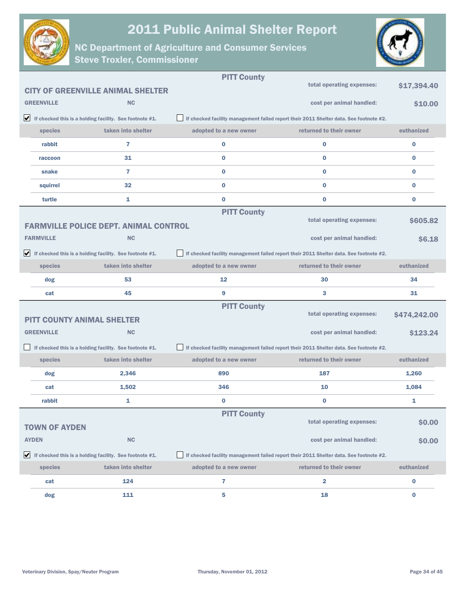



|                      |                                                                               | <b>PITT County</b>     |                                                                                        |              |
|----------------------|-------------------------------------------------------------------------------|------------------------|----------------------------------------------------------------------------------------|--------------|
|                      | <b>CITY OF GREENVILLE ANIMAL SHELTER</b>                                      |                        | total operating expenses:                                                              | \$17,394.40  |
| <b>GREENVILLE</b>    | <b>NC</b>                                                                     |                        | cost per animal handled:                                                               | \$10.00      |
|                      | $\blacktriangleright$ If checked this is a holding facility. See footnote #1. |                        | If checked facility management failed report their 2011 Shelter data. See footnote #2. |              |
| species              | taken into shelter                                                            | adopted to a new owner | returned to their owner                                                                | euthanized   |
| rabbit               | 7                                                                             | 0                      | $\bf{0}$                                                                               | 0            |
| raccoon              | 31                                                                            | $\bf{0}$               | $\bf{0}$                                                                               | $\bf{0}$     |
| snake                | $\overline{7}$                                                                | $\bf{0}$               | $\bf{0}$                                                                               | $\bf{0}$     |
| squirrel             | 32                                                                            | $\bf{0}$               | $\bf{0}$                                                                               | $\bf{0}$     |
| turtle               | 1                                                                             | $\bf{0}$               | $\bf{0}$                                                                               | $\bf{0}$     |
|                      |                                                                               | <b>PITT County</b>     |                                                                                        |              |
|                      | <b>FARMVILLE POLICE DEPT. ANIMAL CONTROL</b>                                  |                        | total operating expenses:                                                              | \$605.82     |
| <b>FARMVILLE</b>     | <b>NC</b>                                                                     |                        | cost per animal handled:                                                               | \$6.18       |
|                      | $\blacktriangleright$ If checked this is a holding facility. See footnote #1. |                        | If checked facility management failed report their 2011 Shelter data. See footnote #2. |              |
| species              | taken into shelter                                                            | adopted to a new owner | returned to their owner                                                                | euthanized   |
| dog                  | 53                                                                            | 12                     | 30                                                                                     | 34           |
| cat                  | 45                                                                            | 9                      | 3                                                                                      | 31           |
|                      |                                                                               | <b>PITT County</b>     | total operating expenses:                                                              |              |
|                      | <b>PITT COUNTY ANIMAL SHELTER</b>                                             |                        |                                                                                        | \$474,242.00 |
| <b>GREENVILLE</b>    | <b>NC</b>                                                                     |                        | cost per animal handled:                                                               | \$123.24     |
|                      | If checked this is a holding facility. See footnote #1.                       |                        | If checked facility management failed report their 2011 Shelter data. See footnote #2. |              |
| species              | taken into shelter                                                            | adopted to a new owner | returned to their owner                                                                | euthanized   |
| dog                  | 2,346                                                                         | 890                    | 187                                                                                    | 1,260        |
| cat                  | 1,502                                                                         | 346                    | 10                                                                                     | 1,084        |
| rabbit               | 1                                                                             | 0                      | $\bf{0}$                                                                               | 1            |
|                      |                                                                               | <b>PITT County</b>     | total operating expenses:                                                              |              |
| <b>TOWN OF AYDEN</b> |                                                                               |                        |                                                                                        | \$0.00       |
| <b>AYDEN</b>         | <b>NC</b>                                                                     |                        | cost per animal handled:                                                               | \$0.00       |
|                      |                                                                               |                        |                                                                                        |              |
|                      | $\blacktriangleright$ If checked this is a holding facility. See footnote #1. |                        | If checked facility management failed report their 2011 Shelter data. See footnote #2. |              |
| species              | taken into shelter                                                            | adopted to a new owner | returned to their owner                                                                | euthanized   |
| cat                  | 124                                                                           | 7                      | $\mathbf{2}$                                                                           | 0            |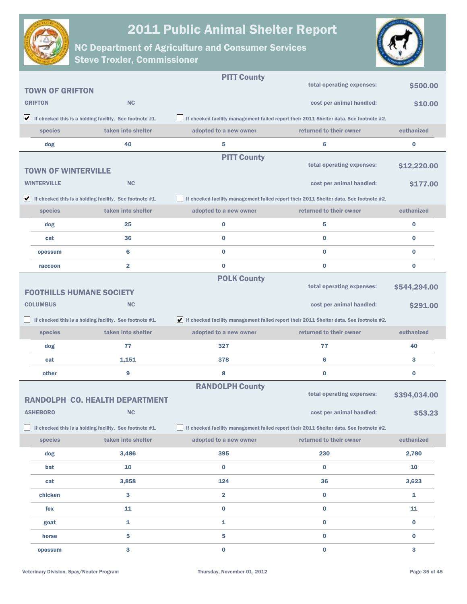



|                                 |                                                                               | <b>PITT County</b>                                                                     |                                                                                        |              |
|---------------------------------|-------------------------------------------------------------------------------|----------------------------------------------------------------------------------------|----------------------------------------------------------------------------------------|--------------|
| <b>TOWN OF GRIFTON</b>          |                                                                               |                                                                                        | total operating expenses:                                                              | \$500.00     |
| <b>GRIFTON</b>                  | <b>NC</b>                                                                     |                                                                                        | cost per animal handled:                                                               | \$10.00      |
|                                 | $\blacktriangleright$ If checked this is a holding facility. See footnote #1. |                                                                                        | If checked facility management failed report their 2011 Shelter data. See footnote #2. |              |
| species                         | taken into shelter                                                            | adopted to a new owner                                                                 | returned to their owner                                                                | euthanized   |
| dog                             | 40                                                                            | 5                                                                                      | 6                                                                                      | 0            |
|                                 |                                                                               | <b>PITT County</b>                                                                     |                                                                                        |              |
| <b>TOWN OF WINTERVILLE</b>      |                                                                               |                                                                                        | total operating expenses:                                                              | \$12,220.00  |
| <b>WINTERVILLE</b>              | <b>NC</b>                                                                     |                                                                                        | cost per animal handled:                                                               | \$177.00     |
|                                 | $\blacktriangleright$ If checked this is a holding facility. See footnote #1. | If checked facility management failed report their 2011 Shelter data. See footnote #2. |                                                                                        |              |
| species                         | taken into shelter                                                            | adopted to a new owner                                                                 | returned to their owner                                                                | euthanized   |
| dog                             | 25                                                                            | $\bf{0}$                                                                               | 5                                                                                      | $\bf{0}$     |
| cat                             | 36                                                                            | $\bf{0}$                                                                               | $\bf{0}$                                                                               | $\bf{0}$     |
| opossum                         | 6                                                                             | 0                                                                                      | $\bf{0}$                                                                               | $\bf{0}$     |
| raccoon                         | $\overline{\mathbf{2}}$                                                       | $\bf{0}$                                                                               | $\bf{0}$                                                                               | $\bf{0}$     |
|                                 |                                                                               | <b>POLK County</b>                                                                     |                                                                                        |              |
| <b>FOOTHILLS HUMANE SOCIETY</b> |                                                                               |                                                                                        | total operating expenses:                                                              | \$544,294.00 |
| <b>COLUMBUS</b>                 | <b>NC</b>                                                                     |                                                                                        | cost per animal handled:                                                               | \$291.00     |
|                                 |                                                                               |                                                                                        |                                                                                        |              |
|                                 | If checked this is a holding facility. See footnote #1.                       | If checked facility management failed report their 2011 Shelter data. See footnote #2. |                                                                                        |              |
| species                         | taken into shelter                                                            | adopted to a new owner                                                                 | returned to their owner                                                                | euthanized   |
| dog                             | 77                                                                            | 327                                                                                    | 77                                                                                     | 40           |
| cat                             | 1,151                                                                         | 378                                                                                    | 6                                                                                      | 3            |
| other                           | 9                                                                             | 8                                                                                      | 0                                                                                      | $\bf{0}$     |
|                                 |                                                                               | <b>RANDOLPH County</b>                                                                 |                                                                                        |              |
|                                 | <b>RANDOLPH CO. HEALTH DEPARTMENT</b>                                         |                                                                                        | total operating expenses:                                                              | \$394,034.00 |
| <b>ASHEBORO</b>                 | <b>NC</b>                                                                     |                                                                                        | cost per animal handled:                                                               | \$53.23      |
|                                 | If checked this is a holding facility. See footnote #1.                       |                                                                                        | If checked facility management failed report their 2011 Shelter data. See footnote #2. |              |
| species                         | taken into shelter                                                            | adopted to a new owner                                                                 | returned to their owner                                                                | euthanized   |
| dog                             | 3,486                                                                         | 395                                                                                    | 230                                                                                    | 2,780        |
| bat                             | 10                                                                            | $\mathbf 0$                                                                            | $\bf{0}$                                                                               | 10           |
| cat                             | 3,858                                                                         | 124                                                                                    | 36                                                                                     | 3,623        |
| chicken                         | 3                                                                             | $\overline{\mathbf{2}}$                                                                | 0                                                                                      | 1            |
| fox                             | 11                                                                            | $\mathbf 0$                                                                            | 0                                                                                      | 11           |
| goat                            | 1                                                                             | 1                                                                                      | 0                                                                                      | $\bf{0}$     |
| horse                           | 5                                                                             | 5                                                                                      | 0                                                                                      | $\bf{0}$     |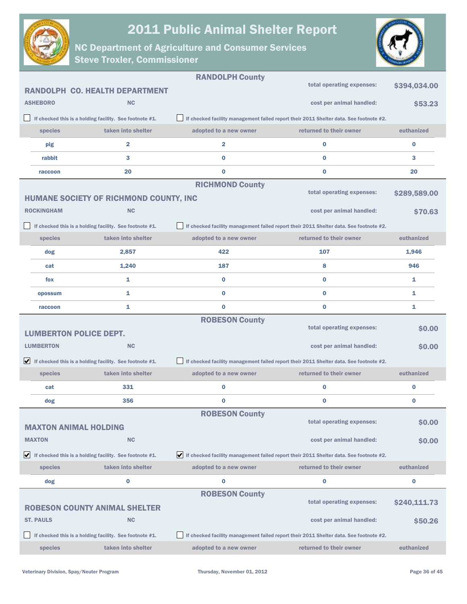



|               |                               |                                                                               | <b>RANDOLPH County</b>                                                                           |                                                                                        |              |
|---------------|-------------------------------|-------------------------------------------------------------------------------|--------------------------------------------------------------------------------------------------|----------------------------------------------------------------------------------------|--------------|
|               |                               | <b>RANDOLPH CO. HEALTH DEPARTMENT</b>                                         |                                                                                                  | total operating expenses:                                                              | \$394,034.00 |
|               | <b>ASHEBORO</b>               | <b>NC</b>                                                                     |                                                                                                  | cost per animal handled:                                                               | \$53.23      |
|               |                               | If checked this is a holding facility. See footnote #1.                       |                                                                                                  | If checked facility management failed report their 2011 Shelter data. See footnote #2. |              |
|               | species                       | taken into shelter                                                            | adopted to a new owner                                                                           | returned to their owner                                                                | euthanized   |
|               | pig                           | 2                                                                             | 2                                                                                                | $\bf{0}$                                                                               | 0            |
|               | rabbit                        | 3                                                                             | $\bf{0}$                                                                                         | $\bf{0}$                                                                               | 3            |
|               | raccoon                       | 20                                                                            | $\bf{0}$                                                                                         | $\bf{0}$                                                                               | 20           |
|               |                               |                                                                               | <b>RICHMOND County</b>                                                                           |                                                                                        |              |
|               |                               | HUMANE SOCIETY OF RICHMOND COUNTY, INC                                        |                                                                                                  | total operating expenses:                                                              | \$289,589.00 |
|               | <b>ROCKINGHAM</b>             | NC                                                                            |                                                                                                  | cost per animal handled:                                                               | \$70.63      |
|               |                               | If checked this is a holding facility. See footnote #1.                       |                                                                                                  | If checked facility management failed report their 2011 Shelter data. See footnote #2. |              |
|               | species                       | taken into shelter                                                            | adopted to a new owner                                                                           | returned to their owner                                                                | euthanized   |
|               | dog                           | 2,857                                                                         | 422                                                                                              | 107                                                                                    | 1,946        |
|               | cat                           | 1,240                                                                         | 187                                                                                              | 8                                                                                      | 946          |
|               | fox                           | 1                                                                             | $\bf{0}$                                                                                         | $\bf{0}$                                                                               | 1            |
|               | opossum                       | 1                                                                             | $\bf{0}$                                                                                         | $\bf{0}$                                                                               | 1            |
|               | raccoon                       | 1                                                                             | $\bf{0}$                                                                                         | $\bf{0}$                                                                               | 1            |
|               |                               |                                                                               | <b>ROBESON County</b>                                                                            |                                                                                        |              |
|               | <b>LUMBERTON POLICE DEPT.</b> |                                                                               |                                                                                                  | total operating expenses:                                                              | \$0.00       |
|               | <b>LUMBERTON</b>              | <b>NC</b>                                                                     |                                                                                                  | cost per animal handled:                                                               | \$0.00       |
|               |                               | $\blacktriangleright$ If checked this is a holding facility. See footnote #1. |                                                                                                  | If checked facility management failed report their 2011 Shelter data. See footnote #2. |              |
|               | species                       | taken into shelter                                                            | adopted to a new owner                                                                           | returned to their owner                                                                | euthanized   |
|               | cat                           | 331                                                                           | 0                                                                                                | $\bf{0}$                                                                               | 0            |
|               | dog                           | 356                                                                           | $\bf{0}$                                                                                         | $\bf{0}$                                                                               | 0            |
|               |                               |                                                                               | <b>ROBESON County</b>                                                                            |                                                                                        |              |
|               | <b>MAXTON ANIMAL HOLDING</b>  |                                                                               |                                                                                                  | total operating expenses:                                                              | \$0.00       |
| <b>MAXTON</b> |                               | <b>NC</b>                                                                     |                                                                                                  | cost per animal handled:                                                               | \$0.00       |
| V             |                               | If checked this is a holding facility. See footnote #1.                       | $\bigvee$ If checked facility management failed report their 2011 Shelter data. See footnote #2. |                                                                                        |              |
|               |                               |                                                                               |                                                                                                  |                                                                                        |              |
|               | species                       | taken into shelter                                                            | adopted to a new owner                                                                           | returned to their owner                                                                | euthanized   |
|               | dog                           | 0                                                                             | 0                                                                                                | 0                                                                                      | 0            |
|               |                               |                                                                               | <b>ROBESON County</b>                                                                            |                                                                                        |              |
|               |                               | <b>ROBESON COUNTY ANIMAL SHELTER</b>                                          |                                                                                                  | total operating expenses:                                                              | \$240,111.73 |
|               | <b>ST. PAULS</b>              | <b>NC</b>                                                                     |                                                                                                  | cost per animal handled:                                                               | \$50.26      |
|               |                               | If checked this is a holding facility. See footnote #1.                       |                                                                                                  | If checked facility management failed report their 2011 Shelter data. See footnote #2. |              |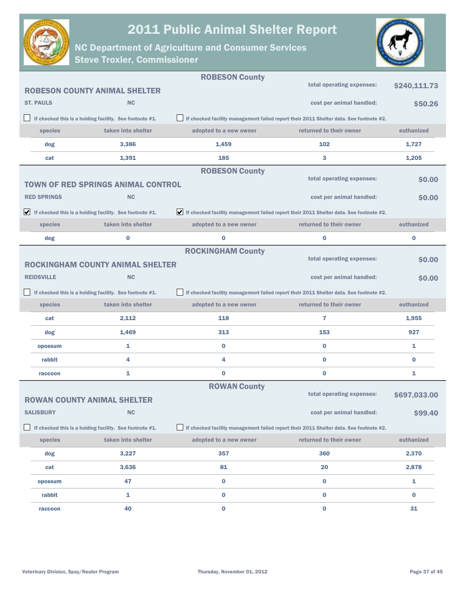



|                    |                                                                               | <b>ROBESON County</b>    |                                                                                        |              |
|--------------------|-------------------------------------------------------------------------------|--------------------------|----------------------------------------------------------------------------------------|--------------|
|                    | <b>ROBESON COUNTY ANIMAL SHELTER</b>                                          |                          | total operating expenses:                                                              | \$240,111.73 |
| <b>ST. PAULS</b>   | <b>NC</b>                                                                     |                          | cost per animal handled:                                                               | \$50.26      |
|                    | If checked this is a holding facility. See footnote #1.                       |                          | If checked facility management failed report their 2011 Shelter data. See footnote #2. |              |
| species            | taken into shelter                                                            | adopted to a new owner   | returned to their owner                                                                | euthanized   |
| dog                | 3,386                                                                         | 1,459                    | 102                                                                                    | 1,727        |
| cat                | 1,391                                                                         | 185                      | 3                                                                                      | 1,205        |
|                    |                                                                               | <b>ROBESON County</b>    |                                                                                        |              |
|                    | <b>TOWN OF RED SPRINGS ANIMAL CONTROL</b>                                     |                          | total operating expenses:                                                              | \$0.00       |
| <b>RED SPRINGS</b> | <b>NC</b>                                                                     |                          | cost per animal handled:                                                               | \$0.00       |
|                    | $\blacktriangleright$ If checked this is a holding facility. See footnote #1. |                          | If checked facility management failed report their 2011 Shelter data. See footnote #2. |              |
| species            | taken into shelter                                                            | adopted to a new owner   | returned to their owner                                                                | euthanized   |
| dog                | 0                                                                             | $\bf{0}$                 | $\bf{0}$                                                                               | $\pmb{0}$    |
|                    |                                                                               | <b>ROCKINGHAM County</b> |                                                                                        |              |
|                    | <b>ROCKINGHAM COUNTY ANIMAL SHELTER</b>                                       |                          | total operating expenses:                                                              | \$0.00       |
| <b>REIDSVILLE</b>  | <b>NC</b>                                                                     |                          | cost per animal handled:                                                               | \$0.00       |
|                    | If checked this is a holding facility. See footnote #1.                       |                          | If checked facility management failed report their 2011 Shelter data. See footnote #2. |              |
| species            | taken into shelter                                                            | adopted to a new owner   | returned to their owner                                                                | euthanized   |
| cat                | 2,112                                                                         | 118                      | 7                                                                                      | 1,955        |
| dog                | 1,469                                                                         | 313                      | 153                                                                                    | 927          |
| opossum            | 1                                                                             | 0                        | $\bf{0}$                                                                               | 1            |
| rabbit             | 4                                                                             | 4                        | $\bf{0}$                                                                               | $\bf{0}$     |
| raccoon            | 1                                                                             | $\bf{0}$                 | $\bf{0}$                                                                               | 1            |
|                    |                                                                               | <b>ROWAN County</b>      |                                                                                        |              |
|                    | <b>ROWAN COUNTY ANIMAL SHELTER</b>                                            |                          | total operating expenses:                                                              | \$697,033.00 |
| <b>SALISBURY</b>   | NC                                                                            |                          | cost per animal handled:                                                               | \$99.40      |
|                    | If checked this is a holding facility. See footnote #1.                       |                          | If checked facility management failed report their 2011 Shelter data. See footnote #2. |              |
| species            | taken into shelter                                                            | adopted to a new owner   | returned to their owner                                                                | euthanized   |
| dog                | 3,227                                                                         | 357                      | 360                                                                                    | 2,370        |
| cat                | 3,636                                                                         | 81                       | 20                                                                                     | 2,878        |
| opossum            | 47                                                                            | 0                        | $\pmb{0}$                                                                              | 1            |
| rabbit             | 1                                                                             | 0                        | 0                                                                                      | 0            |
| raccoon            | 40                                                                            | 0                        | 0                                                                                      | 31           |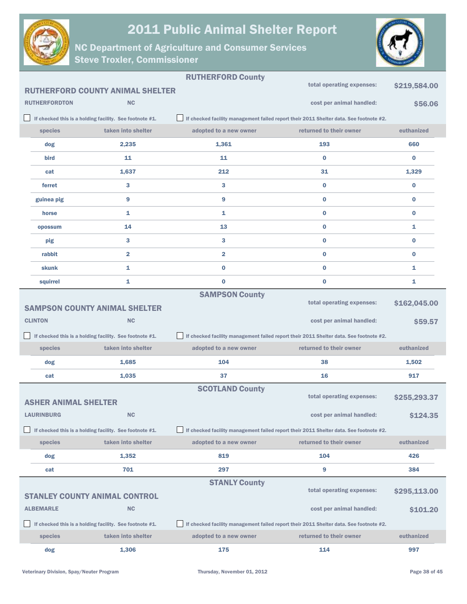



|                             |                                                         | <b>RUTHERFORD County</b> | total operating expenses:                                                              | \$219,584.00 |
|-----------------------------|---------------------------------------------------------|--------------------------|----------------------------------------------------------------------------------------|--------------|
|                             | <b>RUTHERFORD COUNTY ANIMAL SHELTER</b>                 |                          |                                                                                        |              |
| <b>RUTHERFORDTON</b>        | NC                                                      |                          | cost per animal handled:                                                               | \$56.06      |
|                             | If checked this is a holding facility. See footnote #1. |                          | If checked facility management failed report their 2011 Shelter data. See footnote #2. |              |
| species                     | taken into shelter                                      | adopted to a new owner   | returned to their owner                                                                | euthanized   |
| dog                         | 2,235                                                   | 1,361                    | 193                                                                                    | 660          |
| bird                        | 11                                                      | 11                       | $\bf{0}$                                                                               | 0            |
| cat                         | 1,637                                                   | 212                      | 31                                                                                     | 1,329        |
| ferret                      | 3                                                       | 3                        | $\bf{0}$                                                                               | 0            |
| guinea pig                  | $\boldsymbol{9}$                                        | 9                        | $\bf{0}$                                                                               | $\bf{0}$     |
| horse                       | 1                                                       | 1                        | $\bf{0}$                                                                               | 0            |
| opossum                     | 14                                                      | 13                       | $\bf{0}$                                                                               | 1            |
| pig                         | 3                                                       | 3                        | $\bf{0}$                                                                               | 0            |
| rabbit                      | $\overline{\mathbf{2}}$                                 | 2                        | $\bf{0}$                                                                               | 0            |
| skunk                       | 1                                                       | 0                        | $\bf{0}$                                                                               | 1            |
| squirrel                    | 1                                                       | $\bf{0}$                 | $\bf{0}$                                                                               | 1            |
|                             |                                                         | <b>SAMPSON County</b>    |                                                                                        |              |
|                             | <b>SAMPSON COUNTY ANIMAL SHELTER</b>                    |                          | total operating expenses:                                                              | \$162,045.00 |
| <b>CLINTON</b>              | <b>NC</b>                                               |                          | cost per animal handled:                                                               | \$59.57      |
|                             | If checked this is a holding facility. See footnote #1. |                          | If checked facility management failed report their 2011 Shelter data. See footnote #2. |              |
| species                     | taken into shelter                                      | adopted to a new owner   | returned to their owner                                                                | euthanized   |
| dog                         | 1,685                                                   | 104                      | 38                                                                                     | 1,502        |
| cat                         | 1,035                                                   | 37                       | 16                                                                                     | 917          |
|                             |                                                         | <b>SCOTLAND County</b>   |                                                                                        |              |
| <b>ASHER ANIMAL SHELTER</b> |                                                         |                          | total operating expenses:                                                              | \$255,293.37 |
| <b>LAURINBURG</b>           | <b>NC</b>                                               |                          | cost per animal handled:                                                               | \$124.35     |
|                             | If checked this is a holding facility. See footnote #1. |                          | If checked facility management failed report their 2011 Shelter data. See footnote #2. |              |
| species                     | taken into shelter                                      | adopted to a new owner   | returned to their owner                                                                | euthanized   |
| dog                         | 1,352                                                   | 819                      | 104                                                                                    | 426          |
| cat                         | 701                                                     | 297                      | 9                                                                                      | 384          |
|                             |                                                         | <b>STANLY County</b>     |                                                                                        |              |
|                             | <b>STANLEY COUNTY ANIMAL CONTROL</b>                    |                          | total operating expenses:                                                              | \$295,113.00 |
| <b>ALBEMARLE</b>            | <b>NC</b>                                               |                          | cost per animal handled:                                                               | \$101.20     |
|                             | If checked this is a holding facility. See footnote #1. |                          | If checked facility management failed report their 2011 Shelter data. See footnote #2. |              |
| species                     | taken into shelter                                      | adopted to a new owner   | returned to their owner                                                                | euthanized   |
| dog                         | 1,306                                                   | 175                      | 114                                                                                    | 997          |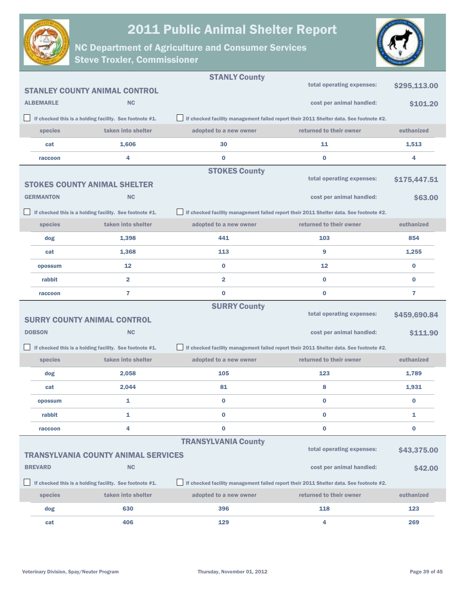



|                  |                                                         | <b>STANLY County</b>       |                                                                                        |              |
|------------------|---------------------------------------------------------|----------------------------|----------------------------------------------------------------------------------------|--------------|
|                  | <b>STANLEY COUNTY ANIMAL CONTROL</b>                    |                            | total operating expenses:                                                              | \$295,113.00 |
| <b>ALBEMARLE</b> | <b>NC</b>                                               |                            | cost per animal handled:                                                               | \$101.20     |
|                  | If checked this is a holding facility. See footnote #1. |                            | If checked facility management failed report their 2011 Shelter data. See footnote #2. |              |
| species          | taken into shelter                                      | adopted to a new owner     | returned to their owner                                                                | euthanized   |
| cat              | 1,606                                                   | 30                         | 11                                                                                     | 1,513        |
| raccoon          | 4                                                       | $\bf{0}$                   | $\bf{0}$                                                                               | 4            |
|                  |                                                         | <b>STOKES County</b>       |                                                                                        |              |
|                  | <b>STOKES COUNTY ANIMAL SHELTER</b>                     |                            | total operating expenses:                                                              | \$175,447.51 |
| <b>GERMANTON</b> | <b>NC</b>                                               |                            | cost per animal handled:                                                               | \$63.00      |
|                  | If checked this is a holding facility. See footnote #1. |                            | If checked facility management failed report their 2011 Shelter data. See footnote #2. |              |
| species          | taken into shelter                                      | adopted to a new owner     | returned to their owner                                                                | euthanized   |
| dog              | 1,398                                                   | 441                        | 103                                                                                    | 854          |
| cat              | 1,368                                                   | 113                        | 9                                                                                      | 1,255        |
| opossum          | 12                                                      | $\bf{0}$                   | 12                                                                                     | $\bf{0}$     |
| rabbit           | $\overline{2}$                                          | $\overline{\mathbf{2}}$    | $\bf{0}$                                                                               | $\bf{0}$     |
| raccoon          | 7                                                       | $\bf{0}$                   | $\bf{0}$                                                                               | 7            |
|                  |                                                         | <b>SURRY County</b>        |                                                                                        |              |
|                  | <b>SURRY COUNTY ANIMAL CONTROL</b>                      |                            | total operating expenses:                                                              | \$459,690.84 |
| <b>DOBSON</b>    | <b>NC</b>                                               |                            | cost per animal handled:                                                               | \$111.90     |
|                  | If checked this is a holding facility. See footnote #1. |                            | If checked facility management failed report their 2011 Shelter data. See footnote #2. |              |
| species          | taken into shelter                                      | adopted to a new owner     | returned to their owner                                                                | euthanized   |
| dog              | 2,058                                                   | 105                        | 123                                                                                    | 1,789        |
| cat              | 2,044                                                   | 81                         | 8                                                                                      | 1,931        |
| opossum          | 1                                                       | $\bf{0}$                   | $\bf{0}$                                                                               | $\bf{0}$     |
| rabbit           | 1                                                       | 0                          | 0                                                                                      | 1            |
| raccoon          | 4                                                       | 0                          | $\bf{0}$                                                                               | 0            |
|                  |                                                         | <b>TRANSYLVANIA County</b> | total operating expenses:                                                              |              |
|                  | <b>TRANSYLVANIA COUNTY ANIMAL SERVICES</b>              |                            |                                                                                        | \$43,375.00  |
| <b>BREVARD</b>   | <b>NC</b>                                               |                            | cost per animal handled:                                                               | \$42.00      |
|                  | If checked this is a holding facility. See footnote #1. |                            | If checked facility management failed report their 2011 Shelter data. See footnote #2. |              |
| species          | taken into shelter                                      | adopted to a new owner     | returned to their owner                                                                | euthanized   |
| dog              | 630                                                     | 396                        | 118                                                                                    | 123          |
| cat              | 406                                                     | 129                        | 4                                                                                      | 269          |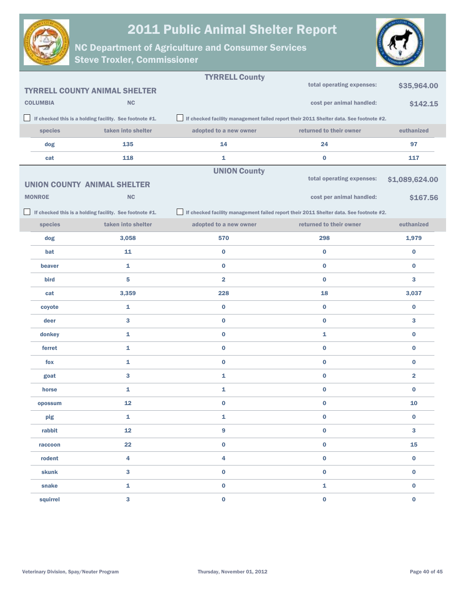



|        |                 |                                                         | <b>TYRRELL County</b>   |                                                                                        |                         |
|--------|-----------------|---------------------------------------------------------|-------------------------|----------------------------------------------------------------------------------------|-------------------------|
|        |                 | <b>TYRRELL COUNTY ANIMAL SHELTER</b>                    |                         | total operating expenses:                                                              | \$35,964.00             |
|        | <b>COLUMBIA</b> | <b>NC</b>                                               |                         | cost per animal handled:                                                               | \$142.15                |
| $\Box$ |                 | If checked this is a holding facility. See footnote #1. |                         | If checked facility management failed report their 2011 Shelter data. See footnote #2. |                         |
|        | species         | taken into shelter                                      | adopted to a new owner  | returned to their owner                                                                | euthanized              |
|        | dog             | 135                                                     | 14                      | 24                                                                                     | 97                      |
|        | cat             | 118                                                     | 1                       | $\bf{0}$                                                                               | 117                     |
|        |                 |                                                         | <b>UNION County</b>     |                                                                                        |                         |
|        |                 | <b>UNION COUNTY ANIMAL SHELTER</b>                      |                         | total operating expenses:                                                              | \$1,089,624.00          |
|        | <b>MONROE</b>   | <b>NC</b>                                               |                         | cost per animal handled:                                                               | \$167.56                |
|        |                 | If checked this is a holding facility. See footnote #1. |                         | If checked facility management failed report their 2011 Shelter data. See footnote #2. |                         |
|        | species         | taken into shelter                                      | adopted to a new owner  | returned to their owner                                                                | euthanized              |
|        | dog             | 3,058                                                   | 570                     | 298                                                                                    | 1,979                   |
|        | bat             | 11                                                      | $\bf{0}$                | $\bf{0}$                                                                               | $\bf{0}$                |
|        | beaver          | 1                                                       | $\bf{0}$                | $\bf{0}$                                                                               | $\bf{0}$                |
|        | bird            | 5                                                       | $\overline{\mathbf{2}}$ | $\bf{0}$                                                                               | 3                       |
|        | cat             | 3,359                                                   | 228                     | 18                                                                                     | 3,037                   |
|        | coyote          | 1                                                       | $\bf{0}$                | $\bf{0}$                                                                               | $\bf{0}$                |
|        | deer            | 3                                                       | $\mathbf 0$             | $\bf{0}$                                                                               | 3                       |
|        | donkey          | 1                                                       | $\mathbf 0$             | 1                                                                                      | $\bf{0}$                |
|        | ferret          | 1                                                       | $\mathbf 0$             | $\bf{0}$                                                                               | $\bf{0}$                |
|        | fox             | 1                                                       | $\bf{0}$                | $\bf{0}$                                                                               | $\bf{0}$                |
|        | goat            | 3                                                       | 1                       | $\bf{0}$                                                                               | $\overline{\mathbf{2}}$ |
|        | horse           | 1                                                       | 1                       | $\bf{0}$                                                                               | $\bf{0}$                |
|        | opossum         | 12                                                      | $\bf{0}$                | 0                                                                                      | 10                      |
|        | pig             | 1                                                       | 1                       | $\bf{0}$                                                                               | $\bf{0}$                |
|        | rabbit          | 12                                                      | 9                       | $\pmb{0}$                                                                              | 3                       |
|        | raccoon         | 22                                                      | $\mathbf 0$             | $\pmb{0}$                                                                              | 15                      |
|        | rodent          | 4                                                       | 4                       | $\pmb{0}$                                                                              | $\pmb{0}$               |
|        | skunk           | 3                                                       | $\pmb{0}$               | $\pmb{0}$                                                                              | $\pmb{0}$               |
|        | snake           | 1                                                       | $\pmb{0}$               | 1                                                                                      | $\pmb{0}$               |
|        | squirrel        | 3                                                       | $\pmb{0}$               | $\pmb{0}$                                                                              | $\mathbf 0$             |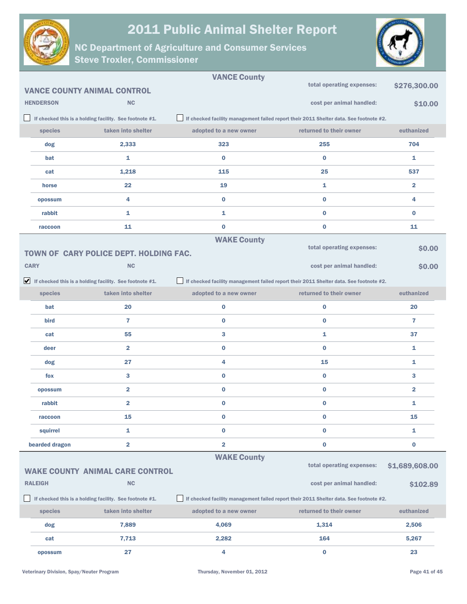



|                  |                                                                               | <b>VANCE County</b>     |                                                                                        |                         |
|------------------|-------------------------------------------------------------------------------|-------------------------|----------------------------------------------------------------------------------------|-------------------------|
|                  | <b>VANCE COUNTY ANIMAL CONTROL</b>                                            |                         | total operating expenses:                                                              | \$276,300.00            |
| <b>HENDERSON</b> | <b>NC</b>                                                                     |                         | cost per animal handled:                                                               | \$10.00                 |
|                  | If checked this is a holding facility. See footnote #1.                       |                         | If checked facility management failed report their 2011 Shelter data. See footnote #2. |                         |
| species          | taken into shelter                                                            | adopted to a new owner  | returned to their owner                                                                | euthanized              |
| dog              | 2,333                                                                         | 323                     | 255                                                                                    | 704                     |
| bat              | 1                                                                             | $\bf{0}$                | $\bf{0}$                                                                               | 1                       |
| cat              | 1,218                                                                         | 115                     | 25                                                                                     | 537                     |
| horse            | 22                                                                            | 19                      | 1                                                                                      | $\overline{2}$          |
| opossum          | 4                                                                             | $\bf{0}$                | $\bf{0}$                                                                               | 4                       |
| rabbit           | 1                                                                             | 1                       | $\bf{0}$                                                                               | $\bf{0}$                |
| raccoon          | 11                                                                            | $\bf{0}$                | $\bf{0}$                                                                               | 11                      |
|                  |                                                                               | <b>WAKE County</b>      |                                                                                        |                         |
|                  | TOWN OF CARY POLICE DEPT. HOLDING FAC.                                        |                         | total operating expenses:                                                              | \$0.00                  |
| <b>CARY</b>      | <b>NC</b>                                                                     |                         | cost per animal handled:                                                               | \$0.00                  |
|                  | $\blacktriangleright$ If checked this is a holding facility. See footnote #1. |                         | If checked facility management failed report their 2011 Shelter data. See footnote #2. |                         |
| species          | taken into shelter                                                            | adopted to a new owner  | returned to their owner                                                                | euthanized              |
| bat              | 20                                                                            | $\bf{0}$                | $\bf{0}$                                                                               | 20                      |
| bird             | $\overline{7}$                                                                | $\bf{0}$                | $\bf{0}$                                                                               | $\overline{7}$          |
| cat              | 55                                                                            | 3                       | 1                                                                                      | 37                      |
| deer             | $\overline{\mathbf{2}}$                                                       | $\bf{0}$                | $\bf{0}$                                                                               | 1                       |
| dog              | 27                                                                            | 4                       | 15                                                                                     | 1                       |
| fox              | 3                                                                             | $\bf{0}$                | $\bf{0}$                                                                               | 3                       |
| opossum          | $\overline{\mathbf{2}}$                                                       | $\bf{0}$                | $\bf{0}$                                                                               | $\overline{\mathbf{2}}$ |
| rabbit           | $\overline{\mathbf{2}}$                                                       | $\bf{0}$                | $\bf{0}$                                                                               | 1                       |
| raccoon          | 15                                                                            | $\bf{0}$                | $\bf{0}$                                                                               | 15                      |
| squirrel         | 1                                                                             | $\bf{0}$                | $\bf{0}$                                                                               | 1                       |
| bearded dragon   | $\overline{\mathbf{2}}$                                                       | $\overline{\mathbf{2}}$ | $\bf{0}$                                                                               | $\bf{0}$                |
|                  |                                                                               | <b>WAKE County</b>      |                                                                                        |                         |
|                  | <b>WAKE COUNTY ANIMAL CARE CONTROL</b>                                        |                         | total operating expenses:                                                              | \$1,689,608.00          |
| <b>RALEIGH</b>   | <b>NC</b>                                                                     |                         | cost per animal handled:                                                               | \$102.89                |
|                  | If checked this is a holding facility. See footnote #1.                       |                         | If checked facility management failed report their 2011 Shelter data. See footnote #2. |                         |
| species          | taken into shelter                                                            | adopted to a new owner  | returned to their owner                                                                | euthanized              |
| dog              | 7,889                                                                         | 4,069                   | 1,314                                                                                  | 2,506                   |
| cat              | 7,713                                                                         | 2,282                   | 164                                                                                    | 5,267                   |
| opossum          | 27                                                                            | 4                       | $\bf{0}$                                                                               | 23                      |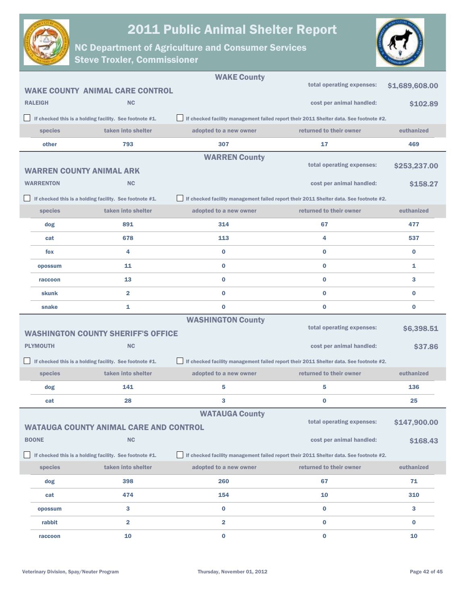

NC Department of Agriculture and Consumer Services

Steve Troxler, Commissioner



|                  |                                                         | <b>WAKE County</b>                                                                     |                                                                                        |                |
|------------------|---------------------------------------------------------|----------------------------------------------------------------------------------------|----------------------------------------------------------------------------------------|----------------|
|                  | <b>WAKE COUNTY ANIMAL CARE CONTROL</b>                  |                                                                                        | total operating expenses:                                                              | \$1,689,608.00 |
| <b>RALEIGH</b>   | <b>NC</b>                                               |                                                                                        | cost per animal handled:                                                               | \$102.89       |
|                  | If checked this is a holding facility. See footnote #1. |                                                                                        | If checked facility management failed report their 2011 Shelter data. See footnote #2. |                |
| species          | taken into shelter                                      | adopted to a new owner                                                                 | returned to their owner                                                                | euthanized     |
| other            | 793                                                     | 307                                                                                    | 17                                                                                     | 469            |
|                  |                                                         | <b>WARREN County</b>                                                                   |                                                                                        |                |
|                  | <b>WARREN COUNTY ANIMAL ARK</b>                         |                                                                                        | total operating expenses:                                                              | \$253,237.00   |
| <b>WARRENTON</b> | <b>NC</b>                                               |                                                                                        | cost per animal handled:                                                               | \$158.27       |
|                  | If checked this is a holding facility. See footnote #1. | If checked facility management failed report their 2011 Shelter data. See footnote #2. |                                                                                        |                |
| species          | taken into shelter                                      | adopted to a new owner                                                                 | returned to their owner                                                                | euthanized     |
| dog              | 891                                                     | 314                                                                                    | 67                                                                                     | 477            |
| cat              | 678                                                     | 113                                                                                    | 4                                                                                      | 537            |
| fox              | 4                                                       | $\bf{0}$                                                                               | $\bf{0}$                                                                               | $\bf{0}$       |
| opossum          | 11                                                      | $\bf{0}$                                                                               | $\bf{0}$                                                                               | 1              |
| raccoon          | 13                                                      | 0                                                                                      | $\bf{0}$                                                                               | 3              |
| skunk            | $\overline{2}$                                          | 0                                                                                      | $\bf{0}$                                                                               | $\bf{0}$       |
| snake            | 1                                                       | $\bf{0}$                                                                               | $\bf{0}$                                                                               | $\bf{0}$       |
|                  |                                                         | <b>WASHINGTON County</b>                                                               |                                                                                        |                |
|                  | <b>WASHINGTON COUNTY SHERIFF'S OFFICE</b>               |                                                                                        | total operating expenses:                                                              | \$6,398.51     |
| <b>PLYMOUTH</b>  | <b>NC</b>                                               |                                                                                        | cost per animal handled:                                                               | \$37.86        |
|                  | If checked this is a holding facility. See footnote #1. |                                                                                        | If checked facility management failed report their 2011 Shelter data. See footnote #2. |                |
| species          | taken into shelter                                      | adopted to a new owner                                                                 | returned to their owner                                                                | euthanized     |
| dog              | 141                                                     | 5                                                                                      | 5                                                                                      | 136            |
| cat              | 28                                                      | 3                                                                                      | 0                                                                                      | 25             |
|                  |                                                         | <b>WATAUGA County</b>                                                                  |                                                                                        |                |
|                  | <b>WATAUGA COUNTY ANIMAL CARE AND CONTROL</b>           |                                                                                        | total operating expenses:                                                              | \$147,900.00   |
| <b>BOONE</b>     | <b>NC</b>                                               |                                                                                        | cost per animal handled:                                                               | \$168.43       |
|                  | If checked this is a holding facility. See footnote #1. |                                                                                        | If checked facility management failed report their 2011 Shelter data. See footnote #2. |                |
| species          | taken into shelter                                      | adopted to a new owner                                                                 | returned to their owner                                                                | euthanized     |
| dog              | 398                                                     | 260                                                                                    | 67                                                                                     | 71             |
| cat              | 474                                                     | 154                                                                                    | 10                                                                                     | 310            |
| opossum          | 3                                                       | $\bf{0}$                                                                               | $\bf{0}$                                                                               | 3              |
| rabbit           | $\overline{\mathbf{2}}$                                 | 2                                                                                      | 0                                                                                      | 0              |
| raccoon          | 10                                                      | $\bf{0}$                                                                               | $\mathbf 0$                                                                            | 10             |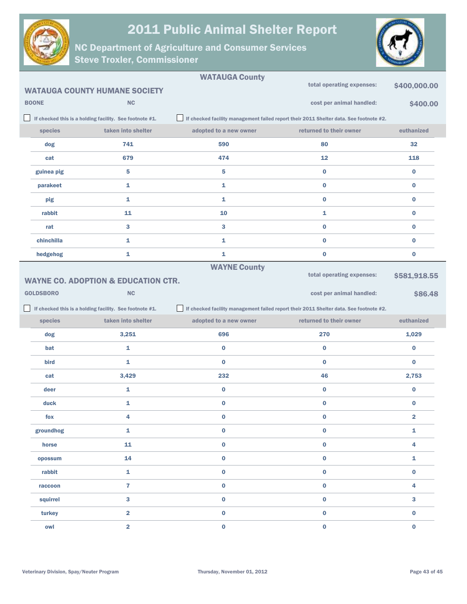



|                  |                                                         | <b>WATAUGA County</b>  | total operating expenses:                                                              |                         |
|------------------|---------------------------------------------------------|------------------------|----------------------------------------------------------------------------------------|-------------------------|
|                  | <b>WATAUGA COUNTY HUMANE SOCIETY</b>                    |                        |                                                                                        | \$400,000.00            |
| <b>BOONE</b>     | <b>NC</b>                                               |                        | cost per animal handled:                                                               | \$400.00                |
|                  | If checked this is a holding facility. See footnote #1. |                        | If checked facility management failed report their 2011 Shelter data. See footnote #2. |                         |
| species          | taken into shelter                                      | adopted to a new owner | returned to their owner                                                                | euthanized              |
| dog              | 741                                                     | 590                    | 80                                                                                     | 32                      |
| cat              | 679                                                     | 474                    | 12                                                                                     | 118                     |
| guinea pig       | 5                                                       | 5                      | 0                                                                                      | 0                       |
| parakeet         | 1                                                       | 1                      | 0                                                                                      | 0                       |
| pig              | 1                                                       | 1                      | 0                                                                                      | 0                       |
| rabbit           | 11                                                      | 10                     | 1                                                                                      | 0                       |
| rat              | 3                                                       | 3                      | 0                                                                                      | 0                       |
| chinchilla       | 1                                                       | 1                      | 0                                                                                      | 0                       |
| hedgehog         | 1                                                       | 1                      | 0                                                                                      | 0                       |
|                  |                                                         | <b>WAYNE County</b>    |                                                                                        |                         |
|                  | <b>WAYNE CO. ADOPTION &amp; EDUCATION CTR.</b>          |                        | total operating expenses:                                                              | \$581,918.55            |
| <b>GOLDSBORO</b> | <b>NC</b>                                               |                        | cost per animal handled:                                                               | \$86.48                 |
|                  |                                                         |                        |                                                                                        |                         |
|                  | If checked this is a holding facility. See footnote #1. |                        | If checked facility management failed report their 2011 Shelter data. See footnote #2. |                         |
| species          | taken into shelter                                      | adopted to a new owner | returned to their owner                                                                | euthanized              |
| dog              | 3,251                                                   | 696                    | 270                                                                                    | 1,029                   |
| bat              | 1                                                       | $\bf{0}$               | 0                                                                                      | $\bf{0}$                |
| bird             | 1                                                       | $\bf{0}$               | 0                                                                                      | $\bf{0}$                |
| cat              | 3,429                                                   | 232                    | 46                                                                                     | 2,753                   |
| deer             | 1                                                       | $\mathbf 0$            | 0                                                                                      | 0                       |
| duck             | 1                                                       | $\bf{0}$               | 0                                                                                      | 0                       |
| fox              | 4                                                       | $\bf{0}$               | $\bf{0}$                                                                               | 2                       |
| groundhog        | 1                                                       | $\bf{0}$               | 0                                                                                      | 1                       |
| horse            | 11                                                      | $\pmb{0}$              | $\pmb{0}$                                                                              | $\overline{\mathbf{4}}$ |
| opossum          | 14                                                      | $\pmb{0}$              | 0                                                                                      | 1                       |
| rabbit           | $\mathbf 1$                                             | $\pmb{0}$              | 0                                                                                      | $\pmb{0}$               |
| raccoon          | $\overline{7}$                                          | $\pmb{0}$              | 0                                                                                      | 4                       |
| squirrel         | 3                                                       | $\pmb{0}$              | 0                                                                                      | $\mathbf{3}$            |
| turkey           | $\overline{\mathbf{2}}$                                 | $\pmb{0}$              | 0                                                                                      | $\bf{0}$                |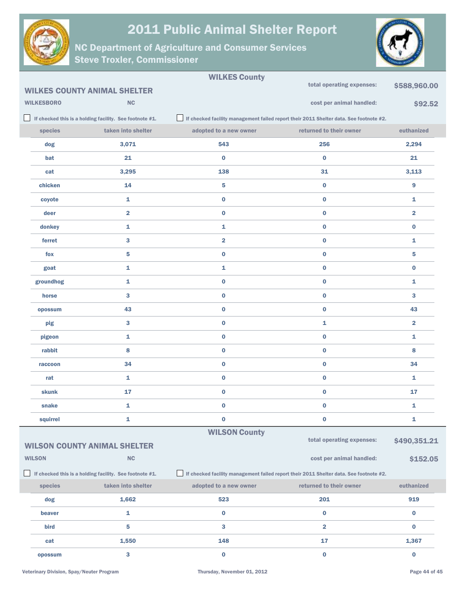



|                                                         |                   |                                                         | <b>WILKES County</b>    |                                                                                        |                         |
|---------------------------------------------------------|-------------------|---------------------------------------------------------|-------------------------|----------------------------------------------------------------------------------------|-------------------------|
|                                                         |                   | <b>WILKES COUNTY ANIMAL SHELTER</b>                     |                         | total operating expenses:                                                              | \$588,960.00            |
|                                                         | <b>WILKESBORO</b> | <b>NC</b>                                               |                         | cost per animal handled:                                                               | \$92.52                 |
|                                                         |                   | If checked this is a holding facility. See footnote #1. |                         | If checked facility management failed report their 2011 Shelter data. See footnote #2. |                         |
|                                                         | species           | taken into shelter                                      | adopted to a new owner  | returned to their owner                                                                | euthanized              |
|                                                         | dog               | 3,071                                                   | 543                     | 256                                                                                    | 2,294                   |
|                                                         | bat               | 21                                                      | $\bf{0}$                | $\bf{0}$                                                                               | 21                      |
|                                                         | cat               | 3,295                                                   | 138                     | 31                                                                                     | 3,113                   |
|                                                         | chicken           | 14                                                      | 5                       | $\bf{0}$                                                                               | 9                       |
|                                                         | coyote            | 1                                                       | $\bf{0}$                | $\bf{0}$                                                                               | 1                       |
|                                                         | deer              | $\overline{2}$                                          | $\bf{0}$                | $\bf{0}$                                                                               | $\overline{\mathbf{2}}$ |
|                                                         | donkey            | $\mathbf{1}$                                            | 1                       | $\bf{0}$                                                                               | $\bf{0}$                |
|                                                         | ferret            | 3                                                       | $\overline{\mathbf{2}}$ | $\bf{0}$                                                                               | 1                       |
|                                                         | fox               | 5                                                       | $\bf{0}$                | $\bf{0}$                                                                               | 5                       |
|                                                         | goat              | 1                                                       | 1                       | $\bf{0}$                                                                               | $\bf{0}$                |
|                                                         | groundhog         | 1                                                       | $\bf{0}$                | $\bf{0}$                                                                               | 1                       |
|                                                         | horse             | 3                                                       | $\bf{0}$                | $\bf{0}$                                                                               | 3                       |
|                                                         | opossum           | 43                                                      | $\bf{0}$                | $\bf{0}$                                                                               | 43                      |
|                                                         | pig               | 3                                                       | $\bf{0}$                | 1                                                                                      | $\overline{\mathbf{2}}$ |
|                                                         | pigeon            | 1                                                       | $\bf{0}$                | $\bf{0}$                                                                               | $\mathbf{1}$            |
|                                                         | rabbit            | 8                                                       | $\bf{0}$                | $\bf{0}$                                                                               | 8                       |
|                                                         | raccoon           | 34                                                      | $\bf{0}$                | $\bf{0}$                                                                               | 34                      |
|                                                         | rat               | 1                                                       | $\bf{0}$                | $\bf{0}$                                                                               | 1                       |
|                                                         | skunk             | 17                                                      | $\bf{0}$                | $\bf{0}$                                                                               | 17                      |
|                                                         | snake             | 1                                                       | $\bf{0}$                | $\bf{0}$                                                                               | 1                       |
|                                                         | squirrel          | 1                                                       | $\bf{0}$                | $\bf{0}$                                                                               | 1                       |
|                                                         |                   |                                                         | <b>WILSON County</b>    | total operating expenses:                                                              |                         |
|                                                         |                   | <b>WILSON COUNTY ANIMAL SHELTER</b>                     |                         |                                                                                        | \$490,351.21            |
|                                                         | <b>WILSON</b>     | NC                                                      |                         | cost per animal handled:                                                               | \$152.05                |
| If checked this is a holding facility. See footnote #1. |                   |                                                         |                         | If checked facility management failed report their 2011 Shelter data. See footnote #2. |                         |
|                                                         | species           | taken into shelter                                      | adopted to a new owner  | returned to their owner                                                                | euthanized              |
|                                                         | dog               | 1,662                                                   | 523                     | 201                                                                                    | 919                     |
|                                                         | beaver            | 1                                                       | $\mathbf 0$             | $\bf{0}$                                                                               | $\bf{0}$                |
|                                                         | bird              | 5                                                       | 3                       | $\overline{\mathbf{2}}$                                                                | $\bf{0}$                |
|                                                         | cat               | 1,550                                                   | 148                     | 17                                                                                     | 1,367                   |
|                                                         | opossum           | 3                                                       | $\bf{0}$                | $\pmb{0}$                                                                              | $\bf{0}$                |